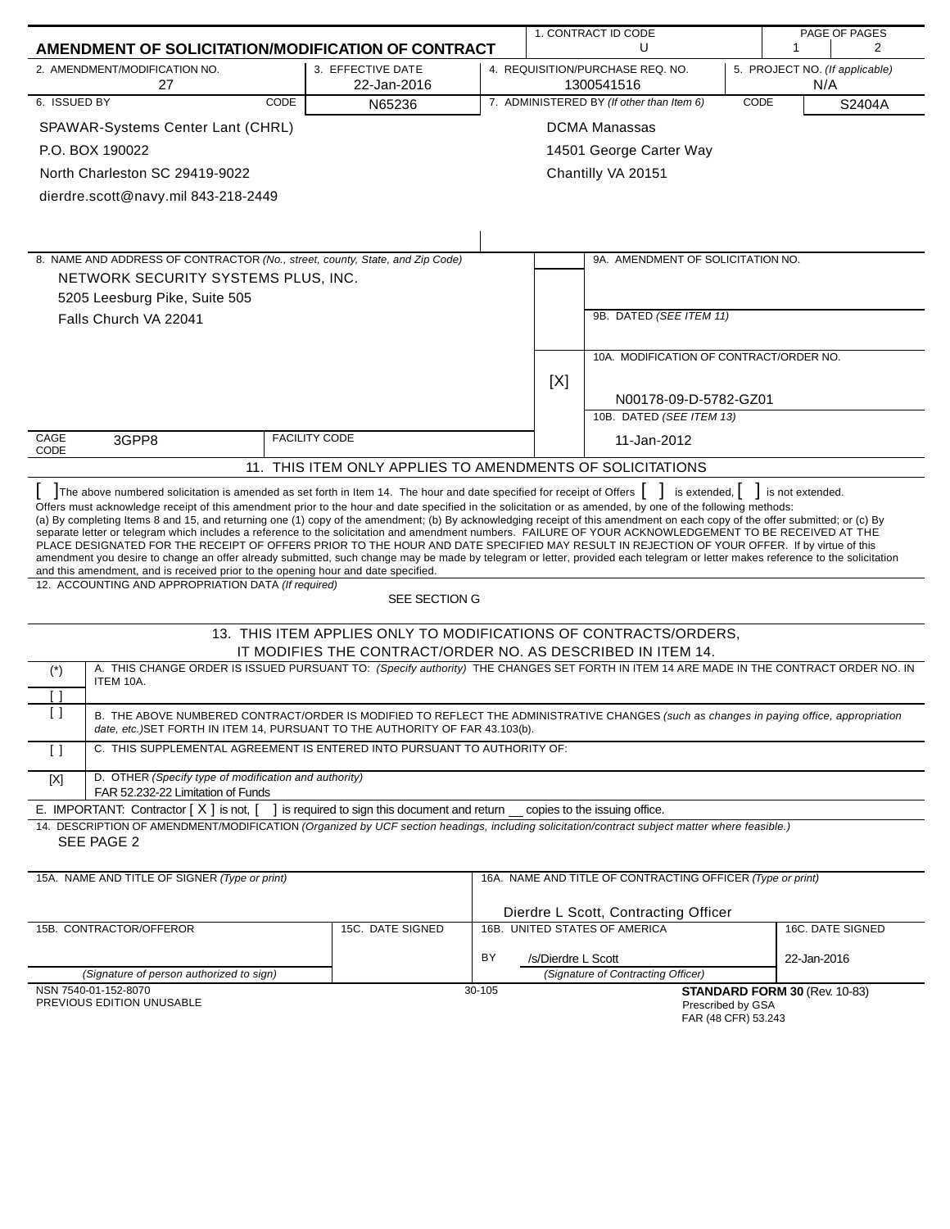|                                                                                                                                                                                                                                                                                                                                                                                                                                                                                                                                                                                                                                                                                                                                                                                                                                                                                                                                                                                                                                                                                                                                                                            |                                                                                                                                                                                                                         |                                                                                 |                          | 1. CONTRACT ID CODE |                                                            |      | PAGE OF PAGES                         |                  |
|----------------------------------------------------------------------------------------------------------------------------------------------------------------------------------------------------------------------------------------------------------------------------------------------------------------------------------------------------------------------------------------------------------------------------------------------------------------------------------------------------------------------------------------------------------------------------------------------------------------------------------------------------------------------------------------------------------------------------------------------------------------------------------------------------------------------------------------------------------------------------------------------------------------------------------------------------------------------------------------------------------------------------------------------------------------------------------------------------------------------------------------------------------------------------|-------------------------------------------------------------------------------------------------------------------------------------------------------------------------------------------------------------------------|---------------------------------------------------------------------------------|--------------------------|---------------------|------------------------------------------------------------|------|---------------------------------------|------------------|
|                                                                                                                                                                                                                                                                                                                                                                                                                                                                                                                                                                                                                                                                                                                                                                                                                                                                                                                                                                                                                                                                                                                                                                            | AMENDMENT OF SOLICITATION/MODIFICATION OF CONTRACT                                                                                                                                                                      |                                                                                 |                          |                     | U                                                          |      | 1                                     | 2                |
|                                                                                                                                                                                                                                                                                                                                                                                                                                                                                                                                                                                                                                                                                                                                                                                                                                                                                                                                                                                                                                                                                                                                                                            | 2. AMENDMENT/MODIFICATION NO.<br>27                                                                                                                                                                                     | 3. EFFECTIVE DATE<br>22-Jan-2016                                                |                          |                     | 4. REQUISITION/PURCHASE REQ. NO.<br>1300541516             |      | 5. PROJECT NO. (If applicable)<br>N/A |                  |
| 6. ISSUED BY                                                                                                                                                                                                                                                                                                                                                                                                                                                                                                                                                                                                                                                                                                                                                                                                                                                                                                                                                                                                                                                                                                                                                               | CODE                                                                                                                                                                                                                    | N65236                                                                          |                          |                     | 7. ADMINISTERED BY (If other than Item 6)                  | CODE |                                       | S2404A           |
|                                                                                                                                                                                                                                                                                                                                                                                                                                                                                                                                                                                                                                                                                                                                                                                                                                                                                                                                                                                                                                                                                                                                                                            | SPAWAR-Systems Center Lant (CHRL)                                                                                                                                                                                       |                                                                                 |                          |                     | <b>DCMA Manassas</b>                                       |      |                                       |                  |
|                                                                                                                                                                                                                                                                                                                                                                                                                                                                                                                                                                                                                                                                                                                                                                                                                                                                                                                                                                                                                                                                                                                                                                            | P.O. BOX 190022                                                                                                                                                                                                         |                                                                                 | 14501 George Carter Way  |                     |                                                            |      |                                       |                  |
|                                                                                                                                                                                                                                                                                                                                                                                                                                                                                                                                                                                                                                                                                                                                                                                                                                                                                                                                                                                                                                                                                                                                                                            | North Charleston SC 29419-9022                                                                                                                                                                                          |                                                                                 |                          |                     | Chantilly VA 20151                                         |      |                                       |                  |
|                                                                                                                                                                                                                                                                                                                                                                                                                                                                                                                                                                                                                                                                                                                                                                                                                                                                                                                                                                                                                                                                                                                                                                            | dierdre.scott@navy.mil 843-218-2449                                                                                                                                                                                     |                                                                                 |                          |                     |                                                            |      |                                       |                  |
|                                                                                                                                                                                                                                                                                                                                                                                                                                                                                                                                                                                                                                                                                                                                                                                                                                                                                                                                                                                                                                                                                                                                                                            |                                                                                                                                                                                                                         |                                                                                 |                          |                     |                                                            |      |                                       |                  |
|                                                                                                                                                                                                                                                                                                                                                                                                                                                                                                                                                                                                                                                                                                                                                                                                                                                                                                                                                                                                                                                                                                                                                                            |                                                                                                                                                                                                                         |                                                                                 |                          |                     |                                                            |      |                                       |                  |
|                                                                                                                                                                                                                                                                                                                                                                                                                                                                                                                                                                                                                                                                                                                                                                                                                                                                                                                                                                                                                                                                                                                                                                            | 8. NAME AND ADDRESS OF CONTRACTOR (No., street, county, State, and Zip Code)                                                                                                                                            |                                                                                 |                          |                     | 9A. AMENDMENT OF SOLICITATION NO.                          |      |                                       |                  |
|                                                                                                                                                                                                                                                                                                                                                                                                                                                                                                                                                                                                                                                                                                                                                                                                                                                                                                                                                                                                                                                                                                                                                                            | NETWORK SECURITY SYSTEMS PLUS, INC.                                                                                                                                                                                     |                                                                                 |                          |                     |                                                            |      |                                       |                  |
|                                                                                                                                                                                                                                                                                                                                                                                                                                                                                                                                                                                                                                                                                                                                                                                                                                                                                                                                                                                                                                                                                                                                                                            | 5205 Leesburg Pike, Suite 505                                                                                                                                                                                           |                                                                                 |                          |                     |                                                            |      |                                       |                  |
|                                                                                                                                                                                                                                                                                                                                                                                                                                                                                                                                                                                                                                                                                                                                                                                                                                                                                                                                                                                                                                                                                                                                                                            | Falls Church VA 22041                                                                                                                                                                                                   |                                                                                 |                          |                     | 9B. DATED (SEE ITEM 11)                                    |      |                                       |                  |
|                                                                                                                                                                                                                                                                                                                                                                                                                                                                                                                                                                                                                                                                                                                                                                                                                                                                                                                                                                                                                                                                                                                                                                            |                                                                                                                                                                                                                         |                                                                                 |                          |                     |                                                            |      |                                       |                  |
|                                                                                                                                                                                                                                                                                                                                                                                                                                                                                                                                                                                                                                                                                                                                                                                                                                                                                                                                                                                                                                                                                                                                                                            |                                                                                                                                                                                                                         |                                                                                 |                          |                     | 10A. MODIFICATION OF CONTRACT/ORDER NO.                    |      |                                       |                  |
|                                                                                                                                                                                                                                                                                                                                                                                                                                                                                                                                                                                                                                                                                                                                                                                                                                                                                                                                                                                                                                                                                                                                                                            |                                                                                                                                                                                                                         |                                                                                 |                          | [X]                 |                                                            |      |                                       |                  |
|                                                                                                                                                                                                                                                                                                                                                                                                                                                                                                                                                                                                                                                                                                                                                                                                                                                                                                                                                                                                                                                                                                                                                                            |                                                                                                                                                                                                                         |                                                                                 |                          |                     | N00178-09-D-5782-GZ01                                      |      |                                       |                  |
|                                                                                                                                                                                                                                                                                                                                                                                                                                                                                                                                                                                                                                                                                                                                                                                                                                                                                                                                                                                                                                                                                                                                                                            |                                                                                                                                                                                                                         |                                                                                 | 10B. DATED (SEE ITEM 13) |                     |                                                            |      |                                       |                  |
| CAGE<br>CODE                                                                                                                                                                                                                                                                                                                                                                                                                                                                                                                                                                                                                                                                                                                                                                                                                                                                                                                                                                                                                                                                                                                                                               | 3GPP8                                                                                                                                                                                                                   | <b>FACILITY CODE</b>                                                            |                          | 11-Jan-2012         |                                                            |      |                                       |                  |
|                                                                                                                                                                                                                                                                                                                                                                                                                                                                                                                                                                                                                                                                                                                                                                                                                                                                                                                                                                                                                                                                                                                                                                            |                                                                                                                                                                                                                         | 11. THIS ITEM ONLY APPLIES TO AMENDMENTS OF SOLICITATIONS                       |                          |                     |                                                            |      |                                       |                  |
| The above numbered solicitation is amended as set forth in Item 14. The hour and date specified for receipt of Offers  <br>is extended, $\vert$<br>is not extended.<br>Offers must acknowledge receipt of this amendment prior to the hour and date specified in the solicitation or as amended, by one of the following methods:<br>(a) By completing Items 8 and 15, and returning one (1) copy of the amendment; (b) By acknowledging receipt of this amendment on each copy of the offer submitted; or (c) By<br>separate letter or telegram which includes a reference to the solicitation and amendment numbers. FAILURE OF YOUR ACKNOWLEDGEMENT TO BE RECEIVED AT THE<br>PLACE DESIGNATED FOR THE RECEIPT OF OFFERS PRIOR TO THE HOUR AND DATE SPECIFIED MAY RESULT IN REJECTION OF YOUR OFFER. If by virtue of this<br>amendment you desire to change an offer already submitted, such change may be made by telegram or letter, provided each telegram or letter makes reference to the solicitation<br>and this amendment, and is received prior to the opening hour and date specified.<br>12. ACCOUNTING AND APPROPRIATION DATA (If required)<br>SEE SECTION G |                                                                                                                                                                                                                         |                                                                                 |                          |                     |                                                            |      |                                       |                  |
|                                                                                                                                                                                                                                                                                                                                                                                                                                                                                                                                                                                                                                                                                                                                                                                                                                                                                                                                                                                                                                                                                                                                                                            |                                                                                                                                                                                                                         | 13. THIS ITEM APPLIES ONLY TO MODIFICATIONS OF CONTRACTS/ORDERS,                |                          |                     |                                                            |      |                                       |                  |
|                                                                                                                                                                                                                                                                                                                                                                                                                                                                                                                                                                                                                                                                                                                                                                                                                                                                                                                                                                                                                                                                                                                                                                            |                                                                                                                                                                                                                         | IT MODIFIES THE CONTRACT/ORDER NO. AS DESCRIBED IN ITEM 14.                     |                          |                     |                                                            |      |                                       |                  |
| $(\dot{\phantom{a}})$                                                                                                                                                                                                                                                                                                                                                                                                                                                                                                                                                                                                                                                                                                                                                                                                                                                                                                                                                                                                                                                                                                                                                      | A. THIS CHANGE ORDER IS ISSUED PURSUANT TO: (Specify authority) THE CHANGES SET FORTH IN ITEM 14 ARE MADE IN THE CONTRACT ORDER NO. IN                                                                                  |                                                                                 |                          |                     |                                                            |      |                                       |                  |
| [ ]                                                                                                                                                                                                                                                                                                                                                                                                                                                                                                                                                                                                                                                                                                                                                                                                                                                                                                                                                                                                                                                                                                                                                                        | ITEM 10A.                                                                                                                                                                                                               |                                                                                 |                          |                     |                                                            |      |                                       |                  |
| $\left[ \ \right]$                                                                                                                                                                                                                                                                                                                                                                                                                                                                                                                                                                                                                                                                                                                                                                                                                                                                                                                                                                                                                                                                                                                                                         | B. THE ABOVE NUMBERED CONTRACT/ORDER IS MODIFIED TO REFLECT THE ADMINISTRATIVE CHANGES (such as changes in paying office, appropriation<br>date, etc.)SET FORTH IN ITEM 14, PURSUANT TO THE AUTHORITY OF FAR 43.103(b). |                                                                                 |                          |                     |                                                            |      |                                       |                  |
| $\left[ \begin{array}{c} 1 \end{array} \right]$                                                                                                                                                                                                                                                                                                                                                                                                                                                                                                                                                                                                                                                                                                                                                                                                                                                                                                                                                                                                                                                                                                                            | C. THIS SUPPLEMENTAL AGREEMENT IS ENTERED INTO PURSUANT TO AUTHORITY OF:                                                                                                                                                |                                                                                 |                          |                     |                                                            |      |                                       |                  |
| $[{\sf X}]$                                                                                                                                                                                                                                                                                                                                                                                                                                                                                                                                                                                                                                                                                                                                                                                                                                                                                                                                                                                                                                                                                                                                                                | D. OTHER (Specify type of modification and authority)<br>FAR 52.232-22 Limitation of Funds                                                                                                                              |                                                                                 |                          |                     |                                                            |      |                                       |                  |
|                                                                                                                                                                                                                                                                                                                                                                                                                                                                                                                                                                                                                                                                                                                                                                                                                                                                                                                                                                                                                                                                                                                                                                            | E. IMPORTANT: Contractor $[X]$ is not, $[$                                                                                                                                                                              | ] is required to sign this document and return __ copies to the issuing office. |                          |                     |                                                            |      |                                       |                  |
|                                                                                                                                                                                                                                                                                                                                                                                                                                                                                                                                                                                                                                                                                                                                                                                                                                                                                                                                                                                                                                                                                                                                                                            | 14. DESCRIPTION OF AMENDMENT/MODIFICATION (Organized by UCF section headings, including solicitation/contract subject matter where feasible.)<br>SEE PAGE 2                                                             |                                                                                 |                          |                     |                                                            |      |                                       |                  |
|                                                                                                                                                                                                                                                                                                                                                                                                                                                                                                                                                                                                                                                                                                                                                                                                                                                                                                                                                                                                                                                                                                                                                                            | 15A. NAME AND TITLE OF SIGNER (Type or print)                                                                                                                                                                           |                                                                                 |                          |                     | 16A. NAME AND TITLE OF CONTRACTING OFFICER (Type or print) |      |                                       |                  |
|                                                                                                                                                                                                                                                                                                                                                                                                                                                                                                                                                                                                                                                                                                                                                                                                                                                                                                                                                                                                                                                                                                                                                                            |                                                                                                                                                                                                                         |                                                                                 |                          |                     |                                                            |      |                                       |                  |
|                                                                                                                                                                                                                                                                                                                                                                                                                                                                                                                                                                                                                                                                                                                                                                                                                                                                                                                                                                                                                                                                                                                                                                            |                                                                                                                                                                                                                         |                                                                                 |                          |                     | Dierdre L Scott, Contracting Officer                       |      |                                       |                  |
|                                                                                                                                                                                                                                                                                                                                                                                                                                                                                                                                                                                                                                                                                                                                                                                                                                                                                                                                                                                                                                                                                                                                                                            | 15B. CONTRACTOR/OFFEROR                                                                                                                                                                                                 | 15C. DATE SIGNED                                                                |                          |                     | 16B. UNITED STATES OF AMERICA                              |      |                                       | 16C. DATE SIGNED |
|                                                                                                                                                                                                                                                                                                                                                                                                                                                                                                                                                                                                                                                                                                                                                                                                                                                                                                                                                                                                                                                                                                                                                                            |                                                                                                                                                                                                                         |                                                                                 | BY                       | /s/Dierdre L Scott  |                                                            |      | 22-Jan-2016                           |                  |
|                                                                                                                                                                                                                                                                                                                                                                                                                                                                                                                                                                                                                                                                                                                                                                                                                                                                                                                                                                                                                                                                                                                                                                            | (Signature of person authorized to sign)<br>NSN 7540-01-152-8070                                                                                                                                                        |                                                                                 | 30-105                   |                     | (Signature of Contracting Officer)                         |      | STANDARD FORM 30 (Rev. 10-83)         |                  |
|                                                                                                                                                                                                                                                                                                                                                                                                                                                                                                                                                                                                                                                                                                                                                                                                                                                                                                                                                                                                                                                                                                                                                                            | PREVIOUS EDITION UNUSABLE                                                                                                                                                                                               |                                                                                 |                          |                     | Prescribed by GSA<br>FAR (48 CFR) 53.243                   |      |                                       |                  |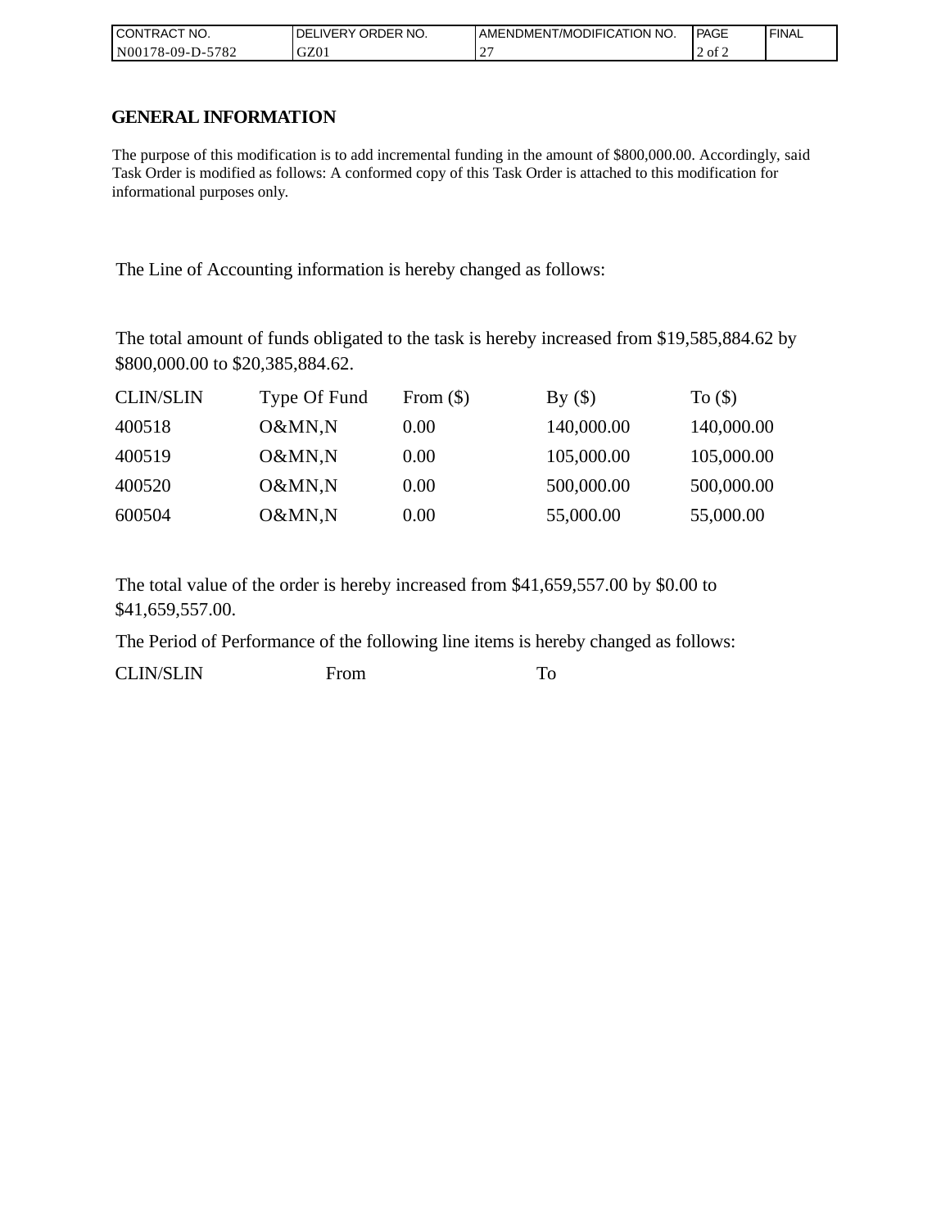| I CONTRACT NO.   | <b>IDELIVERY ORDER NO.</b> | AMENDMENT/MODIFICATION NO. | PAGE   | 'FINAL |
|------------------|----------------------------|----------------------------|--------|--------|
| N00178-09-D-5782 | GZ01                       |                            | 2 of 2 |        |

## **GENERAL INFORMATION**

The purpose of this modification is to add incremental funding in the amount of \$800,000.00. Accordingly, said Task Order is modified as follows: A conformed copy of this Task Order is attached to this modification for informational purposes only.

The Line of Accounting information is hereby changed as follows:

The total amount of funds obligated to the task is hereby increased from \$19,585,884.62 by \$800,000.00 to \$20,385,884.62.

| <b>CLIN/SLIN</b> | Type Of Fund | From $(\$)$ | By $(\$)$  | To $($ math) |
|------------------|--------------|-------------|------------|--------------|
| 400518           | O&MN,N       | 0.00        | 140,000.00 | 140,000.00   |
| 400519           | O&MN,N       | 0.00        | 105,000.00 | 105,000.00   |
| 400520           | O&MN,N       | 0.00        | 500,000.00 | 500,000.00   |
| 600504           | O&MN,N       | 0.00        | 55,000.00  | 55,000.00    |

The total value of the order is hereby increased from \$41,659,557.00 by \$0.00 to \$41,659,557.00.

The Period of Performance of the following line items is hereby changed as follows:

CLIN/SLIN From To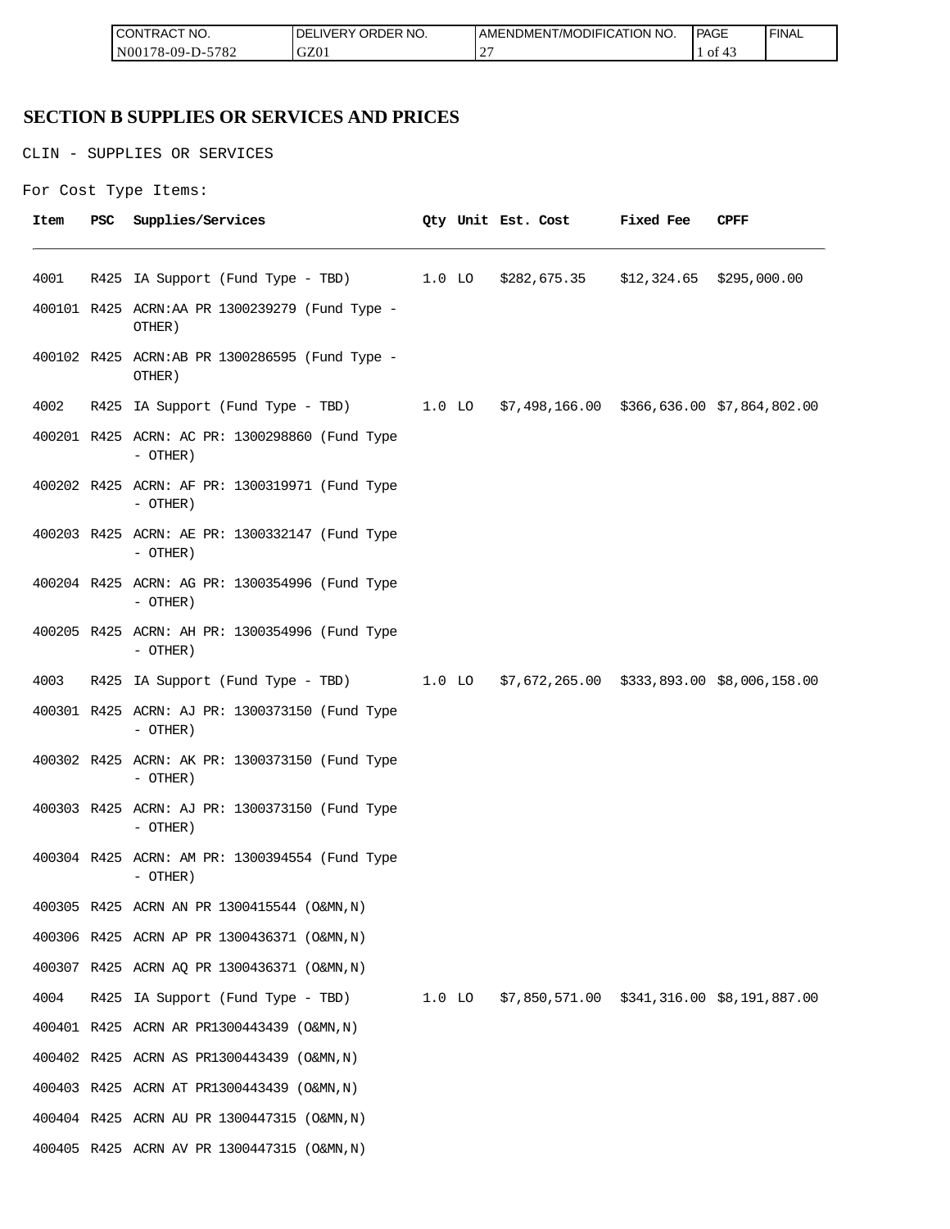| <b>ICON</b><br>°CT NO.<br>∵I RAC            | R NO.<br>JR'<br>≀DE!<br>۱۰ ا | ICATION NO.<br>ODIFIO<br>AME<br>-NDMEN.<br>l /MC | PAGE<br>____ | <b>FINAL</b> |
|---------------------------------------------|------------------------------|--------------------------------------------------|--------------|--------------|
| 5700<br>N <sub>00</sub><br>8-09-D-′<br>ے ہ≀ | GZ0                          | $\sim$<br><b>__</b>                              | -01          |              |

## **SECTION B SUPPLIES OR SERVICES AND PRICES**

CLIN - SUPPLIES OR SERVICES

```
For Cost Type Items:
```

| Item | PSC | Supplies/Services                                                                   |  | Qty Unit Est. Cost | <b>Fixed Fee</b> | CPFF |
|------|-----|-------------------------------------------------------------------------------------|--|--------------------|------------------|------|
| 4001 |     | R425 IA Support (Fund Type - TBD) 1.0 LO \$282,675.35 \$12,324.65 \$295,000.00      |  |                    |                  |      |
|      |     | 400101 R425 ACRN:AA PR 1300239279 (Fund Type -<br>OTHER)                            |  |                    |                  |      |
|      |     | 400102 R425 ACRN:AB PR 1300286595 (Fund Type -<br>OTHER)                            |  |                    |                  |      |
| 4002 |     | R425 IA Support (Fund Type - TBD) 1.0 LO \$7,498,166.00 \$366,636.00 \$7,864,802.00 |  |                    |                  |      |
|      |     | 400201 R425 ACRN: AC PR: 1300298860 (Fund Type<br>- OTHER)                          |  |                    |                  |      |
|      |     | 400202 R425 ACRN: AF PR: 1300319971 (Fund Type<br>- OTHER)                          |  |                    |                  |      |
|      |     | 400203 R425 ACRN: AE PR: 1300332147 (Fund Type<br>- OTHER)                          |  |                    |                  |      |
|      |     | 400204 R425 ACRN: AG PR: 1300354996 (Fund Type<br>$-$ OTHER)                        |  |                    |                  |      |
|      |     | 400205 R425 ACRN: AH PR: 1300354996 (Fund Type<br>$-$ OTHER)                        |  |                    |                  |      |
| 4003 |     | R425 IA Support (Fund Type - TBD) 1.0 LO \$7,672,265.00 \$333,893.00 \$8,006,158.00 |  |                    |                  |      |
|      |     | 400301 R425 ACRN: AJ PR: 1300373150 (Fund Type<br>$-$ OTHER)                        |  |                    |                  |      |
|      |     | 400302 R425 ACRN: AK PR: 1300373150 (Fund Type<br>- OTHER)                          |  |                    |                  |      |
|      |     | 400303 R425 ACRN: AJ PR: 1300373150 (Fund Type<br>- OTHER)                          |  |                    |                  |      |
|      |     | 400304 R425 ACRN: AM PR: 1300394554 (Fund Type<br>- OTHER)                          |  |                    |                  |      |
|      |     | 400305 R425 ACRN AN PR 1300415544 (O&MN, N)                                         |  |                    |                  |      |
|      |     | 400306 R425 ACRN AP PR 1300436371 (O&MN, N)                                         |  |                    |                  |      |
|      |     | 400307 R425 ACRN AQ PR 1300436371 (O&MN, N)                                         |  |                    |                  |      |
| 4004 |     | R425 IA Support (Fund Type - TBD) 1.0 LO \$7,850,571.00 \$341,316.00 \$8,191,887.00 |  |                    |                  |      |
|      |     | 400401 R425 ACRN AR PR1300443439 (O&MN, N)                                          |  |                    |                  |      |
|      |     | 400402 R425 ACRN AS PR1300443439 (O&MN, N)                                          |  |                    |                  |      |
|      |     | 400403 R425 ACRN AT PR1300443439 (O&MN, N)                                          |  |                    |                  |      |
|      |     | 400404 R425 ACRN AU PR 1300447315 (O&MN, N)                                         |  |                    |                  |      |
|      |     | 400405 R425 ACRN AV PR 1300447315 (O&MN, N)                                         |  |                    |                  |      |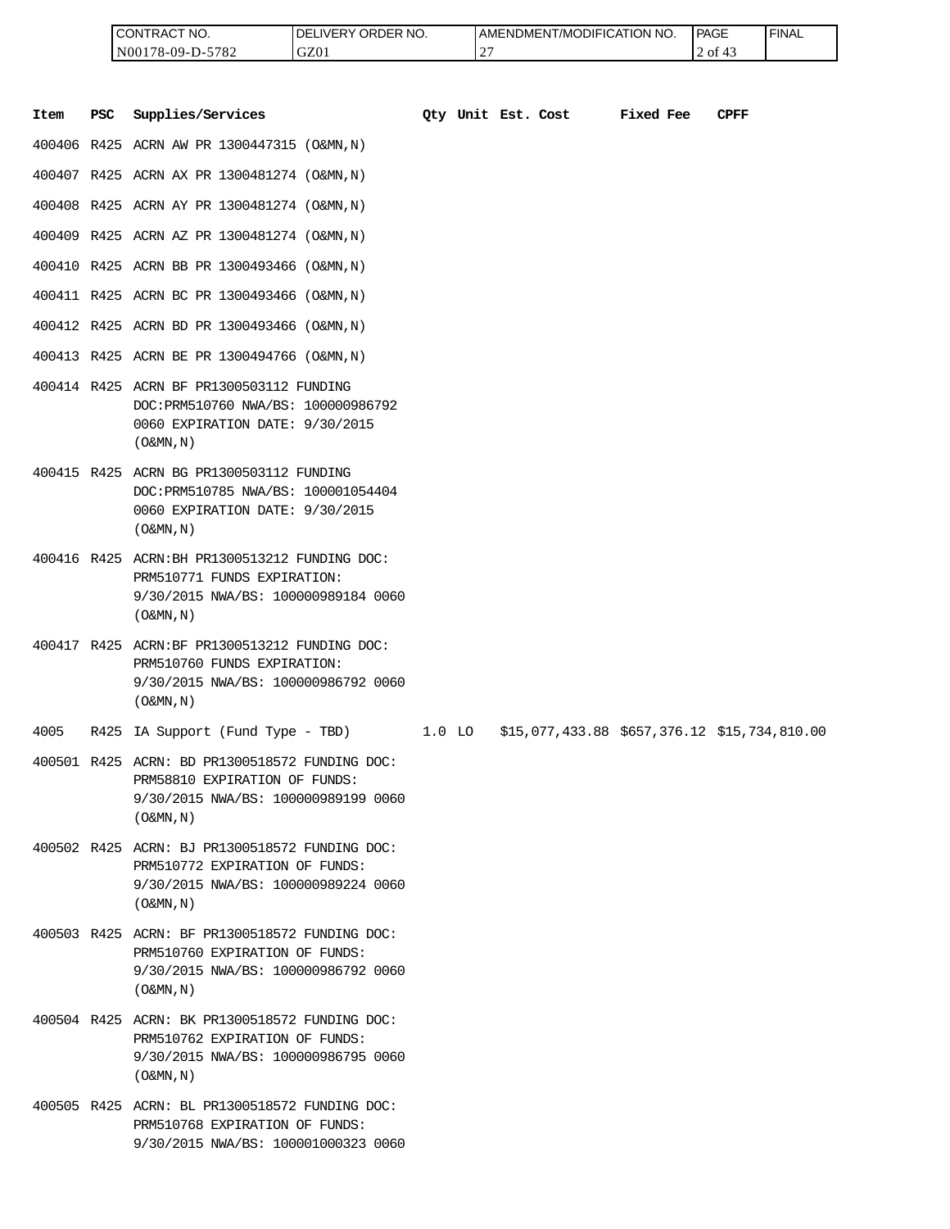| <b>I CONTRACT NO.</b> | LIVERY ORDER NO.<br>DEI | LAMENDMENT/MODIFICATION NO. | <b>PAGE</b> | 'FINAL |
|-----------------------|-------------------------|-----------------------------|-------------|--------|
| N00178-09-D-5782      | GZ01                    | $\sim$<br><u>_</u>          | 2 of        |        |

|      |            | CONTRACT NO.<br>N00178-09-D-5782                                                                                                            | DELIVERY ORDER NO.<br>GZ01 |          | 27 | AMENDMENT/MODIFICATION NO. |                                              | <b>PAGE</b><br>2 of 43 | <b>FINAL</b> |
|------|------------|---------------------------------------------------------------------------------------------------------------------------------------------|----------------------------|----------|----|----------------------------|----------------------------------------------|------------------------|--------------|
| Item | <b>PSC</b> | Supplies/Services                                                                                                                           |                            |          |    | Qty Unit Est. Cost         | Fixed Fee                                    | <b>CPFF</b>            |              |
|      |            | 400406 R425 ACRN AW PR 1300447315 (O&MN, N)                                                                                                 |                            |          |    |                            |                                              |                        |              |
|      |            | 400407 R425 ACRN AX PR 1300481274 (O&MN, N)                                                                                                 |                            |          |    |                            |                                              |                        |              |
|      |            | 400408 R425 ACRN AY PR 1300481274 (O&MN, N)                                                                                                 |                            |          |    |                            |                                              |                        |              |
|      |            | 400409 R425 ACRN AZ PR 1300481274 (O&MN, N)                                                                                                 |                            |          |    |                            |                                              |                        |              |
|      |            | 400410 R425 ACRN BB PR 1300493466 (O&MN, N)                                                                                                 |                            |          |    |                            |                                              |                        |              |
|      |            | 400411 R425 ACRN BC PR 1300493466 (O&MN, N)                                                                                                 |                            |          |    |                            |                                              |                        |              |
|      |            | 400412 R425 ACRN BD PR 1300493466 (O&MN, N)                                                                                                 |                            |          |    |                            |                                              |                        |              |
|      |            | 400413 R425 ACRN BE PR 1300494766 (O&MN, N)                                                                                                 |                            |          |    |                            |                                              |                        |              |
|      |            | 400414 R425 ACRN BF PR1300503112 FUNDING<br>DOC: PRM510760 NWA/BS: 100000986792<br>0060 EXPIRATION DATE: 9/30/2015<br>$($ O&MN, N)          |                            |          |    |                            |                                              |                        |              |
|      |            | 400415 R425 ACRN BG PR1300503112 FUNDING<br>DOC: PRM510785 NWA/BS: 100001054404<br>0060 EXPIRATION DATE: 9/30/2015<br>$($ O&MN, $N$ $)$     |                            |          |    |                            |                                              |                        |              |
|      |            | 400416 R425 ACRN: BH PR1300513212 FUNDING DOC:<br>PRM510771 FUNDS EXPIRATION:<br>9/30/2015 NWA/BS: 100000989184 0060<br>$(0\&MN,N)$         |                            |          |    |                            |                                              |                        |              |
|      |            | 400417 R425 ACRN:BF PR1300513212 FUNDING DOC:<br>PRM510760 FUNDS EXPIRATION:<br>9/30/2015 NWA/BS: 100000986792 0060<br>$($ O&MN, N)         |                            |          |    |                            |                                              |                        |              |
| 4005 |            | R425 IA Support (Fund Type - TBD)                                                                                                           |                            | $1.0$ LO |    |                            | \$15,077,433.88 \$657,376.12 \$15,734,810.00 |                        |              |
|      |            | 400501 R425 ACRN: BD PR1300518572 FUNDING DOC:<br>PRM58810 EXPIRATION OF FUNDS:<br>9/30/2015 NWA/BS: 100000989199 0060<br>$($ O&MN, N)      |                            |          |    |                            |                                              |                        |              |
|      |            | 400502 R425 ACRN: BJ PR1300518572 FUNDING DOC:<br>PRM510772 EXPIRATION OF FUNDS:<br>9/30/2015 NWA/BS: 100000989224 0060<br>$($ O&MN , N $)$ |                            |          |    |                            |                                              |                        |              |
|      |            | 400503 R425 ACRN: BF PR1300518572 FUNDING DOC:<br>PRM510760 EXPIRATION OF FUNDS:<br>9/30/2015 NWA/BS: 100000986792 0060<br>$($ O&MN, N)     |                            |          |    |                            |                                              |                        |              |
|      |            | 400504 R425 ACRN: BK PR1300518572 FUNDING DOC:<br>PRM510762 EXPIRATION OF FUNDS:<br>9/30/2015 NWA/BS: 100000986795 0060<br>$(0\&MN,N)$      |                            |          |    |                            |                                              |                        |              |
|      |            | 400505 R425 ACRN: BL PR1300518572 FUNDING DOC:<br>PRM510768 EXPIRATION OF FUNDS:<br>9/30/2015 NWA/BS: 100001000323 0060                     |                            |          |    |                            |                                              |                        |              |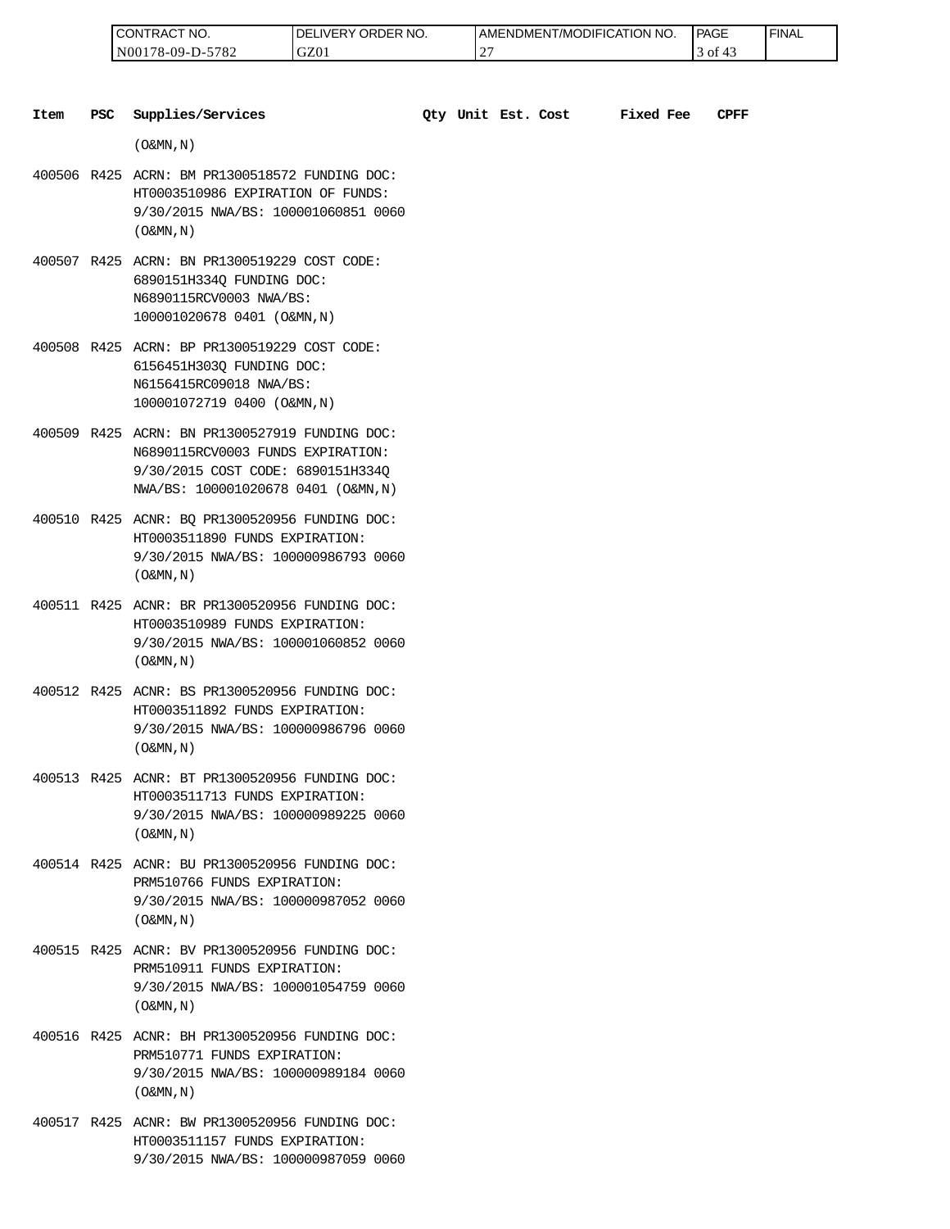| " NO.<br>CON.<br>'I RAC             | ORDER NO.<br>ר.<br>IVEI | AMENDMENT/MODIFICATION NO. | PAGE<br>____ | <b>FINAL</b> |
|-------------------------------------|-------------------------|----------------------------|--------------|--------------|
| 5700<br>N00<br>78-09-.<br>.<br>ے ہ' | GZ0                     | $\sim$<br>∸                | ΟĪ           |              |

| <b>PSC</b><br>Item | Supplies/Services                                                                                                                                               |  | Oty Unit Est. Cost | <b>Fixed Fee</b> | <b>CPFF</b> |
|--------------------|-----------------------------------------------------------------------------------------------------------------------------------------------------------------|--|--------------------|------------------|-------------|
|                    | $($ O&MN, N)                                                                                                                                                    |  |                    |                  |             |
|                    | 400506 R425 ACRN: BM PR1300518572 FUNDING DOC:<br>HT0003510986 EXPIRATION OF FUNDS:<br>9/30/2015 NWA/BS: 100001060851 0060<br>$($ O&MN, $N$ $)$                 |  |                    |                  |             |
|                    | 400507 R425 ACRN: BN PR1300519229 COST CODE:<br>6890151H334Q FUNDING DOC:<br>N6890115RCV0003 NWA/BS:<br>100001020678 0401 (O&MN, N)                             |  |                    |                  |             |
|                    | 400508 R425 ACRN: BP PR1300519229 COST CODE:<br>6156451H303Q FUNDING DOC:<br>N6156415RC09018 NWA/BS:<br>100001072719 0400 (O&MN, N)                             |  |                    |                  |             |
|                    | 400509 R425 ACRN: BN PR1300527919 FUNDING DOC:<br>N6890115RCV0003 FUNDS EXPIRATION:<br>9/30/2015 COST CODE: 6890151H334Q<br>NWA/BS: 100001020678 0401 (O&MN, N) |  |                    |                  |             |
|                    | 400510 R425 ACNR: BQ PR1300520956 FUNDING DOC:<br>HT0003511890 FUNDS EXPIRATION:<br>9/30/2015 NWA/BS: 100000986793 0060<br>$($ O&MN, N)                         |  |                    |                  |             |
|                    | 400511 R425 ACNR: BR PR1300520956 FUNDING DOC:<br>HT0003510989 FUNDS EXPIRATION:<br>9/30/2015 NWA/BS: 100001060852 0060<br>$($ O&MN, $N$ $)$                    |  |                    |                  |             |
|                    | 400512 R425 ACNR: BS PR1300520956 FUNDING DOC:<br>HT0003511892 FUNDS EXPIRATION:<br>9/30/2015 NWA/BS: 100000986796 0060<br>$($ O&MN, $N$ $)$                    |  |                    |                  |             |
|                    | 400513 R425 ACNR: BT PR1300520956 FUNDING DOC:<br>HT0003511713 FUNDS EXPIRATION:<br>9/30/2015 NWA/BS: 100000989225 0060<br>$($ O&MN, N)                         |  |                    |                  |             |
|                    | 400514 R425 ACNR: BU PR1300520956 FUNDING DOC:<br>PRM510766 FUNDS EXPIRATION:<br>9/30/2015 NWA/BS: 100000987052 0060<br>$($ O&MN, N)                            |  |                    |                  |             |
|                    | 400515 R425 ACNR: BV PR1300520956 FUNDING DOC:<br>PRM510911 FUNDS EXPIRATION:<br>9/30/2015 NWA/BS: 100001054759 0060<br>$($ O&MN, N)                            |  |                    |                  |             |
|                    | 400516 R425 ACNR: BH PR1300520956 FUNDING DOC:<br>PRM510771 FUNDS EXPIRATION:<br>9/30/2015 NWA/BS: 100000989184 0060<br>$($ O&MN, N)                            |  |                    |                  |             |
|                    | 400517 R425 ACNR: BW PR1300520956 FUNDING DOC:                                                                                                                  |  |                    |                  |             |

HT0003511157 FUNDS EXPIRATION: 9/30/2015 NWA/BS: 100000987059 0060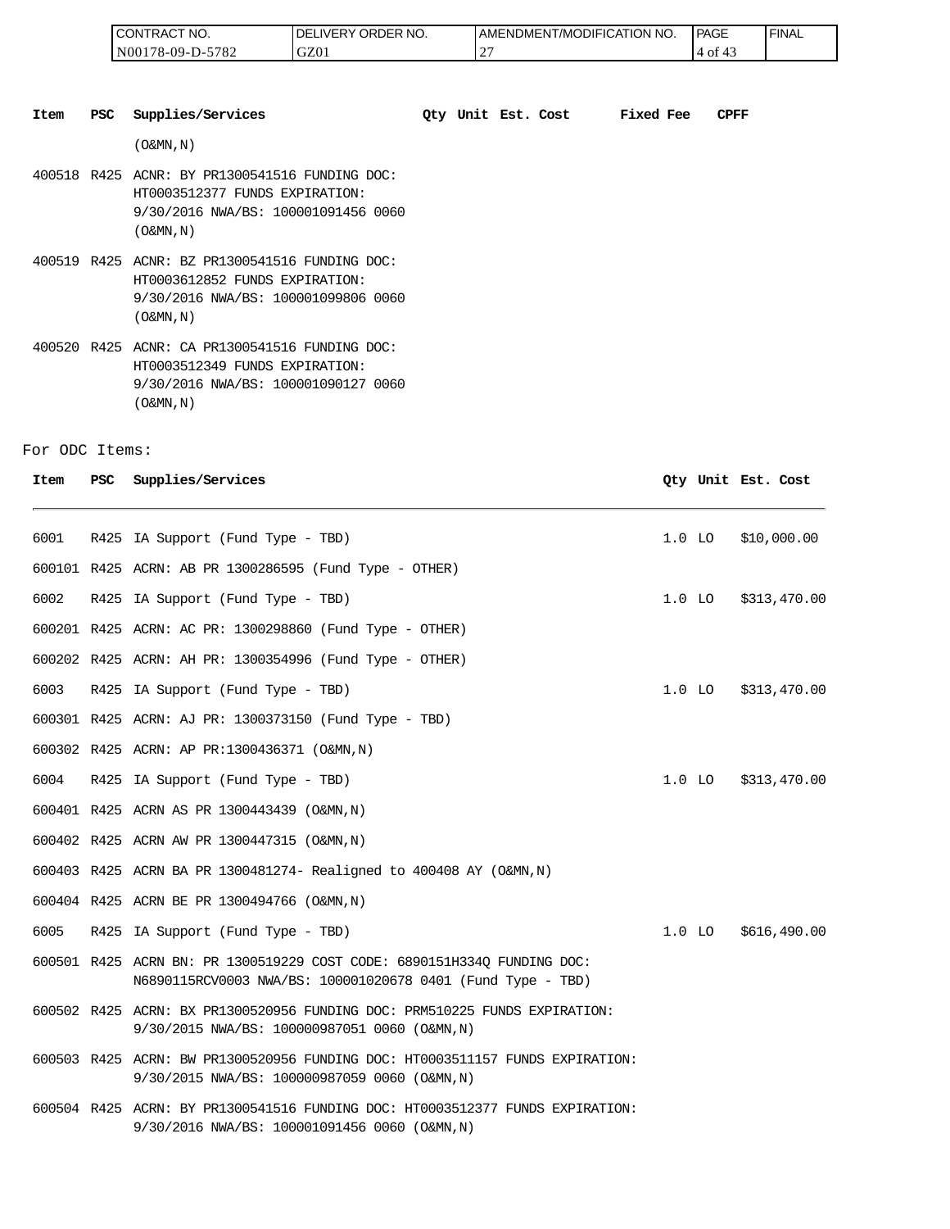| <b>CONTRACT NO.</b> | LIVERY ORDER NO.<br>I DEL | LAMENDMENT/MODIFICATION NO. | <b>PAGE</b> | 'FINAL |
|---------------------|---------------------------|-----------------------------|-------------|--------|
| IN00178-09-D-5782   | GZ01                      | $\sim$<br><b>_</b>          | -01<br>4    |        |

| Item | <b>PSC</b> | Supplies/Services                                                                                                                            | Oty Unit Est. Cost |  | Fixed Fee | <b>CPFF</b> |
|------|------------|----------------------------------------------------------------------------------------------------------------------------------------------|--------------------|--|-----------|-------------|
|      |            | $(0\&MN, N)$                                                                                                                                 |                    |  |           |             |
|      |            | 400518 R425 ACNR: BY PR1300541516 FUNDING DOC:<br>HT0003512377 FUNDS EXPIRATION:<br>9/30/2016 NWA/BS: 100001091456 0060<br>$(0\&MN, N)$      |                    |  |           |             |
|      |            | 400519 R425 ACNR: BZ PR1300541516 FUNDING DOC:<br>HT0003612852 FUNDS EXPIRATION:<br>9/30/2016 NWA/BS: 100001099806 0060<br>$(0\&MN, N)$      |                    |  |           |             |
|      |            | 400520 R425 ACNR: CA PR1300541516 FUNDING DOC:<br>HT0003512349 FUNDS EXPIRATION:<br>9/30/2016 NWA/BS: 100001090127 0060<br>$($ O&MN, $N$ $)$ |                    |  |           |             |

#### For ODC Items:

| Item | <b>PSC</b> | Supplies/Services                                                                                                                      | Qty Unit Est. Cost |              |
|------|------------|----------------------------------------------------------------------------------------------------------------------------------------|--------------------|--------------|
| 6001 |            | R425 IA Support (Fund Type - TBD)                                                                                                      | $1.0$ LO           | \$10,000.00  |
|      |            | 600101 R425 ACRN: AB PR 1300286595 (Fund Type - OTHER)                                                                                 |                    |              |
| 6002 |            | R425 IA Support (Fund Type - TBD)                                                                                                      | $1.0$ LO           | \$313,470.00 |
|      |            | 600201 R425 ACRN: AC PR: 1300298860 (Fund Type - OTHER)                                                                                |                    |              |
|      |            | 600202 R425 ACRN: AH PR: 1300354996 (Fund Type - OTHER)                                                                                |                    |              |
| 6003 |            | R425 IA Support (Fund Type - TBD)                                                                                                      | $1.0$ LO           | \$313,470.00 |
|      |            | 600301 R425 ACRN: AJ PR: 1300373150 (Fund Type - TBD)                                                                                  |                    |              |
|      |            | 600302 R425 ACRN: AP PR:1300436371 (O&MN, N)                                                                                           |                    |              |
| 6004 |            | R425 IA Support (Fund Type - TBD)                                                                                                      | $1.0$ LO           | \$313,470.00 |
|      |            | 600401 R425 ACRN AS PR 1300443439 (O&MN, N)                                                                                            |                    |              |
|      |            | 600402 R425 ACRN AW PR 1300447315 (O&MN, N)                                                                                            |                    |              |
|      |            | 600403 R425 ACRN BA PR 1300481274- Realigned to 400408 AY (O&MN, N)                                                                    |                    |              |
|      |            | 600404 R425 ACRN BE PR 1300494766 (O&MN, N)                                                                                            |                    |              |
| 6005 |            | R425 IA Support (Fund Type - TBD)                                                                                                      | $1.0$ LO           | \$616,490.00 |
|      |            | 600501 R425 ACRN BN: PR 1300519229 COST CODE: 6890151H334Q FUNDING DOC:<br>N6890115RCV0003 NWA/BS: 100001020678 0401 (Fund Type - TBD) |                    |              |
|      |            | 600502 R425 ACRN: BX PR1300520956 FUNDING DOC: PRM510225 FUNDS EXPIRATION:<br>9/30/2015 NWA/BS: 100000987051 0060 (O&MN, N)            |                    |              |
|      |            | 600503 R425 ACRN: BW PR1300520956 FUNDING DOC: HT0003511157 FUNDS EXPIRATION:<br>9/30/2015 NWA/BS: 100000987059 0060 (O&MN,N)          |                    |              |
|      |            | 600504 R425 ACRN: BY PR1300541516 FUNDING DOC: HT0003512377 FUNDS EXPIRATION:<br>9/30/2016 NWA/BS: 100001091456 0060 (O&MN,N)          |                    |              |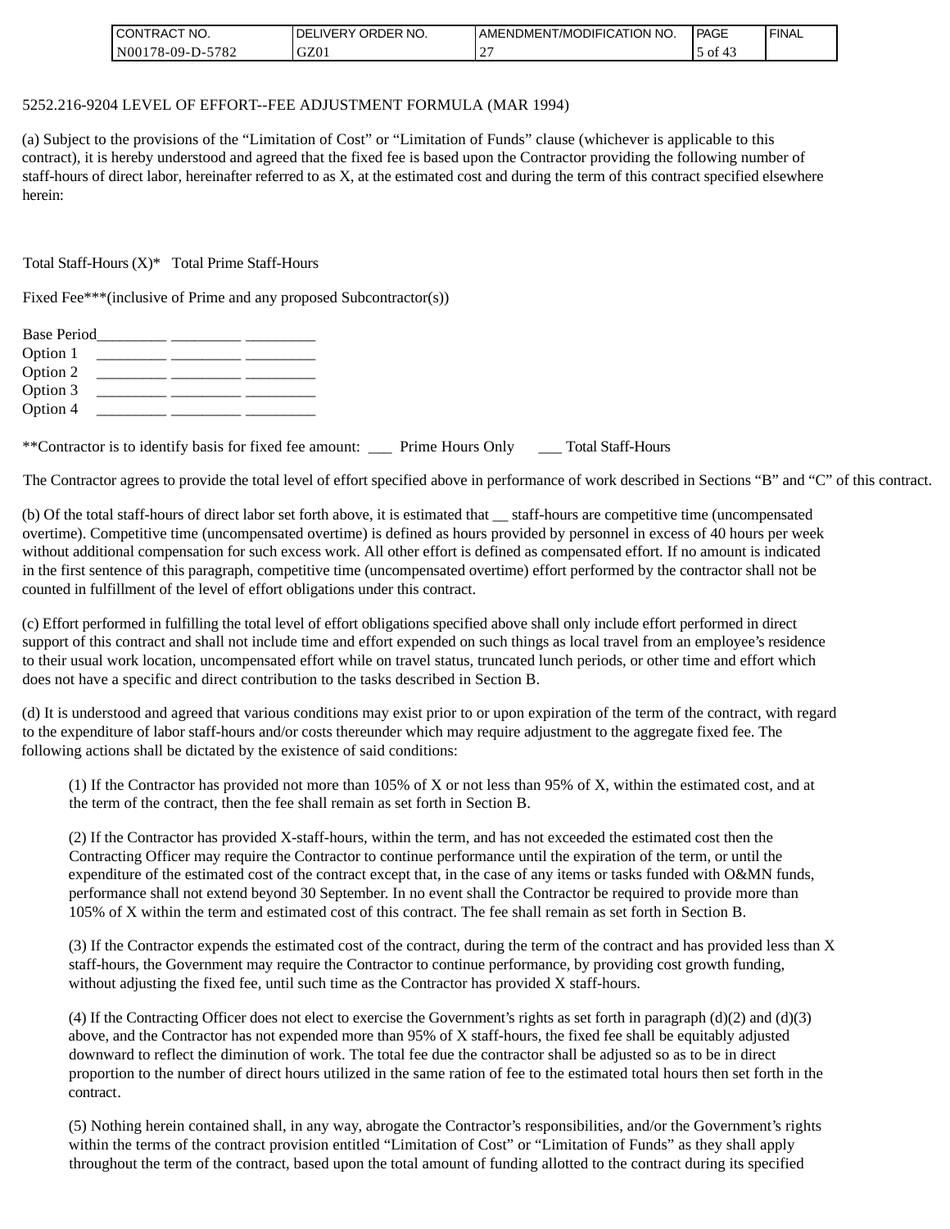| <b>CONTRACT</b><br>" NO. | ORDER NO.<br><b>DELIVERY</b> | <b>I AMENDMENT/MODIFICATION NO.</b> | l PAGE        | ' FINAL |
|--------------------------|------------------------------|-------------------------------------|---------------|---------|
| 5782<br>$N00178-09-D-5$  | GZ01                         | $\bigcap$<br>-                      | וס ל $\sigma$ |         |

#### 5252.216-9204 LEVEL OF EFFORT--FEE ADJUSTMENT FORMULA (MAR 1994)

(a) Subject to the provisions of the "Limitation of Cost" or "Limitation of Funds" clause (whichever is applicable to this contract), it is hereby understood and agreed that the fixed fee is based upon the Contractor providing the following number of staff-hours of direct labor, hereinafter referred to as X, at the estimated cost and during the term of this contract specified elsewhere herein:

Total Staff-Hours (X)\* Total Prime Staff-Hours

Fixed Fee\*\*\*(inclusive of Prime and any proposed Subcontractor(s))

| <b>Base Period</b> |  |
|--------------------|--|
|                    |  |
|                    |  |
|                    |  |
|                    |  |
|                    |  |

\*\*Contractor is to identify basis for fixed fee amount: \_\_\_ Prime Hours Only \_\_\_ Total Staff-Hours

The Contractor agrees to provide the total level of effort specified above in performance of work described in Sections "B" and "C" of this contract.

(b) Of the total staff-hours of direct labor set forth above, it is estimated that \_\_ staff-hours are competitive time (uncompensated overtime). Competitive time (uncompensated overtime) is defined as hours provided by personnel in excess of 40 hours per week without additional compensation for such excess work. All other effort is defined as compensated effort. If no amount is indicated in the first sentence of this paragraph, competitive time (uncompensated overtime) effort performed by the contractor shall not be counted in fulfillment of the level of effort obligations under this contract.

(c) Effort performed in fulfilling the total level of effort obligations specified above shall only include effort performed in direct support of this contract and shall not include time and effort expended on such things as local travel from an employee's residence to their usual work location, uncompensated effort while on travel status, truncated lunch periods, or other time and effort which does not have a specific and direct contribution to the tasks described in Section B.

(d) It is understood and agreed that various conditions may exist prior to or upon expiration of the term of the contract, with regard to the expenditure of labor staff-hours and/or costs thereunder which may require adjustment to the aggregate fixed fee. The following actions shall be dictated by the existence of said conditions:

(1) If the Contractor has provided not more than 105% of X or not less than 95% of X, within the estimated cost, and at the term of the contract, then the fee shall remain as set forth in Section B.

(2) If the Contractor has provided X-staff-hours, within the term, and has not exceeded the estimated cost then the Contracting Officer may require the Contractor to continue performance until the expiration of the term, or until the expenditure of the estimated cost of the contract except that, in the case of any items or tasks funded with O&MN funds, performance shall not extend beyond 30 September. In no event shall the Contractor be required to provide more than 105% of X within the term and estimated cost of this contract. The fee shall remain as set forth in Section B.

(3) If the Contractor expends the estimated cost of the contract, during the term of the contract and has provided less than X staff-hours, the Government may require the Contractor to continue performance, by providing cost growth funding, without adjusting the fixed fee, until such time as the Contractor has provided X staff-hours.

(4) If the Contracting Officer does not elect to exercise the Government's rights as set forth in paragraph  $(d)(2)$  and  $(d)(3)$ above, and the Contractor has not expended more than 95% of X staff-hours, the fixed fee shall be equitably adjusted downward to reflect the diminution of work. The total fee due the contractor shall be adjusted so as to be in direct proportion to the number of direct hours utilized in the same ration of fee to the estimated total hours then set forth in the contract.

(5) Nothing herein contained shall, in any way, abrogate the Contractor's responsibilities, and/or the Government's rights within the terms of the contract provision entitled "Limitation of Cost" or "Limitation of Funds" as they shall apply throughout the term of the contract, based upon the total amount of funding allotted to the contract during its specified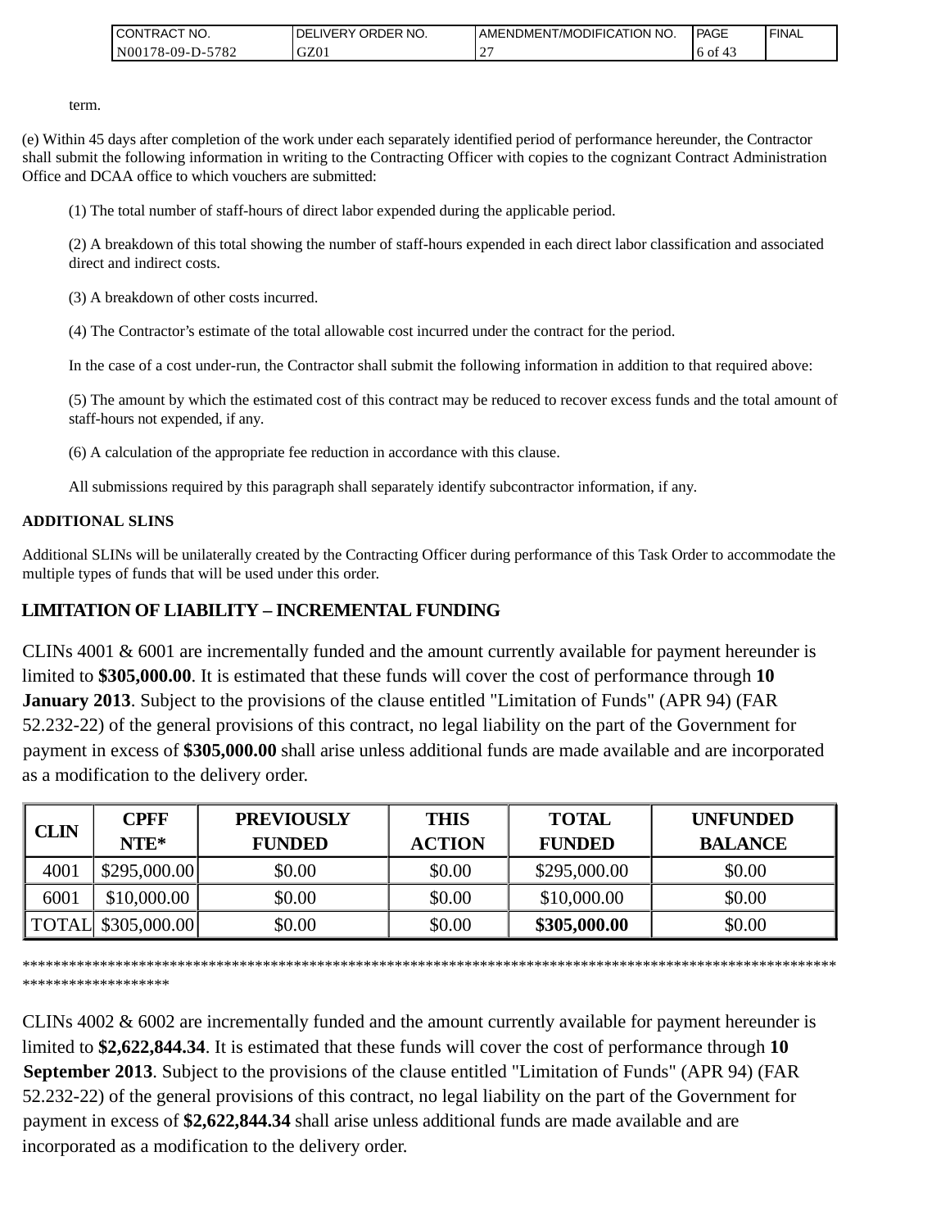| <b>I CONTRACT NO.</b>        | NO.<br>' ORDER<br><b>DELIVERY</b> | AMENDMENT/MODIFICATION NO. | PAGE      | <b>I FINAL</b> |
|------------------------------|-----------------------------------|----------------------------|-----------|----------------|
| 5782<br>N001<br>$178-09-D$ - | GZ01                              |                            | 6 of<br>∸ |                |

term.

(e) Within 45 days after completion of the work under each separately identified period of performance hereunder, the Contractor shall submit the following information in writing to the Contracting Officer with copies to the cognizant Contract Administration Office and DCAA office to which vouchers are submitted:

(1) The total number of staff-hours of direct labor expended during the applicable period.

(2) A breakdown of this total showing the number of staff-hours expended in each direct labor classification and associated direct and indirect costs.

(3) A breakdown of other costs incurred.

(4) The Contractor's estimate of the total allowable cost incurred under the contract for the period.

In the case of a cost under-run, the Contractor shall submit the following information in addition to that required above:

(5) The amount by which the estimated cost of this contract may be reduced to recover excess funds and the total amount of staff-hours not expended, if any.

(6) A calculation of the appropriate fee reduction in accordance with this clause.

All submissions required by this paragraph shall separately identify subcontractor information, if any.

### **ADDITIONAL SLINS**

Additional SLINs will be unilaterally created by the Contracting Officer during performance of this Task Order to accommodate the multiple types of funds that will be used under this order.

## **LIMITATION OF LIABILITY – INCREMENTAL FUNDING**

CLINs 4001 & 6001 are incrementally funded and the amount currently available for payment hereunder is limited to **\$305,000.00**. It is estimated that these funds will cover the cost of performance through **10 January 2013**. Subject to the provisions of the clause entitled "Limitation of Funds" (APR 94) (FAR 52.232-22) of the general provisions of this contract, no legal liability on the part of the Government for payment in excess of **\$305,000.00** shall arise unless additional funds are made available and are incorporated as a modification to the delivery order.

|             | <b>CPFF</b>        | <b>PREVIOUSLY</b> | <b>THIS</b>   | <b>TOTAL</b>  | <b>UNFUNDED</b> |
|-------------|--------------------|-------------------|---------------|---------------|-----------------|
| <b>CLIN</b> | $NTE*$             | <b>FUNDED</b>     | <b>ACTION</b> | <b>FUNDED</b> | <b>BALANCE</b>  |
| 4001        | \$295,000.00       | \$0.00            | \$0.00        | \$295,000.00  | \$0.00          |
| 6001        | \$10,000.00        | \$0.00            | \$0.00        | \$10,000.00   | \$0.00          |
|             | TOTAL \$305,000.00 | \$0.00            | \$0.00        | \$305,000.00  | \$0.00          |

\*\*\*\*\*\*\*\*\*\*\*\*\*\*\*\*\*\*\*\*\*\*\*\*\*\*\*\*\*\*\*\*\*\*\*\*\*\*\*\*\*\*\*\*\*\*\*\*\*\*\*\*\*\*\*\*\*\*\*\*\*\*\*\*\*\*\*\*\*\*\*\*\*\*\*\*\*\*\*\*\*\*\*\*\*\*\*\*\*\*\*\*\*\*\*\*\*\*\*\*\*\*\*\*\* \*\*\*\*\*\*\*\*\*\*\*\*\*\*\*\*\*\*\*

CLINs 4002 & 6002 are incrementally funded and the amount currently available for payment hereunder is limited to **\$2,622,844.34**. It is estimated that these funds will cover the cost of performance through **10 September 2013**. Subject to the provisions of the clause entitled "Limitation of Funds" (APR 94) (FAR 52.232-22) of the general provisions of this contract, no legal liability on the part of the Government for payment in excess of **\$2,622,844.34** shall arise unless additional funds are made available and are CONTRACT IDENTIFY CONTRACT INTELLERTY AND (CONTRACT UNITS 43.6 you be a modification in writing to the CONTRACT AND stable about a stand but the following information in writing to the Contract and DCAA office to which vo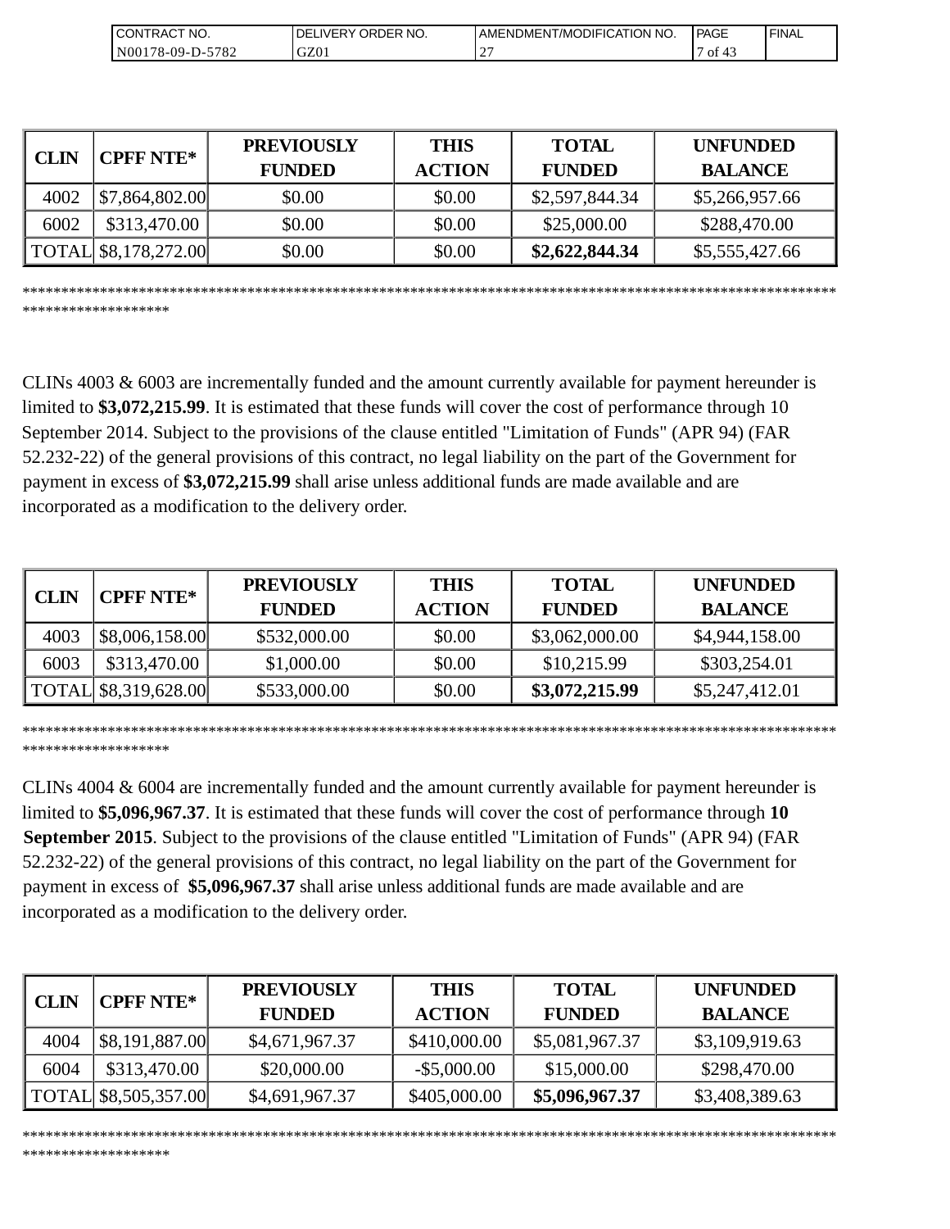| 'NO.<br>CONTRAC <sub>1</sub> | NO.<br><b>ORDER</b><br>DEI<br>_IVERY · | <b>NO</b><br><b>T/MODIFICATION</b><br>AMENDMENT | <b>IPAGE</b> | ' FINAL |
|------------------------------|----------------------------------------|-------------------------------------------------|--------------|---------|
| 5782<br>$NO0178-09-D-2$      | GZ01                                   | $\sim$<br><u>۔</u>                              | of<br>≖      |         |

| <b>CLIN</b> | <b>CPFF NTE*</b>                     | <b>PREVIOUSLY</b><br><b>FUNDED</b> | <b>THIS</b><br><b>ACTION</b> | <b>TOTAL</b><br><b>FUNDED</b> | <b>UNFUNDED</b><br><b>BALANCE</b> |
|-------------|--------------------------------------|------------------------------------|------------------------------|-------------------------------|-----------------------------------|
| 4002        | \$7,864,802.00                       | \$0.00                             | \$0.00                       | \$2,597,844.34                | \$5,266,957.66                    |
| 6002        | \$313,470.00                         | \$0.00                             | \$0.00                       | \$25,000.00                   | \$288,470.00                      |
|             | $\vert$ TOTAL $\vert$ \$8,178,272.00 | \$0.00                             | \$0.00                       | \$2,622,844.34                | \$5,555,427.66                    |

\*\*\*\*\*\*\*\*\*\*\*\*\*\*\*\*\*\*\*\*\*\*\*\*\*\*\*\*\*\*\*\*\*\*\*\*\*\*\*\*\*\*\*\*\*\*\*\*\*\*\*\*\*\*\*\*\*\*\*\*\*\*\*\*\*\*\*\*\*\*\*\*\*\*\*\*\*\*\*\*\*\*\*\*\*\*\*\*\*\*\*\*\*\*\*\*\*\*\*\*\*\*\*\*\*

\*\*\*\*\*\*\*\*\*\*\*\*\*\*\*\*\*\*\*

\*\*\*\*\*\*\*\*\*\*\*\*\*\*\*\*\*\*\*

CLINs 4003 & 6003 are incrementally funded and the amount currently available for payment hereunder is limited to **\$3,072,215.99**. It is estimated that these funds will cover the cost of performance through 10 September 2014. Subject to the provisions of the clause entitled "Limitation of Funds" (APR 94) (FAR 52.232-22) of the general provisions of this contract, no legal liability on the part of the Government for payment in excess of **\$3,072,215.99** shall arise unless additional funds are made available and are incorporated as a modification to the delivery order.

|      | <b>CPFF NTE*</b>     | <b>PREVIOUSLY</b> | <b>THIS</b>   | <b>TOTAL</b>   | <b>UNFUNDED</b> |
|------|----------------------|-------------------|---------------|----------------|-----------------|
|      | <b>CLIN</b>          | <b>FUNDED</b>     | <b>ACTION</b> | <b>FUNDED</b>  | <b>BALANCE</b>  |
| 4003 | \$8,006,158.00       | \$532,000.00      | \$0.00        | \$3,062,000.00 | \$4,944,158.00  |
| 6003 | \$313,470.00         | \$1,000.00        | \$0.00        | \$10,215.99    | \$303,254.01    |
|      | TOTAL \$8,319,628.00 | \$533,000.00      | \$0.00        | \$3,072,215.99 | \$5,247,412.01  |

\*\*\*\*\*\*\*\*\*\*\*\*\*\*\*\*\*\*\*\*\*\*\*\*\*\*\*\*\*\*\*\*\*\*\*\*\*\*\*\*\*\*\*\*\*\*\*\*\*\*\*\*\*\*\*\*\*\*\*\*\*\*\*\*\*\*\*\*\*\*\*\*\*\*\*\*\*\*\*\*\*\*\*\*\*\*\*\*\*\*\*\*\*\*\*\*\*\*\*\*\*\*\*\*\* \*\*\*\*\*\*\*\*\*\*\*\*\*\*\*\*\*\*\*

CLINs 4004 & 6004 are incrementally funded and the amount currently available for payment hereunder is limited to **\$5,096,967.37**. It is estimated that these funds will cover the cost of performance through **10 September 2015**. Subject to the provisions of the clause entitled "Limitation of Funds" (APR 94) (FAR 52.232-22) of the general provisions of this contract, no legal liability on the part of the Government for payment in excess of **\$5,096,967.37** shall arise unless additional funds are made available and are incorporated as a modification to the delivery order.

| <b>CPFF NTE*</b> |                      | <b>PREVIOUSLY</b> | <b>THIS</b>    | <b>TOTAL</b>   | <b>UNFUNDED</b> |
|------------------|----------------------|-------------------|----------------|----------------|-----------------|
| <b>CLIN</b>      |                      | <b>FUNDED</b>     | <b>ACTION</b>  | <b>FUNDED</b>  | <b>BALANCE</b>  |
| 4004             | \$8,191,887.00       | \$4,671,967.37    | \$410,000.00   | \$5,081,967.37 | \$3,109,919.63  |
| 6004             | \$313,470.00         | \$20,000.00       | $-$ \$5,000.00 | \$15,000.00    | \$298,470.00    |
|                  | TOTAL \$8,505,357.00 | \$4,691,967.37    | \$405,000.00   | \$5,096,967.37 | \$3,408,389.63  |

\*\*\*\*\*\*\*\*\*\*\*\*\*\*\*\*\*\*\*\*\*\*\*\*\*\*\*\*\*\*\*\*\*\*\*\*\*\*\*\*\*\*\*\*\*\*\*\*\*\*\*\*\*\*\*\*\*\*\*\*\*\*\*\*\*\*\*\*\*\*\*\*\*\*\*\*\*\*\*\*\*\*\*\*\*\*\*\*\*\*\*\*\*\*\*\*\*\*\*\*\*\*\*\*\*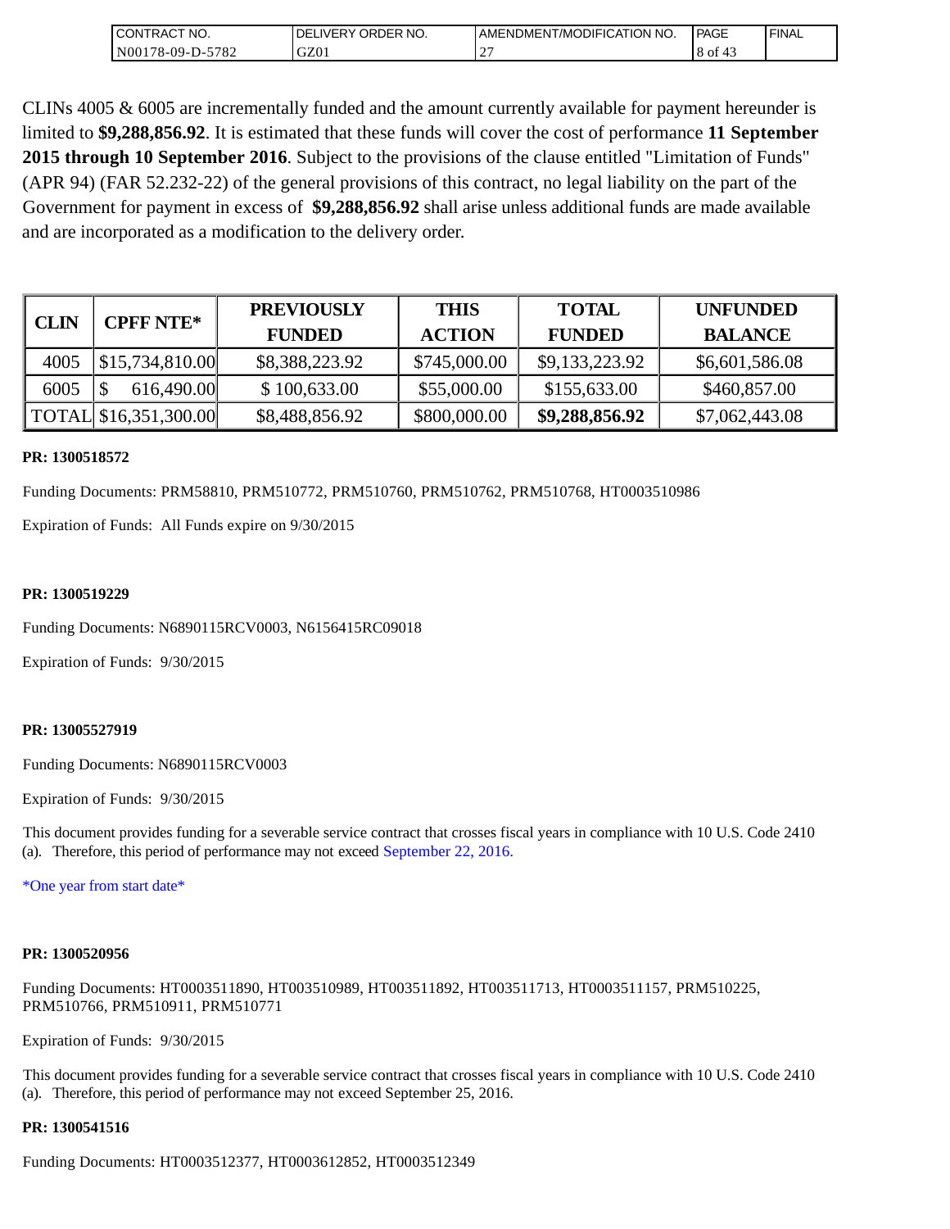| <b>CONTRACT NO.</b>                    | NO.<br>' ORDER<br><b>DELIVERY</b> | AMENDMENT/MODIFICATION NO. | l PAGE | ' FINAL |
|----------------------------------------|-----------------------------------|----------------------------|--------|---------|
| N00 <sub>1</sub><br>-5782<br>78-09-D-5 | GZ01                              |                            | 8 of   |         |

CLINs 4005 & 6005 are incrementally funded and the amount currently available for payment hereunder is limited to **\$9,288,856.92**. It is estimated that these funds will cover the cost of performance **11 September 2015 through 10 September 2016**. Subject to the provisions of the clause entitled "Limitation of Funds" (APR 94) (FAR 52.232-22) of the general provisions of this contract, no legal liability on the part of the Government for payment in excess of **\$9,288,856.92** shall arise unless additional funds are made available and are incorporated as a modification to the delivery order.

|             | <b>CPFF NTE*</b>        | <b>PREVIOUSLY</b> | <b>THIS</b>   | <b>TOTAL</b>   | <b>UNFUNDED</b> |
|-------------|-------------------------|-------------------|---------------|----------------|-----------------|
| <b>CLIN</b> |                         | <b>FUNDED</b>     | <b>ACTION</b> | <b>FUNDED</b>  | <b>BALANCE</b>  |
| 4005        | $\vert$ \$15,734,810.00 | \$8,388,223.92    | \$745,000.00  | \$9,133,223.92 | \$6,601,586.08  |
| 6005        | 616,490.00              | \$100,633.00      | \$55,000.00   | \$155,633.00   | \$460,857.00    |
|             | TOTAL \$16,351,300.00   | \$8,488,856.92    | \$800,000.00  | \$9,288,856.92 | \$7,062,443.08  |

### **PR: 1300518572**

Funding Documents: PRM58810, PRM510772, PRM510760, PRM510762, PRM510768, HT0003510986

Expiration of Funds: All Funds expire on 9/30/2015

### **PR: 1300519229**

Funding Documents: N6890115RCV0003, N6156415RC09018

Expiration of Funds: 9/30/2015

### **PR: 13005527919**

Funding Documents: N6890115RCV0003

Expiration of Funds: 9/30/2015

This document provides funding for a severable service contract that crosses fiscal years in compliance with 10 U.S. Code 2410 (a). Therefore, this period of performance may not exceed September 22, 2016.

\*One year from start date\*

#### **PR: 1300520956**

Funding Documents: HT0003511890, HT003510989, HT003511892, HT003511713, HT0003511157, PRM510225, PRM510766, PRM510911, PRM510771

Expiration of Funds: 9/30/2015

This document provides funding for a severable service contract that crosses fiscal years in compliance with 10 U.S. Code 2410 (a). Therefore, this period of performance may not exceed September 25, 2016.

#### **PR: 1300541516**

Funding Documents: HT0003512377, HT0003612852, HT0003512349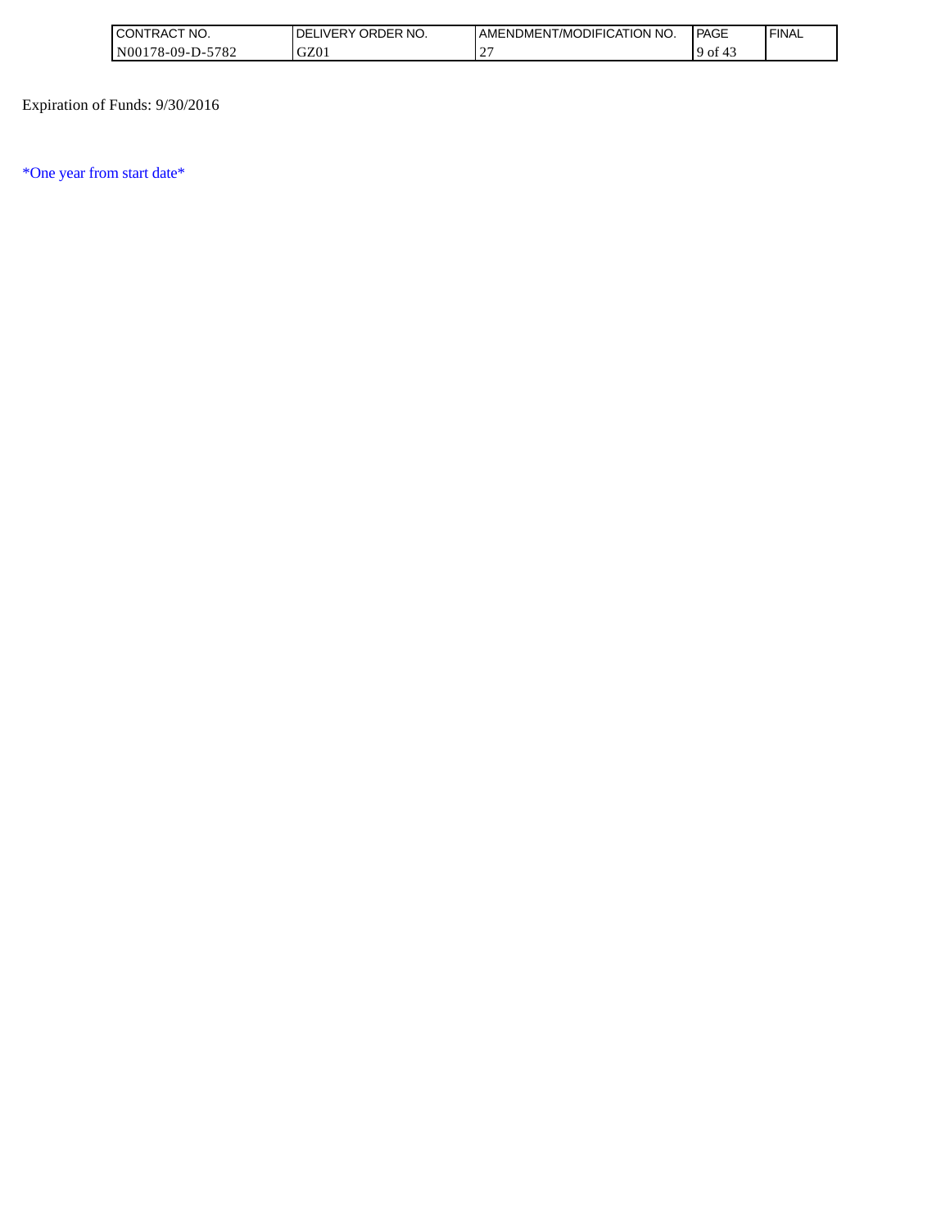| 'NO.<br>UON!"<br>'I RAL                                                             | RDER NO.<br>٦F<br>эĸ<br>IVER Y | <b>ATION</b><br>` <b>'</b> ODIFICA`I ⊾<br>' NO.<br>AMENL<br>DMENT/MO | PAGE    | <b>FINAL</b> |
|-------------------------------------------------------------------------------------|--------------------------------|----------------------------------------------------------------------|---------|--------------|
| $F = \Omega$<br>N <sub>00</sub><br>$09 -$<br>78-05<br>.<br>' O ∠<br><b>.</b><br>- - | $\sim$<br>JZU                  |                                                                      | ОI<br>ч |              |

Expiration of Funds: 9/30/2016

\*One year from start date\*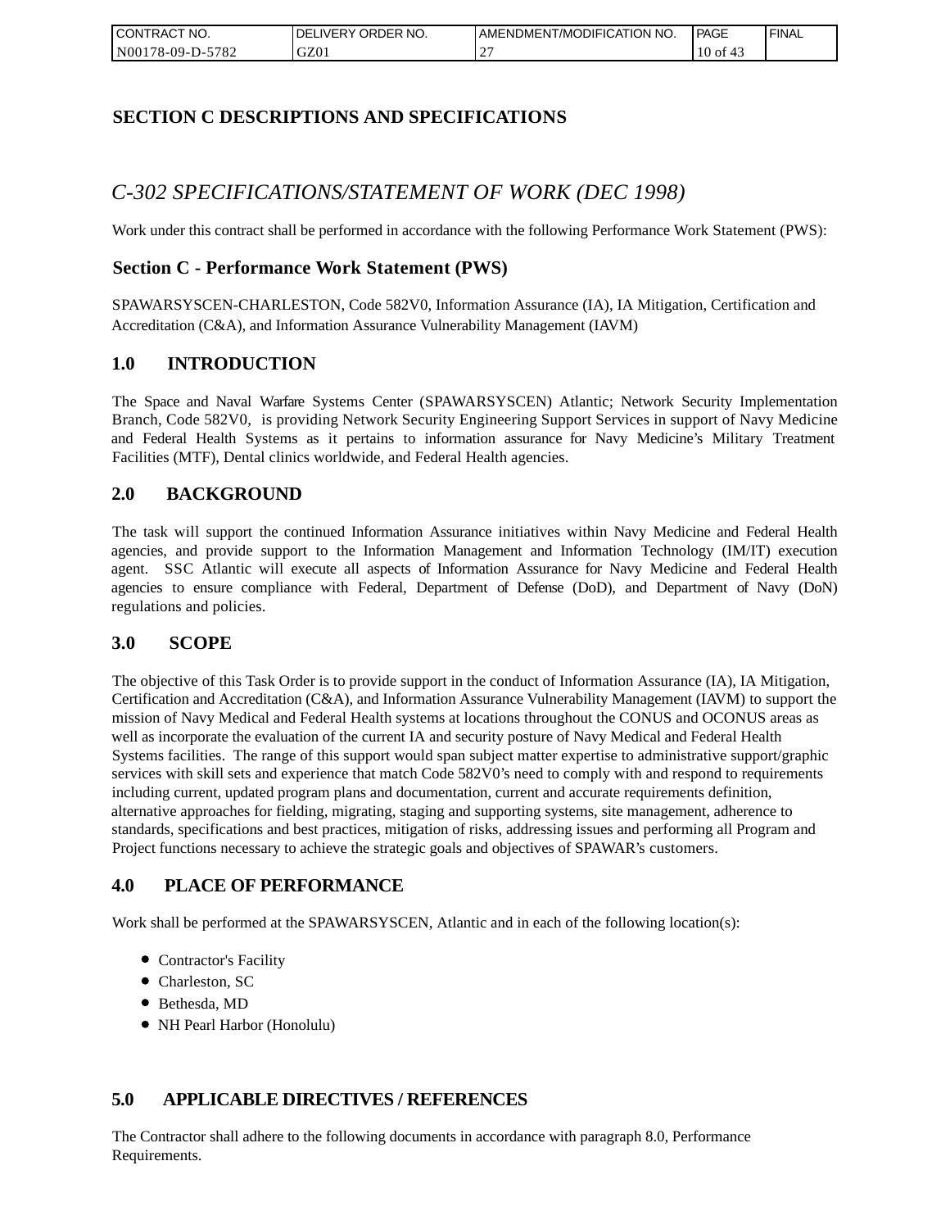| I CONTRACT NO.   | `NO.<br><b>IDELIVERY ORDER</b> | AMENDMENT/MODIFICATION NO. | <b>PAGE</b>    | ' FINAL |
|------------------|--------------------------------|----------------------------|----------------|---------|
| N00178-09-D-5782 | GZ01                           |                            | $10$ of<br>-43 |         |

## **SECTION C DESCRIPTIONS AND SPECIFICATIONS**

# *C-302 SPECIFICATIONS/STATEMENT OF WORK (DEC 1998)*

Work under this contract shall be performed in accordance with the following Performance Work Statement (PWS):

## **Section C - Performance Work Statement (PWS)**

SPAWARSYSCEN-CHARLESTON, Code 582V0, Information Assurance (IA), IA Mitigation, Certification and Accreditation (C&A), and Information Assurance Vulnerability Management (IAVM)

### **1.0 INTRODUCTION**

The Space and Naval Warfare Systems Center (SPAWARSYSCEN) Atlantic; Network Security Implementation Branch, Code 582V0, is providing Network Security Engineering Support Services in support of Navy Medicine and Federal Health Systems as it pertains to information assurance for Navy Medicine's Military Treatment Facilities (MTF), Dental clinics worldwide, and Federal Health agencies.

## **2.0 BACKGROUND**

The task will support the continued Information Assurance initiatives within Navy Medicine and Federal Health agencies, and provide support to the Information Management and Information Technology (IM/IT) execution agent. SSC Atlantic will execute all aspects of Information Assurance for Navy Medicine and Federal Health agencies to ensure compliance with Federal, Department of Defense (DoD), and Department of Navy (DoN) regulations and policies.

### **3.0 SCOPE**

The objective of this Task Order is to provide support in the conduct of Information Assurance (IA), IA Mitigation, Certification and Accreditation (C&A), and Information Assurance Vulnerability Management (IAVM) to support the mission of Navy Medical and Federal Health systems at locations throughout the CONUS and OCONUS areas as well as incorporate the evaluation of the current IA and security posture of Navy Medical and Federal Health Systems facilities. The range of this support would span subject matter expertise to administrative support/graphic services with skill sets and experience that match Code 582V0's need to comply with and respond to requirements including current, updated program plans and documentation, current and accurate requirements definition, alternative approaches for fielding, migrating, staging and supporting systems, site management, adherence to standards, specifications and best practices, mitigation of risks, addressing issues and performing all Program and Project functions necessary to achieve the strategic goals and objectives of SPAWAR's customers.

## **4.0 PLACE OF PERFORMANCE**

Work shall be performed at the SPAWARSYSCEN, Atlantic and in each of the following location(s):

- Contractor's Facility
- Charleston, SC
- Bethesda, MD
- NH Pearl Harbor (Honolulu)

## **5.0 APPLICABLE DIRECTIVES / REFERENCES**

The Contractor shall adhere to the following documents in accordance with paragraph 8.0, Performance Requirements.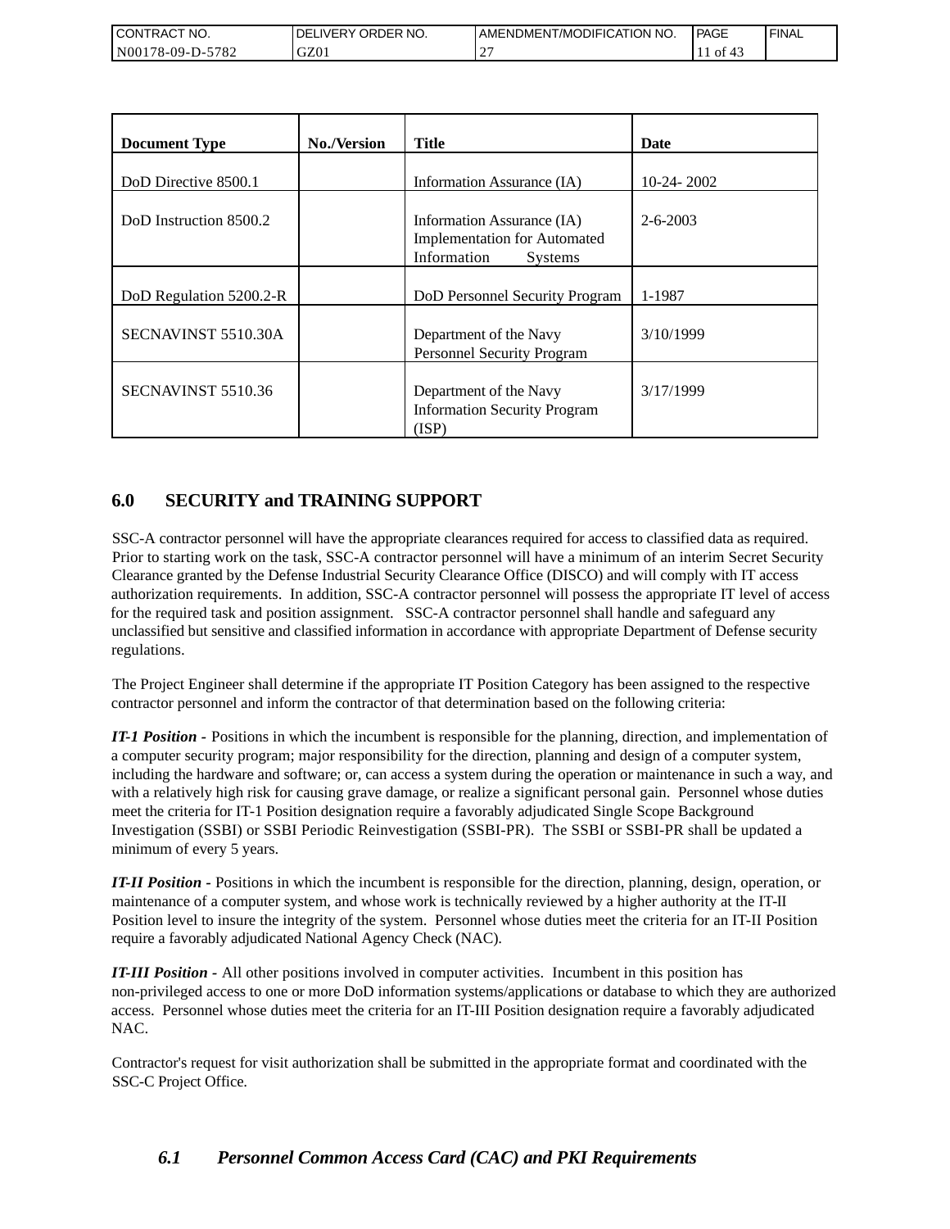| <b>I CONTRACT NO.</b>                              | NO.<br>' ORDER<br>DELIVERY | AMENDMENT/MODIFICATION NO. | <b>PAGE</b>   | 'FINAL |
|----------------------------------------------------|----------------------------|----------------------------|---------------|--------|
| 5782<br>N <sub>00</sub><br>'8-09-I<br>$\mathbf{L}$ | GZ01                       |                            | $\cdot$ of 4. |        |

| <b>Document Type</b>    | <b>No./Version</b> | <b>Title</b>                                                                                       | Date           |
|-------------------------|--------------------|----------------------------------------------------------------------------------------------------|----------------|
| DoD Directive 8500.1    |                    | Information Assurance (IA)                                                                         | $10-24-2002$   |
| DoD Instruction 8500.2  |                    | Information Assurance (IA)<br><b>Implementation for Automated</b><br>Information<br><b>Systems</b> | $2 - 6 - 2003$ |
| DoD Regulation 5200.2-R |                    | DoD Personnel Security Program                                                                     | 1-1987         |
| SECNAVINST 5510.30A     |                    | Department of the Navy<br>Personnel Security Program                                               | 3/10/1999      |
| SECNAVINST 5510.36      |                    | Department of the Navy<br><b>Information Security Program</b><br>(ISP)                             | 3/17/1999      |

## **6.0 SECURITY and TRAINING SUPPORT**

SSC-A contractor personnel will have the appropriate clearances required for access to classified data as required. Prior to starting work on the task, SSC-A contractor personnel will have a minimum of an interim Secret Security Clearance granted by the Defense Industrial Security Clearance Office (DISCO) and will comply with IT access authorization requirements. In addition, SSC-A contractor personnel will possess the appropriate IT level of access for the required task and position assignment. SSC-A contractor personnel shall handle and safeguard any unclassified but sensitive and classified information in accordance with appropriate Department of Defense security regulations.

The Project Engineer shall determine if the appropriate IT Position Category has been assigned to the respective contractor personnel and inform the contractor of that determination based on the following criteria:

*IT-1 Position -* Positions in which the incumbent is responsible for the planning, direction, and implementation of a computer security program; major responsibility for the direction, planning and design of a computer system, including the hardware and software; or, can access a system during the operation or maintenance in such a way, and with a relatively high risk for causing grave damage, or realize a significant personal gain. Personnel whose duties meet the criteria for IT-1 Position designation require a favorably adjudicated Single Scope Background Investigation (SSBI) or SSBI Periodic Reinvestigation (SSBI-PR). The SSBI or SSBI-PR shall be updated a minimum of every 5 years.

*IT-II Position -* Positions in which the incumbent is responsible for the direction, planning, design, operation, or maintenance of a computer system, and whose work is technically reviewed by a higher authority at the IT-II Position level to insure the integrity of the system. Personnel whose duties meet the criteria for an IT-II Position require a favorably adjudicated National Agency Check (NAC).

*IT-III Position -* All other positions involved in computer activities. Incumbent in this position has non-privileged access to one or more DoD information systems/applications or database to which they are authorized access. Personnel whose duties meet the criteria for an IT-III Position designation require a favorably adjudicated NAC.

Contractor's request for visit authorization shall be submitted in the appropriate format and coordinated with the SSC-C Project Office.

## *6.1 Personnel Common Access Card (CAC) and PKI Requirements*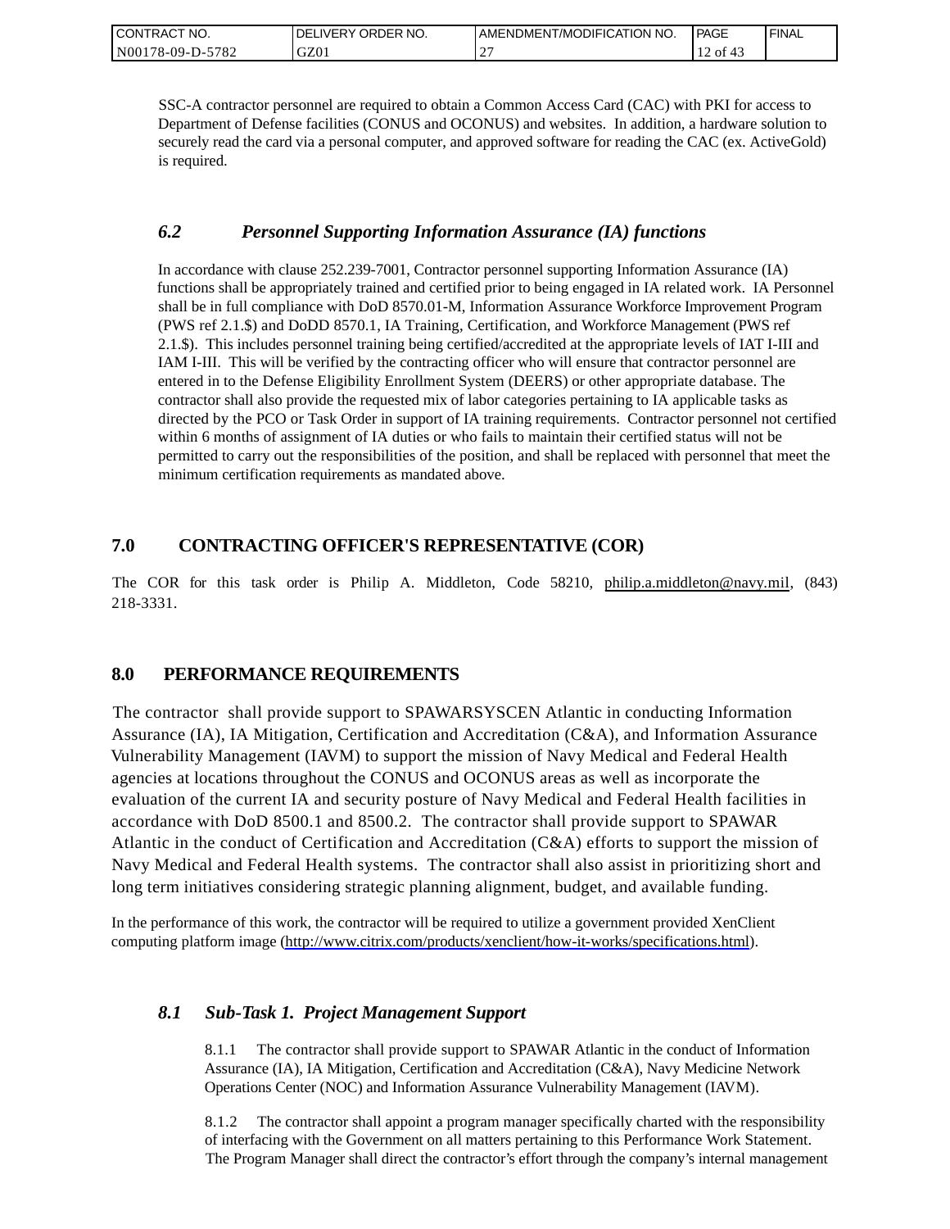| CONTRACT NO.     | ORDER NO.<br><b>DELIVERY</b> | I AMENDMENT/MODIFICATION NO. | PAGE         | ' FINAL |
|------------------|------------------------------|------------------------------|--------------|---------|
| N00178-09-D-5782 | GZ01                         | $\sim$<br>∸                  | of $43$<br>∸ |         |

SSC-A contractor personnel are required to obtain a Common Access Card (CAC) with PKI for access to Department of Defense facilities (CONUS and OCONUS) and websites. In addition, a hardware solution to securely read the card via a personal computer, and approved software for reading the CAC (ex. ActiveGold) is required.

### *6.2 Personnel Supporting Information Assurance (IA) functions*

In accordance with clause 252.239-7001, Contractor personnel supporting Information Assurance (IA) functions shall be appropriately trained and certified prior to being engaged in IA related work. IA Personnel shall be in full compliance with DoD 8570.01-M, Information Assurance Workforce Improvement Program (PWS ref 2.1.\$) and DoDD 8570.1, IA Training, Certification, and Workforce Management (PWS ref 2.1.\$). This includes personnel training being certified/accredited at the appropriate levels of IAT I-III and IAM I-III. This will be verified by the contracting officer who will ensure that contractor personnel are entered in to the Defense Eligibility Enrollment System (DEERS) or other appropriate database. The contractor shall also provide the requested mix of labor categories pertaining to IA applicable tasks as directed by the PCO or Task Order in support of IA training requirements. Contractor personnel not certified within 6 months of assignment of IA duties or who fails to maintain their certified status will not be permitted to carry out the responsibilities of the position, and shall be replaced with personnel that meet the minimum certification requirements as mandated above.

## **7.0 CONTRACTING OFFICER'S REPRESENTATIVE (COR)**

The COR for this task order is Philip A. Middleton, Code 58210, [philip.a.middleton@navy.mil,](mailto:cphilip.a.middleton@navy.mil) (843) 218-3331.

## **8.0 PERFORMANCE REQUIREMENTS**

The contractor shall provide support to SPAWARSYSCEN Atlantic in conducting Information Assurance (IA), IA Mitigation, Certification and Accreditation (C&A), and Information Assurance Vulnerability Management (IAVM) to support the mission of Navy Medical and Federal Health agencies at locations throughout the CONUS and OCONUS areas as well as incorporate the evaluation of the current IA and security posture of Navy Medical and Federal Health facilities in accordance with DoD 8500.1 and 8500.2. The contractor shall provide support to SPAWAR Atlantic in the conduct of Certification and Accreditation (C&A) efforts to support the mission of Navy Medical and Federal Health systems. The contractor shall also assist in prioritizing short and long term initiatives considering strategic planning alignment, budget, and available funding.

In the performance of this work, the contractor will be required to utilize a government provided XenClient computing platform image [\(http://www.citrix.com/products/xenclient/how-it-works/specifications.html\)](http://www.citrix.com/products/xenclient/how-it-works/specifications.html).

## *8.1 Sub-Task 1. Project Management Support*

8.1.1 The contractor shall provide support to SPAWAR Atlantic in the conduct of Information Assurance (IA), IA Mitigation, Certification and Accreditation (C&A), Navy Medicine Network Operations Center (NOC) and Information Assurance Vulnerability Management (IAVM).

8.1.2 The contractor shall appoint a program manager specifically charted with the responsibility of interfacing with the Government on all matters pertaining to this Performance Work Statement. The Program Manager shall direct the contractor's effort through the company's internal management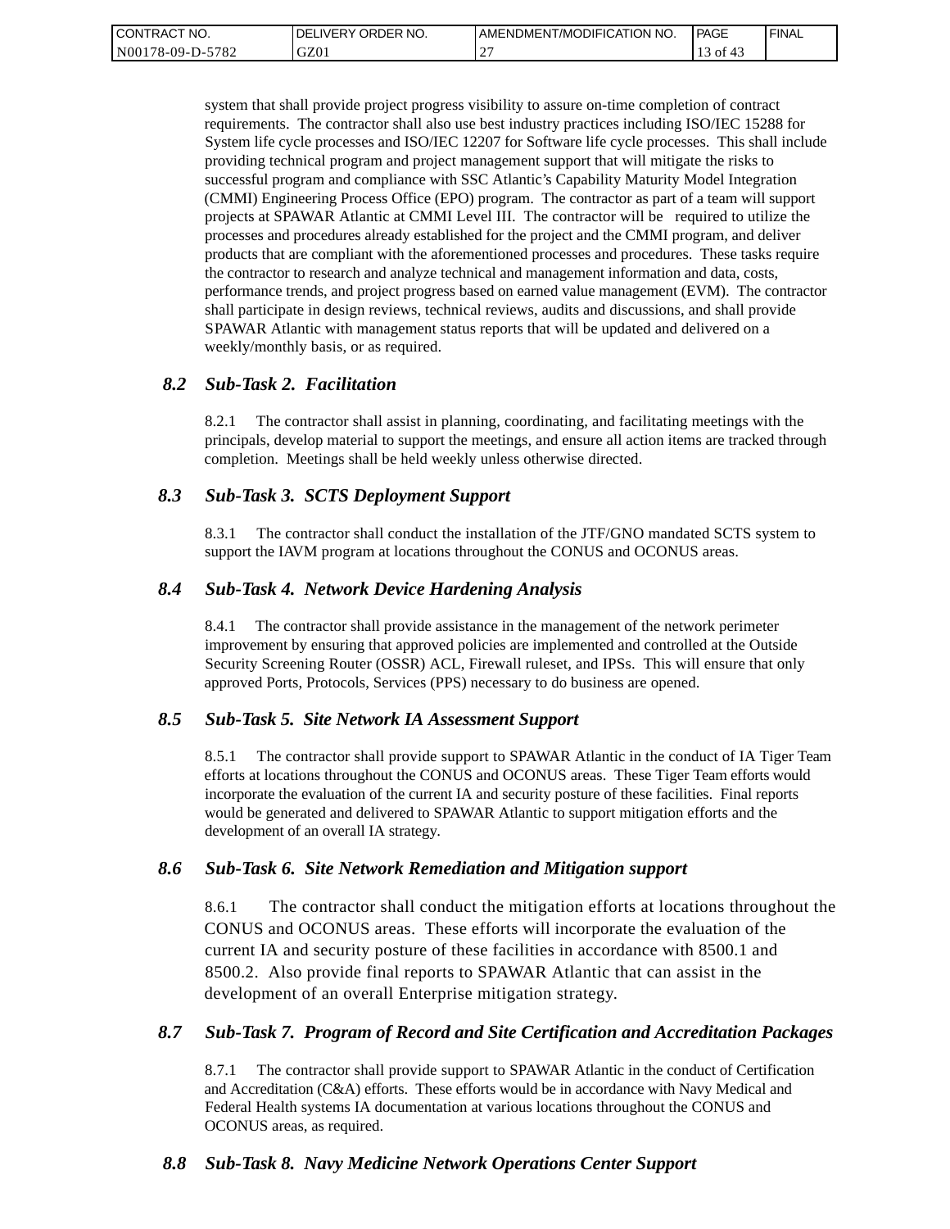| <b>CONTRACT</b><br>" NO. | ' ORDER NO.<br><b>DELIVERY</b> | I AMENDMENT/MODIFICATION NO. | PAGE          | ' FINAL |
|--------------------------|--------------------------------|------------------------------|---------------|---------|
| N00178-09-D-5782         | GZ01                           | $\sim$<br>-                  | $\cdot$ of 4. |         |

system that shall provide project progress visibility to assure on-time completion of contract requirements. The contractor shall also use best industry practices including ISO/IEC 15288 for System life cycle processes and ISO/IEC 12207 for Software life cycle processes. This shall include providing technical program and project management support that will mitigate the risks to successful program and compliance with SSC Atlantic's Capability Maturity Model Integration (CMMI) Engineering Process Office (EPO) program. The contractor as part of a team will support projects at SPAWAR Atlantic at CMMI Level III. The contractor will be required to utilize the processes and procedures already established for the project and the CMMI program, and deliver products that are compliant with the aforementioned processes and procedures. These tasks require the contractor to research and analyze technical and management information and data, costs, performance trends, and project progress based on earned value management (EVM). The contractor shall participate in design reviews, technical reviews, audits and discussions, and shall provide SPAWAR Atlantic with management status reports that will be updated and delivered on a weekly/monthly basis, or as required.

### *8.2 Sub-Task 2. Facilitation*

8.2.1 The contractor shall assist in planning, coordinating, and facilitating meetings with the principals, develop material to support the meetings, and ensure all action items are tracked through completion. Meetings shall be held weekly unless otherwise directed.

### *8.3 Sub-Task 3. SCTS Deployment Support*

8.3.1 The contractor shall conduct the installation of the JTF/GNO mandated SCTS system to support the IAVM program at locations throughout the CONUS and OCONUS areas.

### *8.4 Sub-Task 4. Network Device Hardening Analysis*

8.4.1 The contractor shall provide assistance in the management of the network perimeter improvement by ensuring that approved policies are implemented and controlled at the Outside Security Screening Router (OSSR) ACL, Firewall ruleset, and IPSs. This will ensure that only approved Ports, Protocols, Services (PPS) necessary to do business are opened.

### *8.5 Sub-Task 5. Site Network IA Assessment Support*

8.5.1 The contractor shall provide support to SPAWAR Atlantic in the conduct of IA Tiger Team efforts at locations throughout the CONUS and OCONUS areas. These Tiger Team efforts would incorporate the evaluation of the current IA and security posture of these facilities. Final reports would be generated and delivered to SPAWAR Atlantic to support mitigation efforts and the development of an overall IA strategy.

### *8.6 Sub-Task 6. Site Network Remediation and Mitigation support*

8.6.1 The contractor shall conduct the mitigation efforts at locations throughout the CONUS and OCONUS areas. These efforts will incorporate the evaluation of the current IA and security posture of these facilities in accordance with 8500.1 and 8500.2. Also provide final reports to SPAWAR Atlantic that can assist in the development of an overall Enterprise mitigation strategy.

### *8.7 Sub-Task 7. Program of Record and Site Certification and Accreditation Packages*

8.7.1 The contractor shall provide support to SPAWAR Atlantic in the conduct of Certification and Accreditation (C&A) efforts. These efforts would be in accordance with Navy Medical and Federal Health systems IA documentation at various locations throughout the CONUS and OCONUS areas, as required.

### *8.8 Sub-Task 8. Navy Medicine Network Operations Center Support*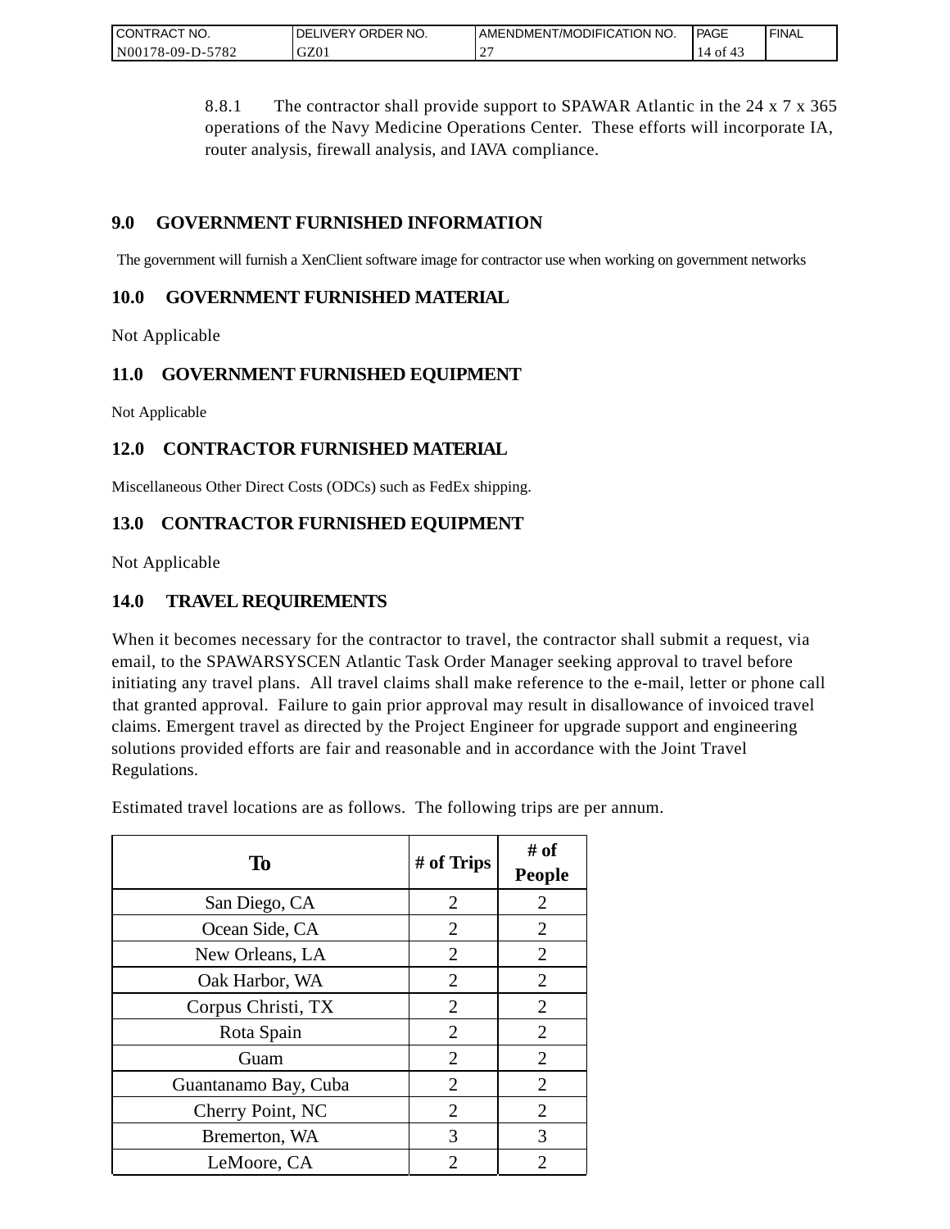| <b>CONTRACT</b><br>" NO.    | `ORDER NO.<br><b>DELIVERY</b> | AMENDMENT/MODIFICATION NO. | PAGE       | <b>FINAL</b> |
|-----------------------------|-------------------------------|----------------------------|------------|--------------|
| $-5782$<br>N00<br>/8-09-D-5 | GZ0.                          | $\sim$<br>∸                | 4014<br>14 |              |

8.8.1 The contractor shall provide support to SPAWAR Atlantic in the 24 x 7 x 365 operations of the Navy Medicine Operations Center. These efforts will incorporate IA, router analysis, firewall analysis, and IAVA compliance.

## **9.0 GOVERNMENT FURNISHED INFORMATION**

The government will furnish a XenClient software image for contractor use when working on government networks

## **10.0 GOVERNMENT FURNISHED MATERIAL**

Not Applicable

## **11.0 GOVERNMENT FURNISHED EQUIPMENT**

Not Applicable

## **12.0 CONTRACTOR FURNISHED MATERIAL**

Miscellaneous Other Direct Costs (ODCs) such as FedEx shipping.

## **13.0 CONTRACTOR FURNISHED EQUIPMENT**

Not Applicable

## **14.0 TRAVEL REQUIREMENTS**

When it becomes necessary for the contractor to travel, the contractor shall submit a request, via email, to the SPAWARSYSCEN Atlantic Task Order Manager seeking approval to travel before initiating any travel plans. All travel claims shall make reference to the e-mail, letter or phone call that granted approval. Failure to gain prior approval may result in disallowance of invoiced travel claims. Emergent travel as directed by the Project Engineer for upgrade support and engineering solutions provided efforts are fair and reasonable and in accordance with the Joint Travel Regulations.

Estimated travel locations are as follows. The following trips are per annum.

| To                   | # of Trips     | # of<br><b>People</b> |
|----------------------|----------------|-----------------------|
| San Diego, CA        | $\overline{2}$ | $\overline{2}$        |
| Ocean Side, CA       | $\overline{2}$ | $\overline{2}$        |
| New Orleans, LA      | 2              | 2                     |
| Oak Harbor, WA       | $\overline{2}$ | $\overline{2}$        |
| Corpus Christi, TX   | 2              | $\overline{2}$        |
| Rota Spain           | $\overline{2}$ | $\overline{2}$        |
| Guam                 | $\overline{2}$ | $\overline{2}$        |
| Guantanamo Bay, Cuba | $\overline{2}$ | $\overline{2}$        |
| Cherry Point, NC     | $\overline{2}$ | $\overline{2}$        |
| Bremerton, WA        | 3              | 3                     |
| LeMoore, CA          | 2              | 2                     |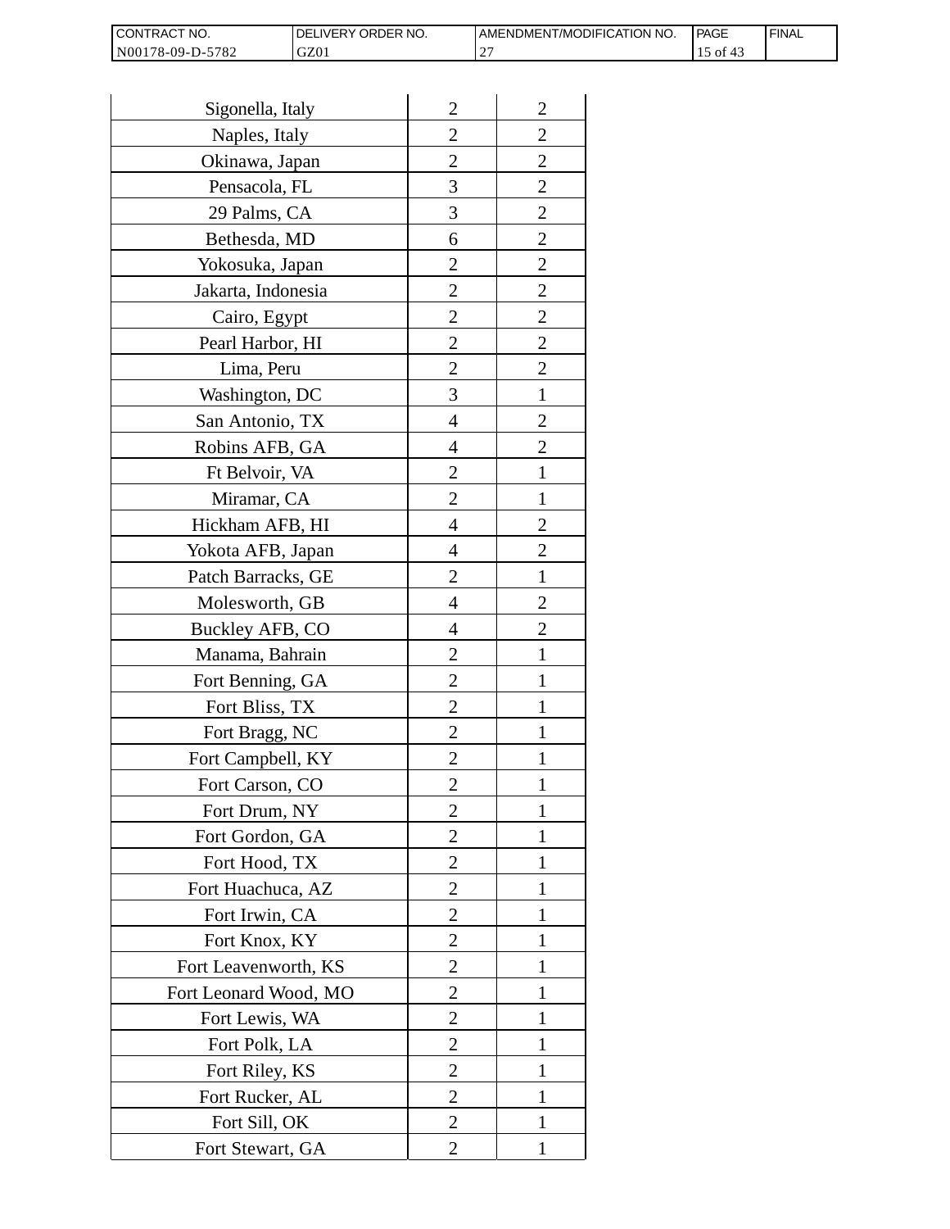| <b>I CONTRACT NO.</b> | <b>IDELIVERY ORDER NO.</b> | AMENDMENT/MODIFICATION NO. | PAGE | 'FINAL |
|-----------------------|----------------------------|----------------------------|------|--------|
| N00178-09-D-5782      | GZ01                       |                            | 0Ī   |        |

| Sigonella, Italy      | $\overline{2}$ | $\overline{2}$ |
|-----------------------|----------------|----------------|
| Naples, Italy         | $\overline{c}$ | $\overline{c}$ |
| Okinawa, Japan        | $\overline{c}$ | $\overline{c}$ |
| Pensacola, FL         | 3              | $\overline{c}$ |
| 29 Palms, CA          | 3              | $\overline{2}$ |
| Bethesda, MD          | 6              | $\overline{2}$ |
| Yokosuka, Japan       | 2              | $\overline{c}$ |
| Jakarta, Indonesia    | $\overline{c}$ | $\overline{c}$ |
| Cairo, Egypt          | $\overline{c}$ | $\overline{c}$ |
| Pearl Harbor, HI      | $\overline{2}$ | $\overline{2}$ |
| Lima, Peru            | $\overline{c}$ | $\overline{2}$ |
| Washington, DC        | 3              | $\mathbf{1}$   |
| San Antonio, TX       | 4              | $\overline{c}$ |
| Robins AFB, GA        | 4              | $\overline{c}$ |
| Ft Belvoir, VA        | $\overline{c}$ | $\mathbf{1}$   |
| Miramar, CA           | $\overline{2}$ | 1              |
| Hickham AFB, HI       | 4              | $\overline{2}$ |
| Yokota AFB, Japan     | 4              | $\overline{c}$ |
| Patch Barracks, GE    | $\overline{2}$ | $\mathbf{1}$   |
| Molesworth, GB        | 4              | $\overline{2}$ |
| Buckley AFB, CO       | 4              | $\overline{c}$ |
| Manama, Bahrain       | $\overline{c}$ | $\mathbf{1}$   |
| Fort Benning, GA      | $\overline{c}$ | 1              |
| Fort Bliss, TX        | $\overline{c}$ | 1              |
| Fort Bragg, NC        | $\overline{2}$ | 1              |
| Fort Campbell, KY     | $\overline{c}$ |                |
| Fort Carson, CO       | $\overline{c}$ | 1              |
| Fort Drum, NY         | $\overline{2}$ | 1              |
| Fort Gordon, GA       | $\overline{2}$ | 1              |
| Fort Hood, TX         | $\overline{2}$ | I              |
| Fort Huachuca, AZ     | 2              | 1              |
| Fort Irwin, CA        | $\overline{c}$ | 1              |
| Fort Knox, KY         | $\overline{c}$ | 1              |
| Fort Leavenworth, KS  | $\overline{2}$ | $\mathbf{1}$   |
| Fort Leonard Wood, MO | $\overline{2}$ | 1              |
| Fort Lewis, WA        | 2              | 1              |
| Fort Polk, LA         | 2              | 1              |
| Fort Riley, KS        | $\overline{c}$ | 1              |
| Fort Rucker, AL       | $\overline{c}$ | 1              |
| Fort Sill, OK         | 2              | 1              |
| Fort Stewart, GA      | 2              | 1              |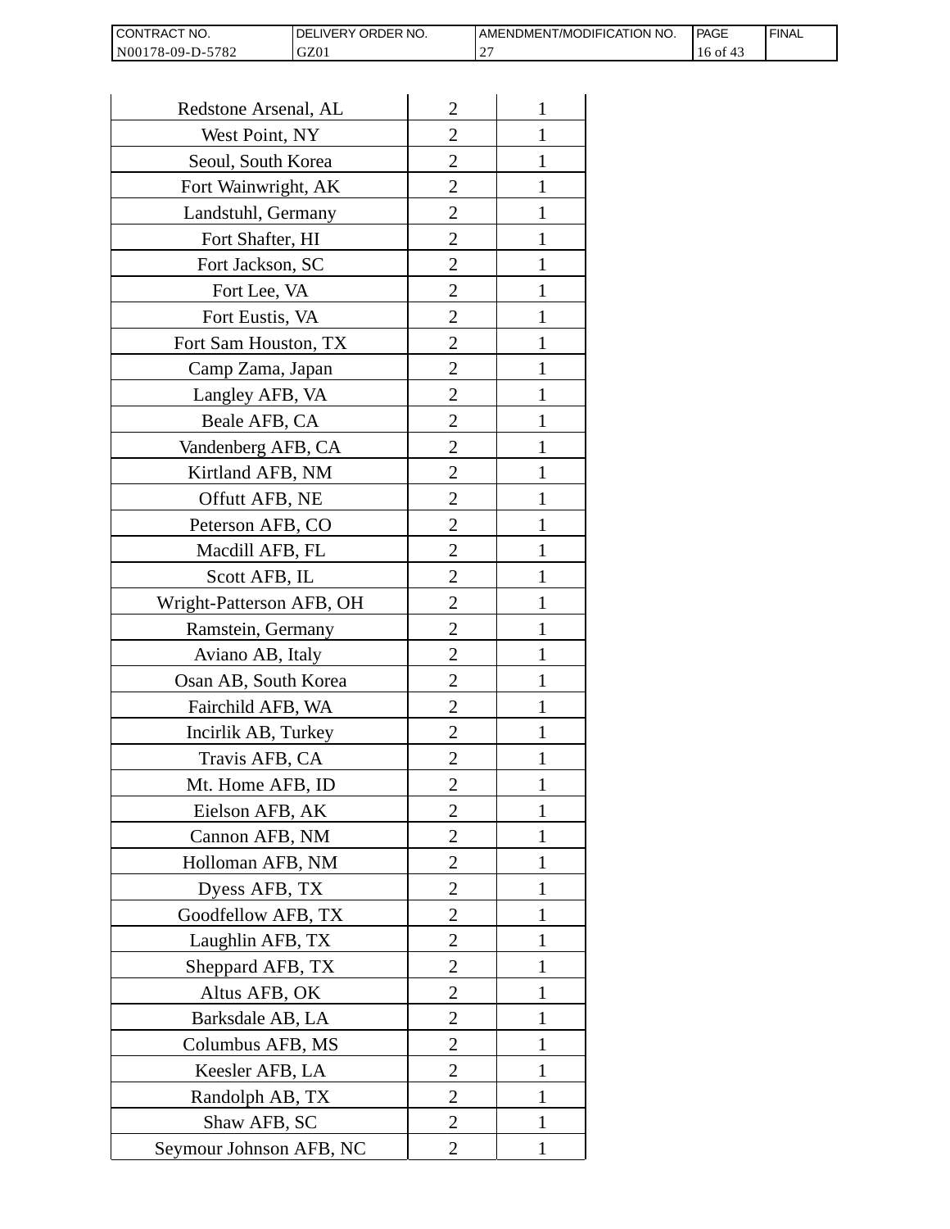| CONTRACT<br>`CT NO.      | `NO.<br><b>DELIVERY ORDER</b> | AMENDMENT/MODIFICATION NO. | l PAGE | 'FINAL |
|--------------------------|-------------------------------|----------------------------|--------|--------|
| N00178-09-D-5<br>$-5782$ | GZ01                          |                            | 16 of  |        |

| Redstone Arsenal, AL     | $\overline{2}$ | 1            |
|--------------------------|----------------|--------------|
| West Point, NY           | $\overline{2}$ | 1            |
| Seoul, South Korea       | $\overline{2}$ | 1            |
| Fort Wainwright, AK      | $\overline{c}$ | 1            |
| Landstuhl, Germany       | $\overline{2}$ | 1            |
| Fort Shafter, HI         | $\overline{2}$ | 1            |
| Fort Jackson, SC         | 2              | 1            |
| Fort Lee, VA             | 2              | 1            |
| Fort Eustis, VA          | 2              | 1            |
| Fort Sam Houston, TX     | $\overline{c}$ | 1            |
| Camp Zama, Japan         | $\overline{2}$ | 1            |
| Langley AFB, VA          | $\overline{2}$ | 1            |
| Beale AFB, CA            | $\overline{c}$ | 1            |
| Vandenberg AFB, CA       | 2              | 1            |
| Kirtland AFB, NM         | $\overline{2}$ | 1            |
| Offutt AFB, NE           | $\overline{2}$ | 1            |
| Peterson AFB, CO         | 2              | 1            |
| Macdill AFB, FL          | $\overline{2}$ | 1            |
| Scott AFB, IL            | 2              | 1            |
| Wright-Patterson AFB, OH | $\overline{2}$ | 1            |
| Ramstein, Germany        | $\overline{2}$ | 1            |
| Aviano AB, Italy         | 2              |              |
| Osan AB, South Korea     | 2              | 1            |
| Fairchild AFB, WA        | $\overline{2}$ | 1            |
| Incirlik AB, Turkey      | 2              | 1            |
| Travis AFB, CA           | 2              |              |
| Mt. Home AFB, ID         | 2              |              |
| Eielson AFB, AK          | $\overline{2}$ | 1            |
| Cannon AFB, NM           | $\overline{2}$ | $\mathbf{1}$ |
| Holloman AFB, NM         | $\overline{2}$ | 1            |
| Dyess AFB, TX            | 2              | 1            |
| Goodfellow AFB, TX       | 2              | 1            |
| Laughlin AFB, TX         | 2              | 1            |
| Sheppard AFB, TX         | $\overline{c}$ | 1            |
| Altus AFB, OK            | $\overline{2}$ | 1            |
| Barksdale AB, LA         | $\overline{2}$ | 1            |
| Columbus AFB, MS         | $\overline{2}$ | 1            |
| Keesler AFB, LA          | 2              | 1            |
| Randolph AB, TX          | $\overline{2}$ | $\mathbf{1}$ |
| Shaw AFB, SC             | $\overline{2}$ | 1            |
| Seymour Johnson AFB, NC  | 2              | 1            |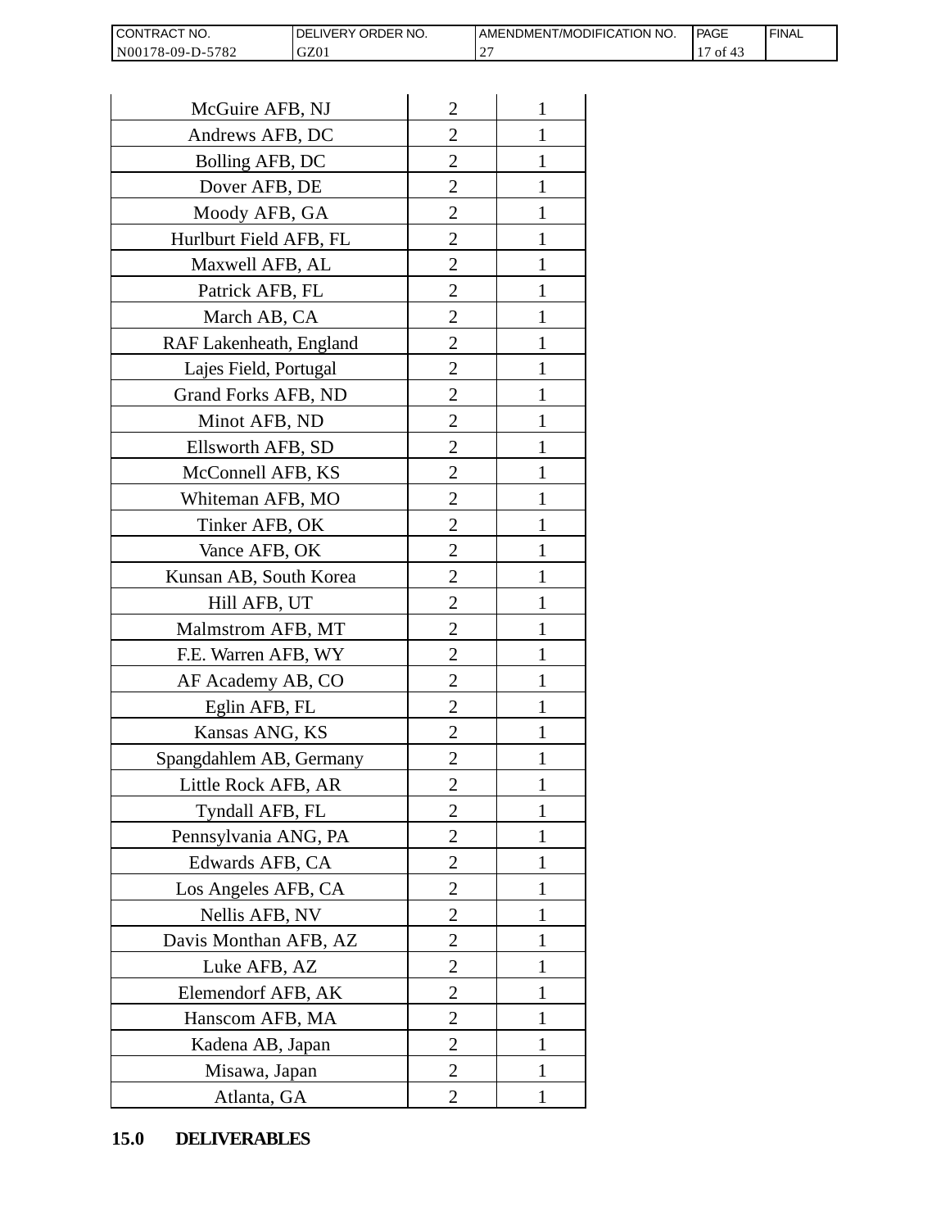| <b>CONT</b><br>`NO.<br>FRAC'               | <b>ORDER</b><br>NO.<br><b>IVERY</b><br>∵-ا(، | T/MODIFICATION NO.<br>AMENDMENT | <b>PAGE</b><br>$\sim$ $\sim$ | <b>FINAL</b> |
|--------------------------------------------|----------------------------------------------|---------------------------------|------------------------------|--------------|
| N <sub>001</sub><br>5782<br>$78-09-L$<br>. | GZ01                                         | ^`<br>∼                         | -01                          |              |

| CONTRACT NO.<br>N00178-09-D-5782 | DELIVERY ORDER NO.<br>GZ01 |                | AMENDMENT/MOI<br>27 |
|----------------------------------|----------------------------|----------------|---------------------|
|                                  |                            |                |                     |
| McGuire AFB, NJ                  |                            | $\overline{2}$ | 1                   |
|                                  | Andrews AFB, DC            |                | 1                   |
| Bolling AFB, DC                  |                            | $\overline{c}$ | 1                   |
| Dover AFB, DE                    |                            | $\overline{c}$ | 1                   |
| Moody AFB, GA                    |                            | $\overline{2}$ | $\mathbf{1}$        |
| Hurlburt Field AFB, FL           |                            | 2              | 1                   |
| Maxwell AFB, AL                  |                            | $\overline{2}$ | 1                   |
| Patrick AFB, FL                  |                            | $\overline{c}$ | 1                   |
| March AB, CA                     |                            | $\overline{c}$ | 1                   |
| RAF Lakenheath, England          |                            | $\overline{2}$ | $\mathbf{1}$        |
| Lajes Field, Portugal            |                            | $\overline{2}$ | 1                   |
| Grand Forks AFB, ND              |                            | $\overline{2}$ | 1                   |
| Minot AFB, ND                    |                            | $\overline{2}$ | $\mathbf{1}$        |
| Ellsworth AFB, SD                |                            | $\overline{c}$ | 1                   |
| McConnell AFB, KS                |                            | $\overline{c}$ | 1                   |
| Whiteman AFB, MO                 |                            | $\overline{2}$ | 1                   |
| Tinker AFB, OK                   |                            | $\overline{2}$ | 1                   |
| Vance AFB, OK                    |                            | 2              | 1                   |
| Kunsan AB, South Korea           |                            | $\overline{2}$ | 1                   |
| Hill AFB, UT                     |                            | $\overline{c}$ | 1                   |
| Malmstrom AFB, MT                |                            | 2              | 1                   |
| F.E. Warren AFB, WY              |                            | $\overline{2}$ | $\mathbf{1}$        |
| AF Academy AB, CO                |                            | $\overline{2}$ | $\mathbf{1}$        |
| Eglin AFB, FL                    |                            | $\overline{2}$ | 1                   |
| Kansas ANG, KS                   |                            | $\overline{c}$ |                     |
| Spangdahlem AB, Germany          |                            | 2              | 1                   |
| Little Rock AFB, AR              |                            | $\overline{c}$ | 1                   |
| Tyndall AFB, FL                  |                            | $\overline{c}$ | $\mathbf{1}$        |
| Pennsylvania ANG, PA             |                            | $\overline{2}$ | 1                   |
| Edwards AFB, CA                  |                            | 2              | 1                   |
| Los Angeles AFB, CA              |                            | 2              | 1                   |
| Nellis AFB, NV                   |                            | $\overline{2}$ | 1                   |
| Davis Monthan AFB, AZ            |                            | $\overline{c}$ | 1                   |
| Luke AFB, AZ                     |                            | $\overline{2}$ | 1                   |
| Elemendorf AFB, AK               |                            | 2              | 1                   |
| Hanscom AFB, MA                  |                            | 2              | 1                   |
| Kadena AB, Japan                 |                            | 2              | 1                   |
| Misawa, Japan                    |                            | $\overline{c}$ | 1                   |
| Atlanta, GA                      |                            | $\overline{2}$ | 1                   |
| <b>DELIVERABLES</b><br>15.0      |                            |                |                     |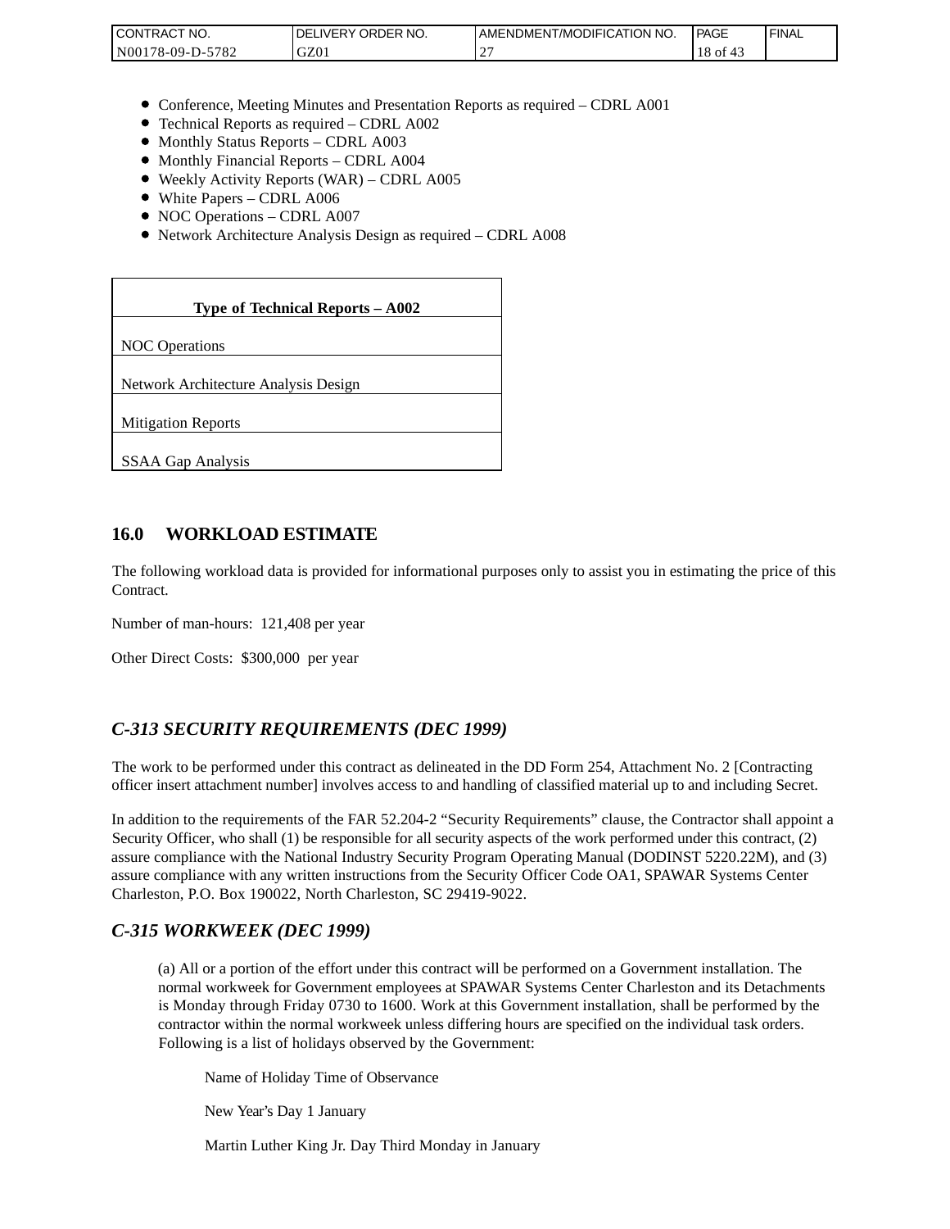| CONTRACT<br>CT NO.                        | NO.<br>' ORDER<br><b>DELIVERY</b> | AMENDMENT/MODIFICATION NO. | l PAGE | ' FINAL |
|-------------------------------------------|-----------------------------------|----------------------------|--------|---------|
| N001<br>$-5782$<br>'78-09-D- <sub>~</sub> | GZ0 <sub>1</sub>                  |                            | 18 of  |         |

- Conference, Meeting Minutes and Presentation Reports as required CDRL A001
- Technical Reports as required CDRL A002
- Monthly Status Reports CDRL A003
- $\bullet$  Monthly Financial Reports CDRL A004
- Weekly Activity Reports (WAR) CDRL A005
- White Papers CDRL A006
- NOC Operations CDRL A007
- Network Architecture Analysis Design as required CDRL A008

| CONTRACT NO.<br>N00178-09-D-5782                                                                                                                                                                                                                                                                                                                                 | DELIVERY ORDER NO.<br>GZ01                                                                                                                                                                                                                                                                                              | AMENDME<br>27 |
|------------------------------------------------------------------------------------------------------------------------------------------------------------------------------------------------------------------------------------------------------------------------------------------------------------------------------------------------------------------|-------------------------------------------------------------------------------------------------------------------------------------------------------------------------------------------------------------------------------------------------------------------------------------------------------------------------|---------------|
|                                                                                                                                                                                                                                                                                                                                                                  |                                                                                                                                                                                                                                                                                                                         |               |
| • Monthly Status Reports - CDRL A003<br>• Monthly Financial Reports - CDRL A004<br>• White Papers - CDRL A006<br>• NOC Operations - CDRL A007                                                                                                                                                                                                                    | • Conference, Meeting Minutes and Presentation Reports as rec<br>• Technical Reports as required – CDRL A002<br>• Weekly Activity Reports (WAR) - CDRL A005<br>• Network Architecture Analysis Design as required - CDRL A                                                                                              |               |
|                                                                                                                                                                                                                                                                                                                                                                  | Type of Technical Reports - A002                                                                                                                                                                                                                                                                                        |               |
| <b>NOC</b> Operations                                                                                                                                                                                                                                                                                                                                            |                                                                                                                                                                                                                                                                                                                         |               |
| Network Architecture Analysis Design                                                                                                                                                                                                                                                                                                                             |                                                                                                                                                                                                                                                                                                                         |               |
| <b>Mitigation Reports</b>                                                                                                                                                                                                                                                                                                                                        |                                                                                                                                                                                                                                                                                                                         |               |
| <b>SSAA Gap Analysis</b>                                                                                                                                                                                                                                                                                                                                         |                                                                                                                                                                                                                                                                                                                         |               |
|                                                                                                                                                                                                                                                                                                                                                                  |                                                                                                                                                                                                                                                                                                                         |               |
| 16.0<br><b>WORKLOAD ESTIMATE</b>                                                                                                                                                                                                                                                                                                                                 |                                                                                                                                                                                                                                                                                                                         |               |
| The following workload data is provided for informational purposes<br>Contract.                                                                                                                                                                                                                                                                                  |                                                                                                                                                                                                                                                                                                                         |               |
| Number of man-hours: 121,408 per year                                                                                                                                                                                                                                                                                                                            |                                                                                                                                                                                                                                                                                                                         |               |
| Other Direct Costs: \$300,000 per year                                                                                                                                                                                                                                                                                                                           |                                                                                                                                                                                                                                                                                                                         |               |
| C-313 SECURITY REQUIREMENTS (DEC 1999)                                                                                                                                                                                                                                                                                                                           |                                                                                                                                                                                                                                                                                                                         |               |
| The work to be performed under this contract as delineated in the DI<br>officer insert attachment number] involves access to and handling of o                                                                                                                                                                                                                   |                                                                                                                                                                                                                                                                                                                         |               |
| In addition to the requirements of the FAR 52.204-2 "Security Requi<br>Security Officer, who shall (1) be responsible for all security aspects of<br>assure compliance with the National Industry Security Program Oper<br>assure compliance with any written instructions from the Security Of<br>Charleston, P.O. Box 190022, North Charleston, SC 29419-9022. |                                                                                                                                                                                                                                                                                                                         |               |
| C-315 WORKWEEK (DEC 1999)                                                                                                                                                                                                                                                                                                                                        |                                                                                                                                                                                                                                                                                                                         |               |
|                                                                                                                                                                                                                                                                                                                                                                  | (a) All or a portion of the effort under this contract will be per<br>normal workweek for Government employees at SPAWAR Sy<br>is Monday through Friday 0730 to 1600. Work at this Gover<br>contractor within the normal workweek unless differing hours<br>Following is a list of holidays observed by the Government: |               |
|                                                                                                                                                                                                                                                                                                                                                                  | Name of Holiday Time of Observance                                                                                                                                                                                                                                                                                      |               |
| New Year's Day 1 January                                                                                                                                                                                                                                                                                                                                         |                                                                                                                                                                                                                                                                                                                         |               |
|                                                                                                                                                                                                                                                                                                                                                                  | Martin Luther King Jr. Day Third Monday in January                                                                                                                                                                                                                                                                      |               |

### **16.0 WORKLOAD ESTIMATE**

The following workload data is provided for informational purposes only to assist you in estimating the price of this Contract.

## *C-313 SECURITY REQUIREMENTS (DEC 1999)*

The work to be performed under this contract as delineated in the DD Form 254, Attachment No. 2 [Contracting officer insert attachment number] involves access to and handling of classified material up to and including Secret.

In addition to the requirements of the FAR 52.204-2 "Security Requirements" clause, the Contractor shall appoint a Security Officer, who shall (1) be responsible for all security aspects of the work performed under this contract, (2) assure compliance with the National Industry Security Program Operating Manual (DODINST 5220.22M), and (3) assure compliance with any written instructions from the Security Officer Code OA1, SPAWAR Systems Center Charleston, P.O. Box 190022, North Charleston, SC 29419-9022.

### *C-315 WORKWEEK (DEC 1999)*

(a) All or a portion of the effort under this contract will be performed on a Government installation. The normal workweek for Government employees at SPAWAR Systems Center Charleston and its Detachments is Monday through Friday 0730 to 1600. Work at this Government installation, shall be performed by the contractor within the normal workweek unless differing hours are specified on the individual task orders. Following is a list of holidays observed by the Government: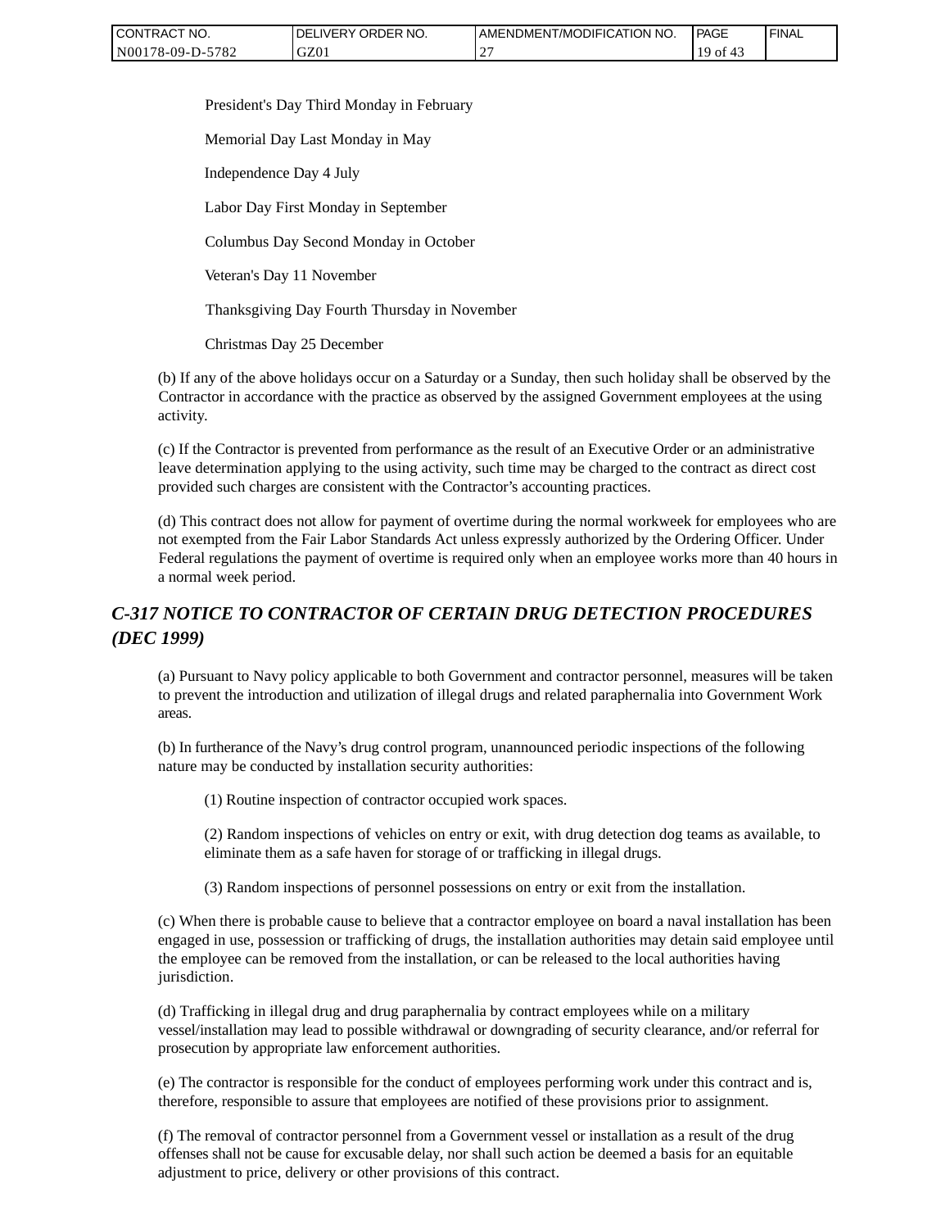| CONTRACT NO.     | ' ORDER NO.<br><b>DELIVERY</b> | AMENDMENT/MODIFICATION<br>`NO. | <b>PAGE</b>  | ' FINAL |
|------------------|--------------------------------|--------------------------------|--------------|---------|
| N00178-09-D-5782 | GZ01                           |                                | ` Oİ<br>` 4. |         |

President's Day Third Monday in February

Memorial Day Last Monday in May

Independence Day 4 July

Labor Day First Monday in September

Columbus Day Second Monday in October

Veteran's Day 11 November

Thanksgiving Day Fourth Thursday in November

Christmas Day 25 December

(b) If any of the above holidays occur on a Saturday or a Sunday, then such holiday shall be observed by the Contractor in accordance with the practice as observed by the assigned Government employees at the using activity.

(c) If the Contractor is prevented from performance as the result of an Executive Order or an administrative leave determination applying to the using activity, such time may be charged to the contract as direct cost provided such charges are consistent with the Contractor's accounting practices.

(d) This contract does not allow for payment of overtime during the normal workweek for employees who are not exempted from the Fair Labor Standards Act unless expressly authorized by the Ordering Officer. Under Federal regulations the payment of overtime is required only when an employee works more than 40 hours in a normal week period.

# *C-317 NOTICE TO CONTRACTOR OF CERTAIN DRUG DETECTION PROCEDURES (DEC 1999)*

(a) Pursuant to Navy policy applicable to both Government and contractor personnel, measures will be taken to prevent the introduction and utilization of illegal drugs and related paraphernalia into Government Work areas.

(b) In furtherance of the Navy's drug control program, unannounced periodic inspections of the following nature may be conducted by installation security authorities:

(1) Routine inspection of contractor occupied work spaces.

(2) Random inspections of vehicles on entry or exit, with drug detection dog teams as available, to eliminate them as a safe haven for storage of or trafficking in illegal drugs.

(3) Random inspections of personnel possessions on entry or exit from the installation.

(c) When there is probable cause to believe that a contractor employee on board a naval installation has been engaged in use, possession or trafficking of drugs, the installation authorities may detain said employee until the employee can be removed from the installation, or can be released to the local authorities having jurisdiction.

(d) Trafficking in illegal drug and drug paraphernalia by contract employees while on a military vessel/installation may lead to possible withdrawal or downgrading of security clearance, and/or referral for prosecution by appropriate law enforcement authorities.

(e) The contractor is responsible for the conduct of employees performing work under this contract and is, therefore, responsible to assure that employees are notified of these provisions prior to assignment.

(f) The removal of contractor personnel from a Government vessel or installation as a result of the drug offenses shall not be cause for excusable delay, nor shall such action be deemed a basis for an equitable adjustment to price, delivery or other provisions of this contract.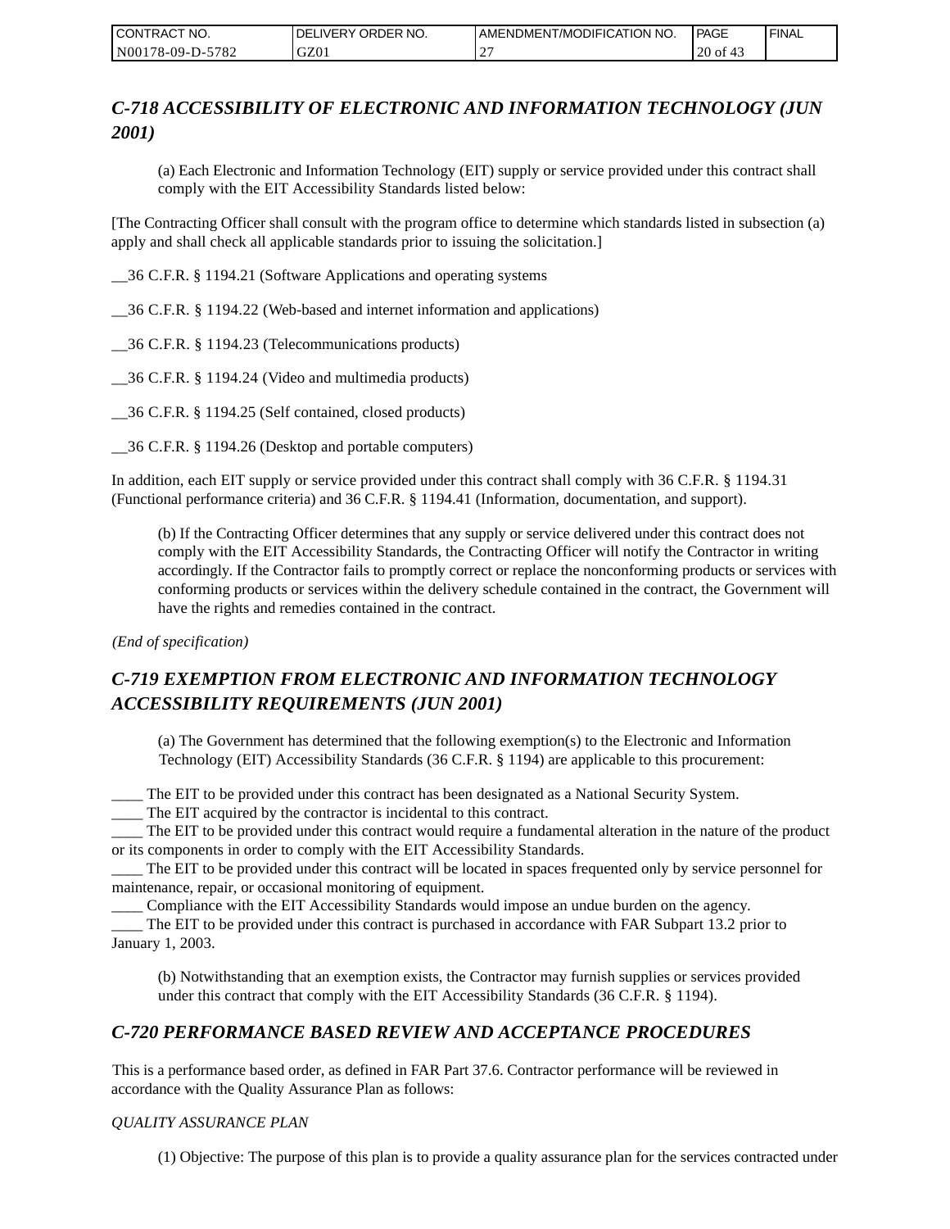| CONTRACT NO.     | <b>IDELIVERY ORDER NO.</b> | AMENDMENT/MODIFICATION I<br>'NO. | <b>PAGE</b>      | ' FINAL |
|------------------|----------------------------|----------------------------------|------------------|---------|
| N00178-09-D-5782 | GZ01                       |                                  | $20$ of<br>- 4., |         |

# *C-718 ACCESSIBILITY OF ELECTRONIC AND INFORMATION TECHNOLOGY (JUN 2001)*

(a) Each Electronic and Information Technology (EIT) supply or service provided under this contract shall comply with the EIT Accessibility Standards listed below:

[The Contracting Officer shall consult with the program office to determine which standards listed in subsection (a) apply and shall check all applicable standards prior to issuing the solicitation.]

\_\_36 C.F.R. § 1194.21 (Software Applications and operating systems

\_\_36 C.F.R. § 1194.22 (Web-based and internet information and applications)

\_\_36 C.F.R. § 1194.23 (Telecommunications products)

\_\_36 C.F.R. § 1194.24 (Video and multimedia products)

\_\_36 C.F.R. § 1194.25 (Self contained, closed products)

\_\_36 C.F.R. § 1194.26 (Desktop and portable computers)

In addition, each EIT supply or service provided under this contract shall comply with 36 C.F.R. § 1194.31 (Functional performance criteria) and 36 C.F.R. § 1194.41 (Information, documentation, and support).

(b) If the Contracting Officer determines that any supply or service delivered under this contract does not comply with the EIT Accessibility Standards, the Contracting Officer will notify the Contractor in writing accordingly. If the Contractor fails to promptly correct or replace the nonconforming products or services with conforming products or services within the delivery schedule contained in the contract, the Government will have the rights and remedies contained in the contract.

*(End of specification)*

# *C-719 EXEMPTION FROM ELECTRONIC AND INFORMATION TECHNOLOGY ACCESSIBILITY REQUIREMENTS (JUN 2001)*

(a) The Government has determined that the following exemption(s) to the Electronic and Information Technology (EIT) Accessibility Standards (36 C.F.R. § 1194) are applicable to this procurement:

\_\_\_\_ The EIT to be provided under this contract has been designated as a National Security System.

\_\_\_\_ The EIT acquired by the contractor is incidental to this contract.

\_\_\_\_ The EIT to be provided under this contract would require a fundamental alteration in the nature of the product or its components in order to comply with the EIT Accessibility Standards.

\_\_\_\_ The EIT to be provided under this contract will be located in spaces frequented only by service personnel for maintenance, repair, or occasional monitoring of equipment.

\_\_\_\_ Compliance with the EIT Accessibility Standards would impose an undue burden on the agency.

\_\_\_\_ The EIT to be provided under this contract is purchased in accordance with FAR Subpart 13.2 prior to January 1, 2003.

(b) Notwithstanding that an exemption exists, the Contractor may furnish supplies or services provided under this contract that comply with the EIT Accessibility Standards (36 C.F.R. § 1194).

## *C-720 PERFORMANCE BASED REVIEW AND ACCEPTANCE PROCEDURES*

This is a performance based order, as defined in FAR Part 37.6. Contractor performance will be reviewed in accordance with the Quality Assurance Plan as follows:

### *QUALITY ASSURANCE PLAN*

(1) Objective: The purpose of this plan is to provide a quality assurance plan for the services contracted under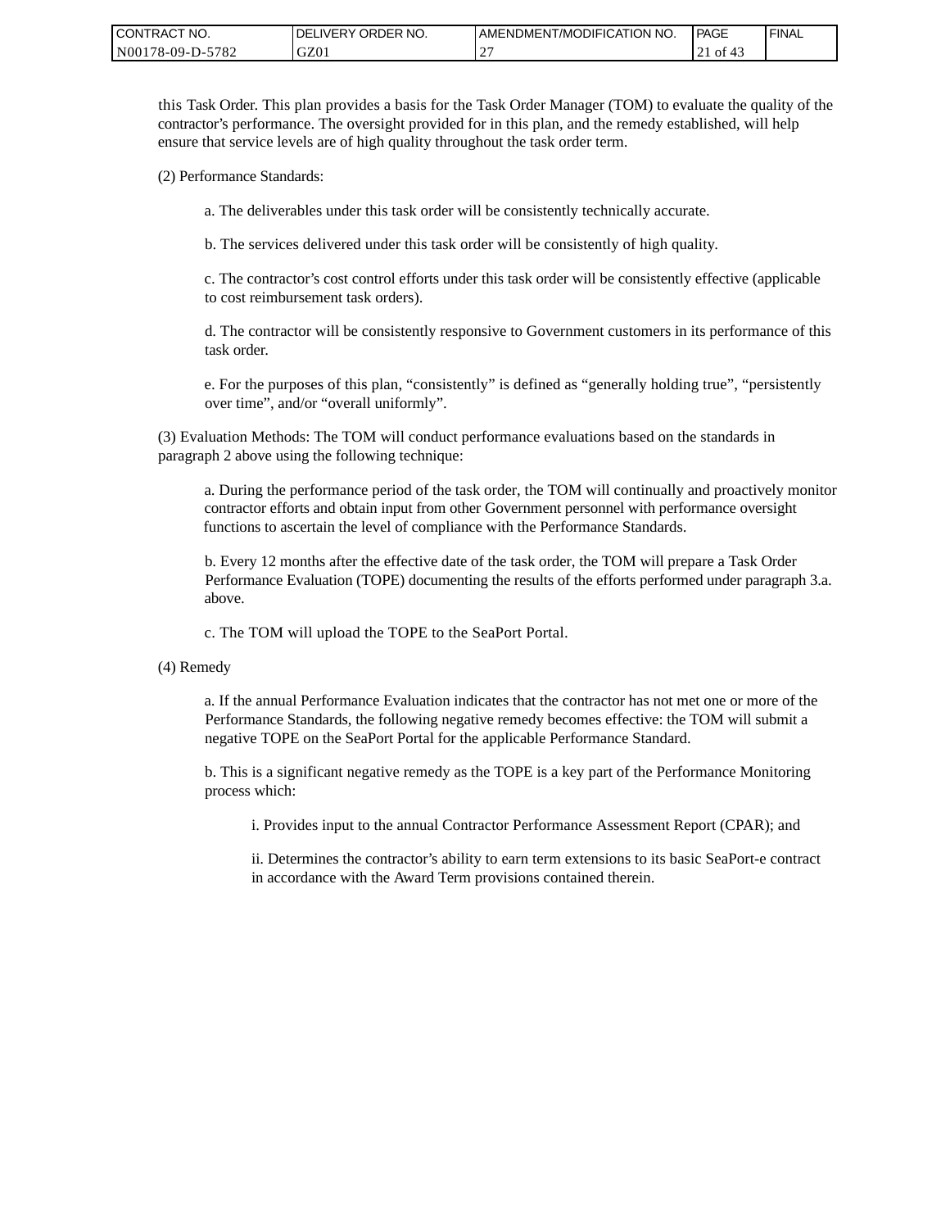| CONTRACT NO.     | ORDER NO.<br><b>DELIVERY</b> | <b>AMENDMENT/MODIFICATION NO.</b> | PAGE     | 'FINAL |
|------------------|------------------------------|-----------------------------------|----------|--------|
| N00178-09-D-5782 | GZ01                         | $\sim$<br>-                       | 21 of 43 |        |

this Task Order. This plan provides a basis for the Task Order Manager (TOM) to evaluate the quality of the contractor's performance. The oversight provided for in this plan, and the remedy established, will help ensure that service levels are of high quality throughout the task order term.

(2) Performance Standards:

a. The deliverables under this task order will be consistently technically accurate.

b. The services delivered under this task order will be consistently of high quality.

c. The contractor's cost control efforts under this task order will be consistently effective (applicable to cost reimbursement task orders).

d. The contractor will be consistently responsive to Government customers in its performance of this task order.

e. For the purposes of this plan, "consistently" is defined as "generally holding true", "persistently over time", and/or "overall uniformly".

(3) Evaluation Methods: The TOM will conduct performance evaluations based on the standards in paragraph 2 above using the following technique:

a. During the performance period of the task order, the TOM will continually and proactively monitor contractor efforts and obtain input from other Government personnel with performance oversight functions to ascertain the level of compliance with the Performance Standards.

b. Every 12 months after the effective date of the task order, the TOM will prepare a Task Order Performance Evaluation (TOPE) documenting the results of the efforts performed under paragraph 3.a. above.

c. The TOM will upload the TOPE to the SeaPort Portal.

(4) Remedy

a. If the annual Performance Evaluation indicates that the contractor has not met one or more of the Performance Standards, the following negative remedy becomes effective: the TOM will submit a negative TOPE on the SeaPort Portal for the applicable Performance Standard.

b. This is a significant negative remedy as the TOPE is a key part of the Performance Monitoring process which:

i. Provides input to the annual Contractor Performance Assessment Report (CPAR); and

ii. Determines the contractor's ability to earn term extensions to its basic SeaPort-e contract in accordance with the Award Term provisions contained therein.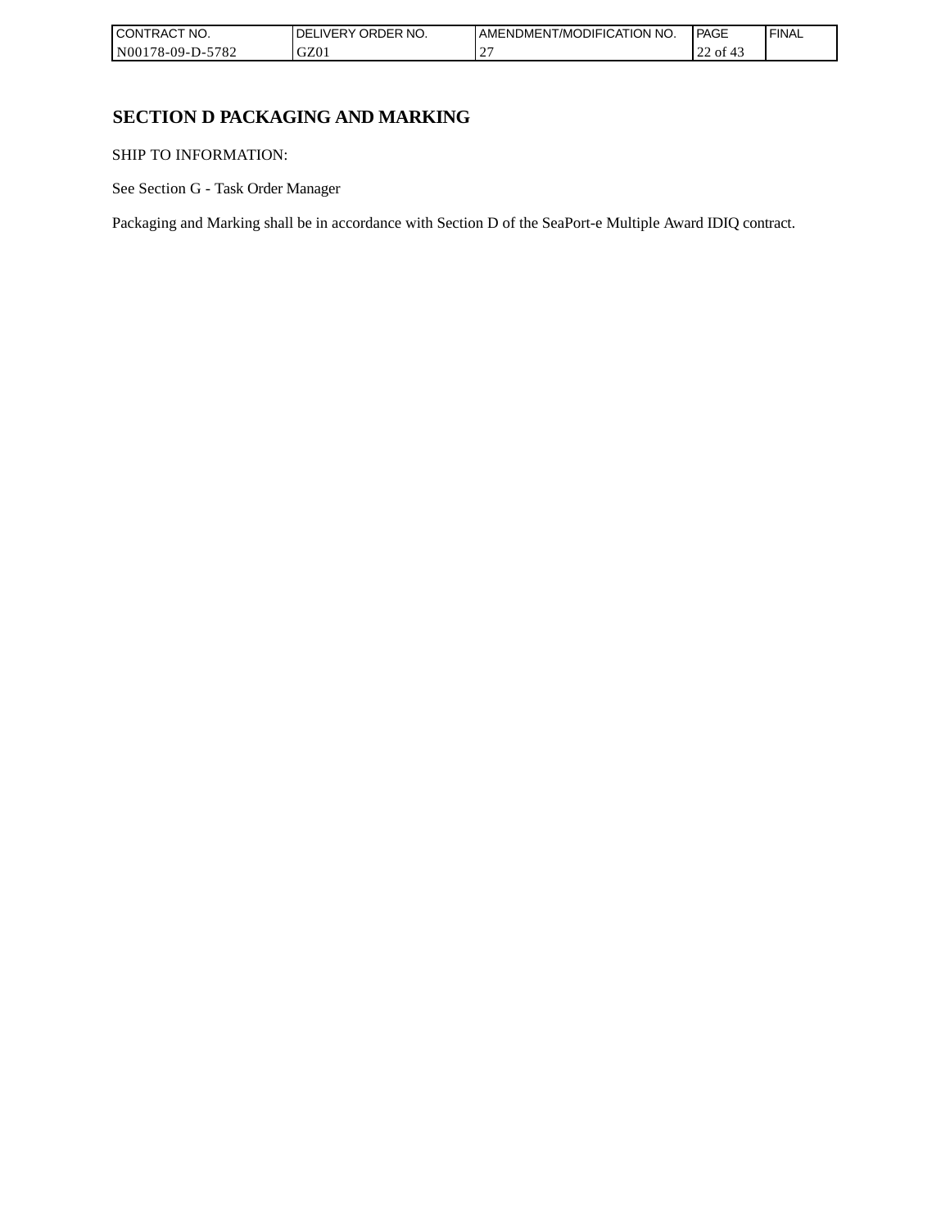| CONTRACT NO.     | ORDER NO.<br><b>DELIVERY</b> | AMENDMENT/MODIFICATION NO. | l PAGE   | ' FINAL |
|------------------|------------------------------|----------------------------|----------|---------|
| N00178-09-D-5782 | GZ01                         | $\sim$<br>-                | 22 of 43 |         |

# **SECTION D PACKAGING AND MARKING**

SHIP TO INFORMATION:

See Section G - Task Order Manager

Packaging and Marking shall be in accordance with Section D of the SeaPort-e Multiple Award IDIQ contract.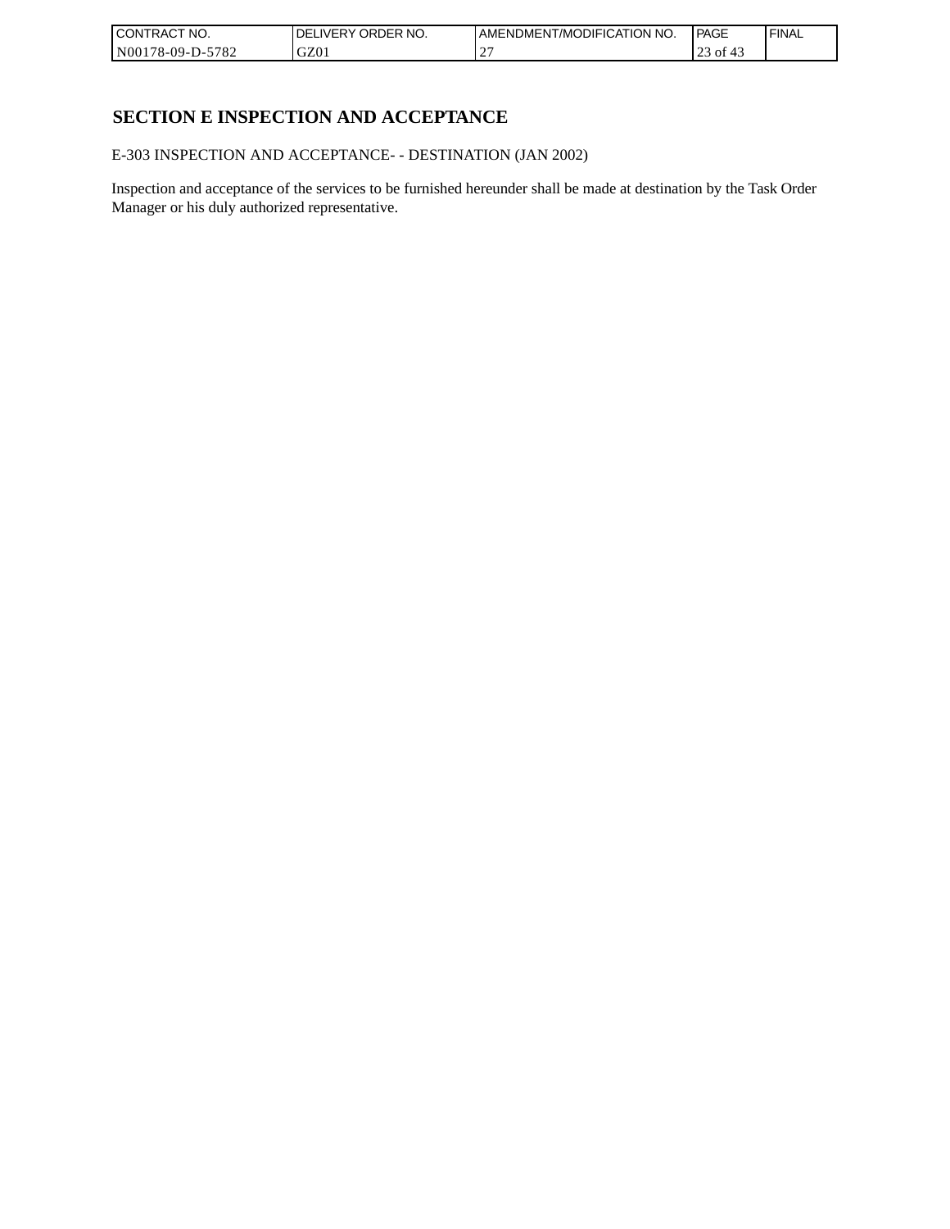| CONTRACT<br>`CT NO.      | NO.<br>' ORDER<br><b>DELIVERY</b> | AMENDMENT/MODIFICATION NO. | l PAGE    | ' FINAL |
|--------------------------|-----------------------------------|----------------------------|-----------|---------|
| $-5782$<br>N00178-09-D-5 | GZ01                              |                            | οt<br>ر ب |         |

# **SECTION E INSPECTION AND ACCEPTANCE**

E-303 INSPECTION AND ACCEPTANCE- - DESTINATION (JAN 2002)

Inspection and acceptance of the services to be furnished hereunder shall be made at destination by the Task Order Manager or his duly authorized representative.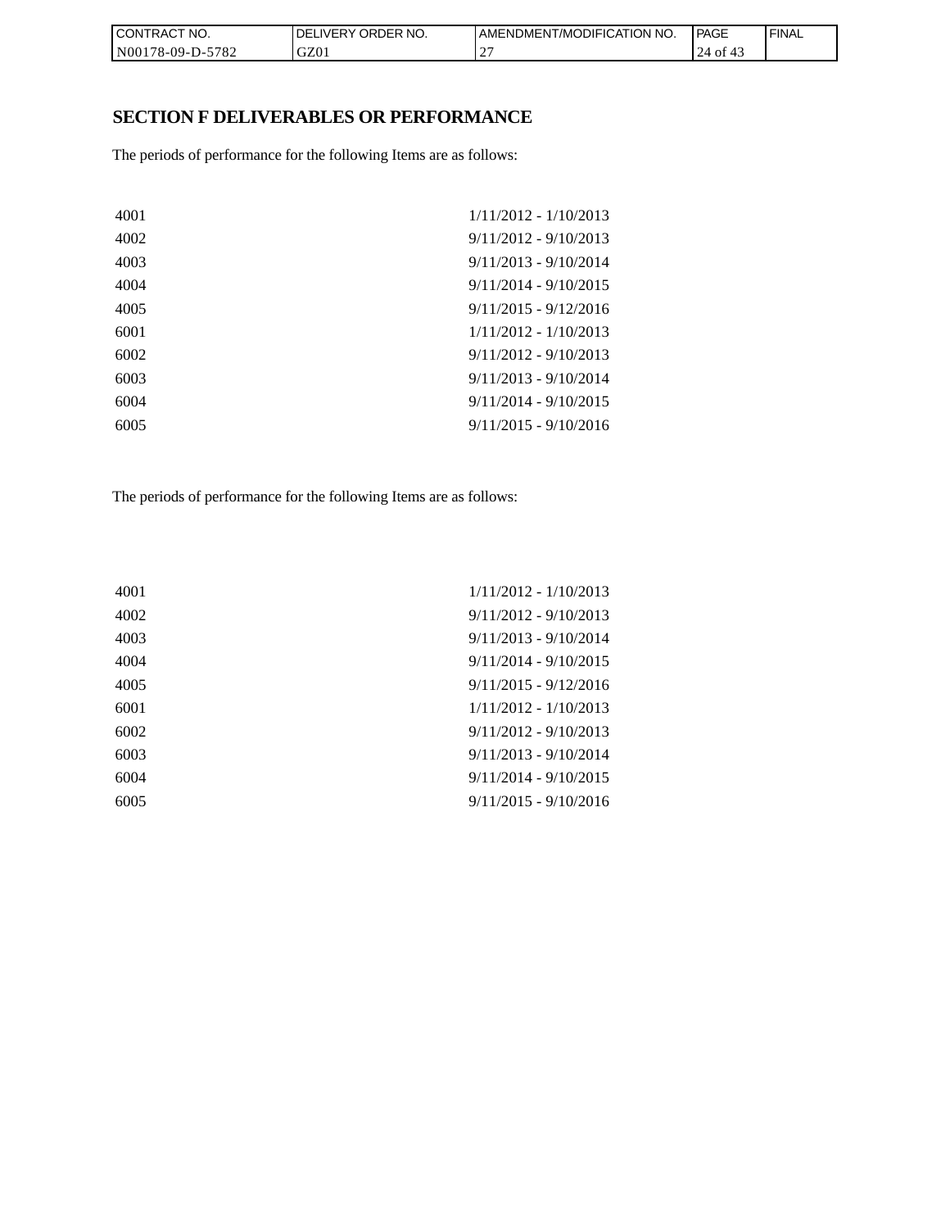| CONTRACT NO.                                             | ' ORDER NO.<br><b>DELIVERY</b> | 'NO.<br>AMENDMENT/MODIFICATION | <b>PAGE</b>       | ' FINAL |
|----------------------------------------------------------|--------------------------------|--------------------------------|-------------------|---------|
| $-5782$<br>N001 <sup>*</sup><br>ົ <sup>1</sup> 78-09-D-ມ | GZ01                           |                                | 24<br>0Ť<br>- 4., |         |

# **SECTION F DELIVERABLES OR PERFORMANCE**

The periods of performance for the following Items are as follows:

| 4001 | $1/11/2012 - 1/10/2013$ |
|------|-------------------------|
| 4002 | $9/11/2012 - 9/10/2013$ |
| 4003 | $9/11/2013 - 9/10/2014$ |
| 4004 | $9/11/2014 - 9/10/2015$ |
| 4005 | $9/11/2015 - 9/12/2016$ |
| 6001 | $1/11/2012 - 1/10/2013$ |
| 6002 | $9/11/2012 - 9/10/2013$ |
| 6003 | $9/11/2013 - 9/10/2014$ |
| 6004 | $9/11/2014 - 9/10/2015$ |
| 6005 | $9/11/2015 - 9/10/2016$ |
|      |                         |

The periods of performance for the following Items are as follows:

| 4001 | $1/11/2012 - 1/10/2013$ |
|------|-------------------------|
| 4002 | $9/11/2012 - 9/10/2013$ |
| 4003 | $9/11/2013 - 9/10/2014$ |
| 4004 | $9/11/2014 - 9/10/2015$ |
| 4005 | $9/11/2015 - 9/12/2016$ |
| 6001 | $1/11/2012 - 1/10/2013$ |
| 6002 | $9/11/2012 - 9/10/2013$ |
| 6003 | $9/11/2013 - 9/10/2014$ |
| 6004 | $9/11/2014 - 9/10/2015$ |
| 6005 | $9/11/2015 - 9/10/2016$ |
|      |                         |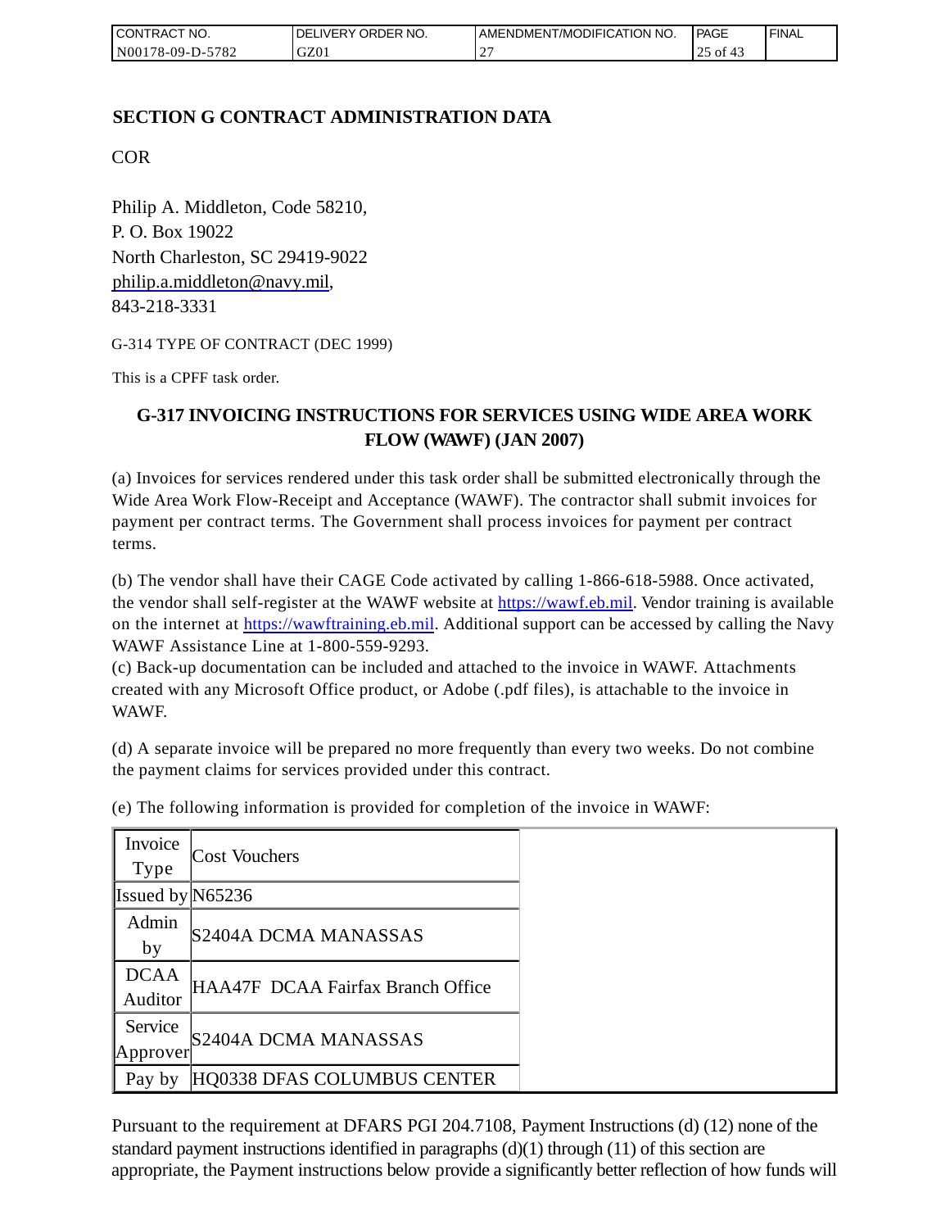| <b>CONTRACT NO.</b>    | DELIVERY ORDER NO. | AMENDMENT/MODIFICATION NO. | <b>PAGE</b> | 'FINAL |
|------------------------|--------------------|----------------------------|-------------|--------|
| 5782<br>$N00178-09-D-$ | GZ01               |                            | 0I<br>ال ک  |        |

## **SECTION G CONTRACT ADMINISTRATION DATA**

COR

Philip A. Middleton, Code 58210, P. O. Box 19022 North Charleston, SC 29419-9022 [philip.a.middleton@navy.mil,](mailto:cphilip.a.middleton@navy.mil) 843-218-3331

G-314 TYPE OF CONTRACT (DEC 1999)

This is a CPFF task order.

# **G-317 INVOICING INSTRUCTIONS FOR SERVICES USING WIDE AREA WORK FLOW (WAWF) (JAN 2007)**

(a) Invoices for services rendered under this task order shall be submitted electronically through the Wide Area Work Flow-Receipt and Acceptance (WAWF). The contractor shall submit invoices for payment per contract terms. The Government shall process invoices for payment per contract terms.

(b) The vendor shall have their CAGE Code activated by calling 1-866-618-5988. Once activated, the vendor shall self-register at the WAWF website at [https://wawf.eb.mil.](https://wawf.eb.mil/) Vendor training is available on the internet at [https://wawftraining.eb.mil.](https://wawftraining.eb.mil/) Additional support can be accessed by calling the Navy WAWF Assistance Line at 1-800-559-9293.

(c) Back-up documentation can be included and attached to the invoice in WAWF. Attachments created with any Microsoft Office product, or Adobe (.pdf files), is attachable to the invoice in WAWF.

(d) A separate invoice will be prepared no more frequently than every two weeks. Do not combine the payment claims for services provided under this contract.

| Invoice<br>Type        | Cost Vouchers                     |
|------------------------|-----------------------------------|
| Issued by $N65236$     |                                   |
| Admin<br>by            | S2404A DCMA MANASSAS              |
| <b>DCAA</b><br>Auditor | HAA47F DCAA Fairfax Branch Office |
| Service<br>Approver    | S2404A DCMA MANASSAS              |
| Pay by                 | HQ0338 DFAS COLUMBUS CENTER       |

(e) The following information is provided for completion of the invoice in WAWF:

Pursuant to the requirement at DFARS PGI 204.7108, Payment Instructions (d) (12) none of the standard payment instructions identified in paragraphs  $(d)(1)$  through  $(11)$  of this section are appropriate, the Payment instructions below provide a significantly better reflection of how funds will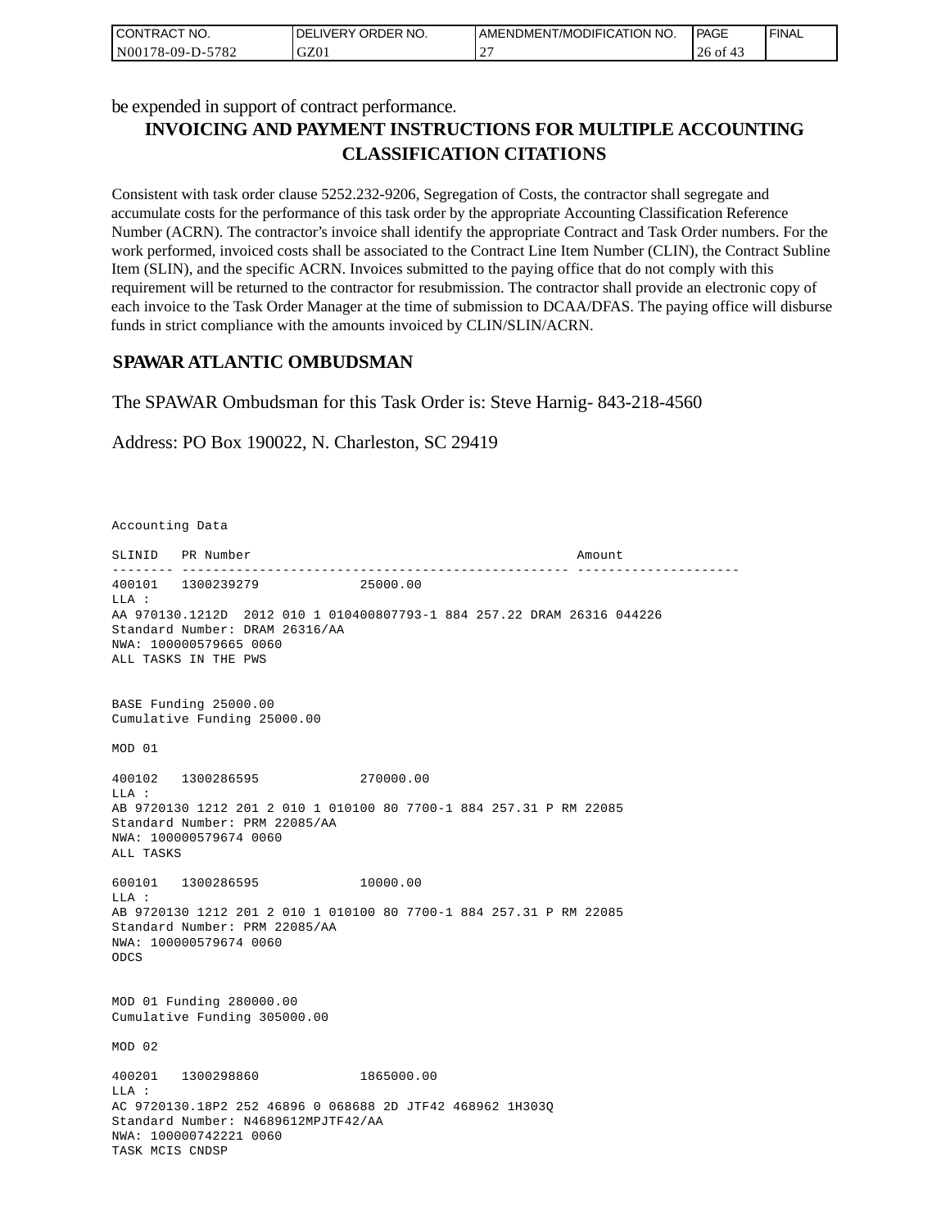| CONTRACT NO.     | I DELIVERY ORDER NO. | AMENDMENT/MODIFICATION NO. | <b>PAGE</b> | 'FINAL |
|------------------|----------------------|----------------------------|-------------|--------|
| N00178-09-D-5782 | GZ01                 | $\sim$<br>∸                | 26 of<br>≖  |        |

be expended in support of contract performance.

# **INVOICING AND PAYMENT INSTRUCTIONS FOR MULTIPLE ACCOUNTING CLASSIFICATION CITATIONS**

Consistent with task order clause 5252.232-9206, Segregation of Costs, the contractor shall segregate and accumulate costs for the performance of this task order by the appropriate Accounting Classification Reference Number (ACRN). The contractor's invoice shall identify the appropriate Contract and Task Order numbers. For the work performed, invoiced costs shall be associated to the Contract Line Item Number (CLIN), the Contract Subline Item (SLIN), and the specific ACRN. Invoices submitted to the paying office that do not comply with this requirement will be returned to the contractor for resubmission. The contractor shall provide an electronic copy of each invoice to the Task Order Manager at the time of submission to DCAA/DFAS. The paying office will disburse funds in strict compliance with the amounts invoiced by CLIN/SLIN/ACRN.

## **SPAWAR ATLANTIC OMBUDSMAN**

The SPAWAR Ombudsman for this Task Order is: Steve Harnig- 843-218-4560

Address: PO Box 190022, N. Charleston, SC 29419

Accounting Data

SLINID PR Number Amount -------- -------------------------------------------------- --------------------- 400101 1300239279 25000.00  $T.T.A$  : AA 970130.1212D 2012 010 1 010400807793-1 884 257.22 DRAM 26316 044226 Standard Number: DRAM 26316/AA NWA: 100000579665 0060 ALL TASKS IN THE PWS BASE Funding 25000.00 Cumulative Funding 25000.00 MOD 01 400102 1300286595 270000.00 LLA : AB 9720130 1212 201 2 010 1 010100 80 7700-1 884 257.31 P RM 22085 Standard Number: PRM 22085/AA NWA: 100000579674 0060 ALL TASKS 600101 1300286595 10000.00 LLA : AB 9720130 1212 201 2 010 1 010100 80 7700-1 884 257.31 P RM 22085 Standard Number: PRM 22085/AA NWA: 100000579674 0060 ODCS MOD 01 Funding 280000.00 Cumulative Funding 305000.00 MOD 02 400201 1300298860 1865000.00  $T.T.A$  : AC 9720130.18P2 252 46896 0 068688 2D JTF42 468962 1H303Q Standard Number: N4689612MPJTF42/AA NWA: 100000742221 0060 TASK MCIS CNDSP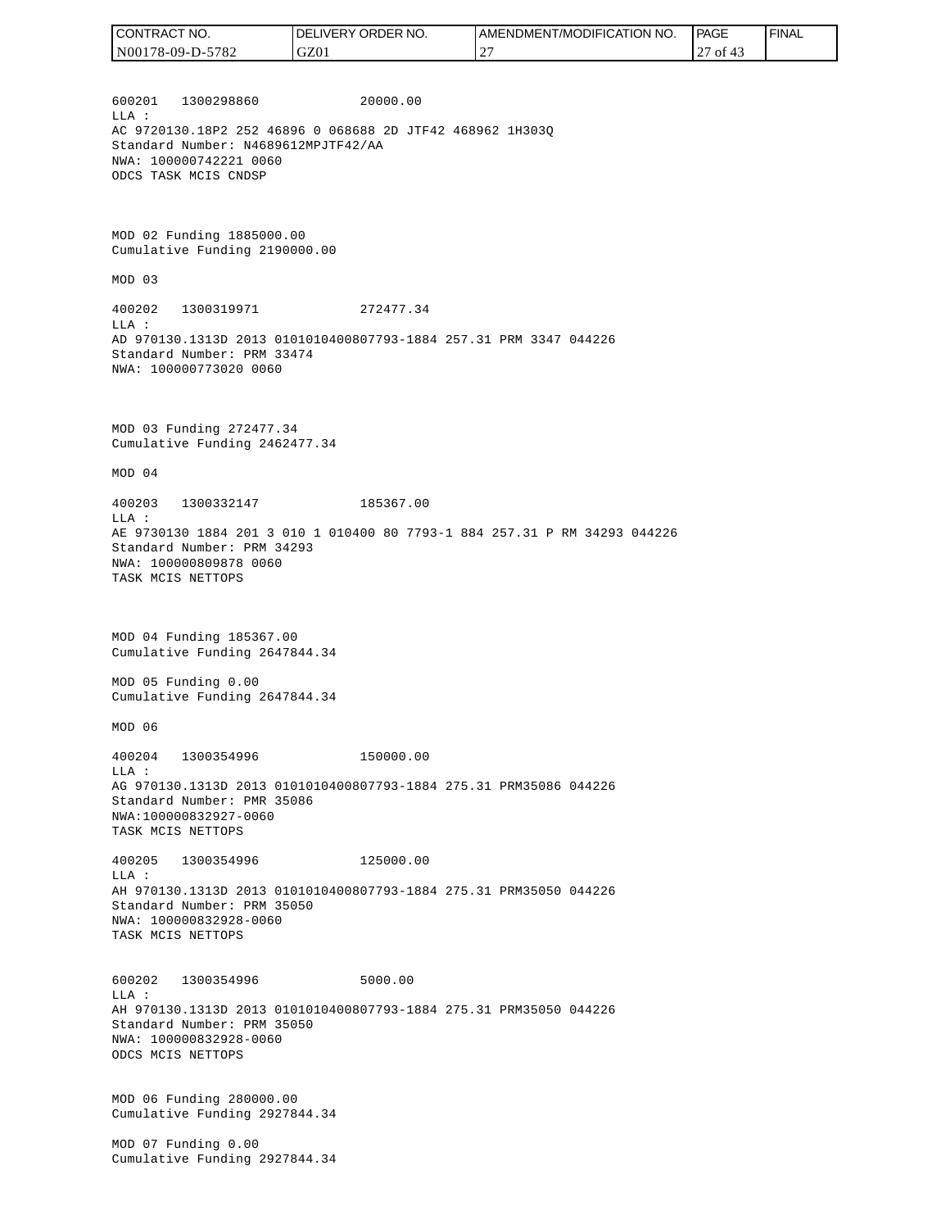| I CONTRACT NO.   | DELIVERY ORDER NO. | AMENDMENT/MODIFICATION NO. | <b>PAGE</b> | ' FINAL |
|------------------|--------------------|----------------------------|-------------|---------|
| N00178-09-D-5782 | GZ01               | ∼                          | of $43$     |         |
|                  |                    |                            |             |         |

600201 1300298860 20000.00 LLA : AC 9720130.18P2 252 46896 0 068688 2D JTF42 468962 1H303Q Standard Number: N4689612MPJTF42/AA NWA: 100000742221 0060 ODCS TASK MCIS CNDSP

MOD 02 Funding 1885000.00 Cumulative Funding 2190000.00

MOD 03

400202 1300319971 272477.34 LLA : AD 970130.1313D 2013 0101010400807793-1884 257.31 PRM 3347 044226 Standard Number: PRM 33474 NWA: 100000773020 0060

MOD 03 Funding 272477.34 Cumulative Funding 2462477.34

MOD 04

400203 1300332147 185367.00 LLA : AE 9730130 1884 201 3 010 1 010400 80 7793-1 884 257.31 P RM 34293 044226 Standard Number: PRM 34293 NWA: 100000809878 0060 TASK MCIS NETTOPS

MOD 04 Funding 185367.00 Cumulative Funding 2647844.34

MOD 05 Funding 0.00 Cumulative Funding 2647844.34

MOD 06

400204 1300354996 150000.00 LLA : AG 970130.1313D 2013 0101010400807793-1884 275.31 PRM35086 044226 Standard Number: PMR 35086 NWA:100000832927-0060 TASK MCIS NETTOPS

400205 1300354996 125000.00 LLA : AH 970130.1313D 2013 0101010400807793-1884 275.31 PRM35050 044226 Standard Number: PRM 35050 NWA: 100000832928-0060 TASK MCIS NETTOPS

600202 1300354996 5000.00 LLA : AH 970130.1313D 2013 0101010400807793-1884 275.31 PRM35050 044226 Standard Number: PRM 35050 NWA: 100000832928-0060 ODCS MCIS NETTOPS

MOD 06 Funding 280000.00 Cumulative Funding 2927844.34

MOD 07 Funding 0.00 Cumulative Funding 2927844.34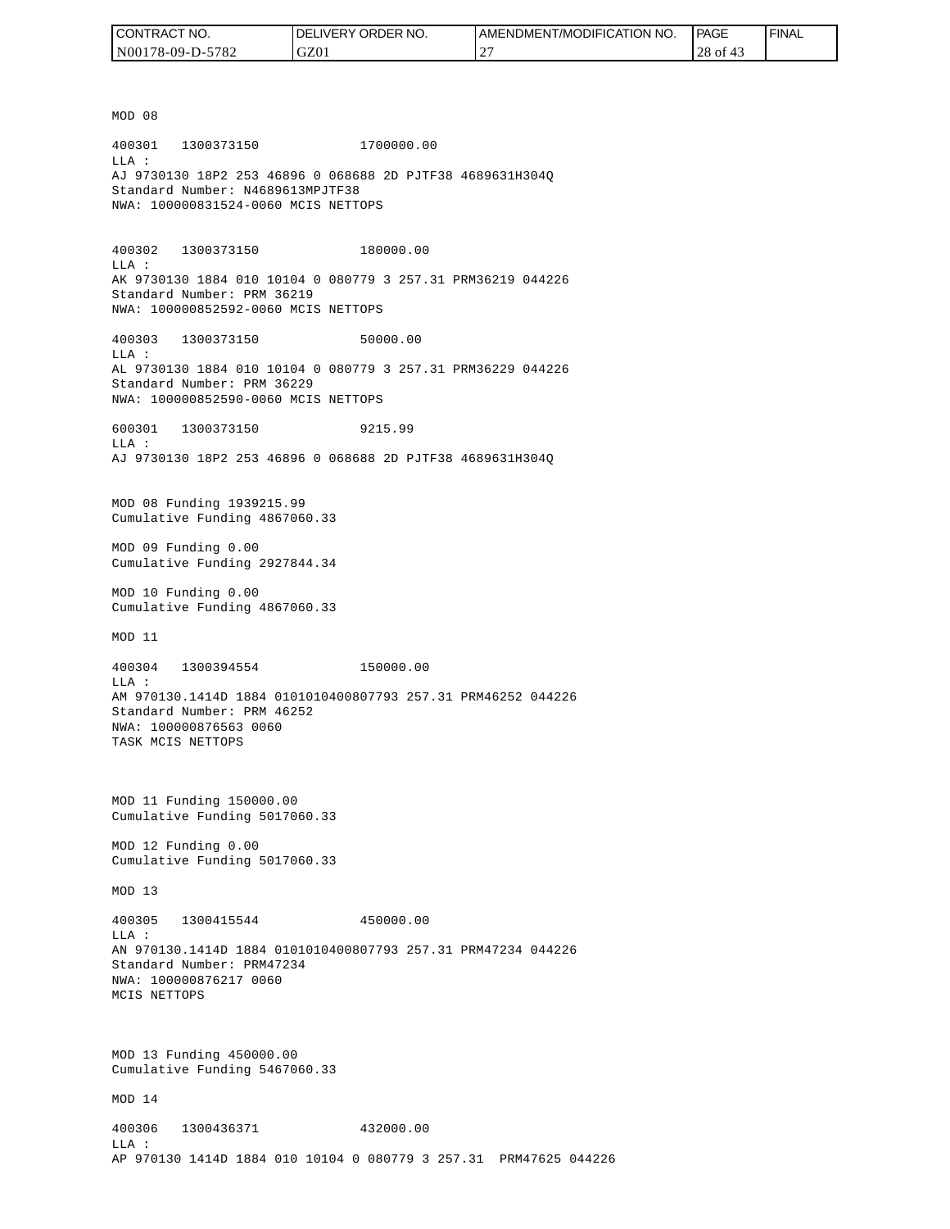| CONTRACT NO.     | <b>IDELIVERY ORDER NO.</b> | I AMENDMENT/MODIFICATION NO. | PAGE     | ' FINAL |
|------------------|----------------------------|------------------------------|----------|---------|
| N00178-09-D-5782 | GZ01                       | $\bigcap$<br><u>ے</u>        | 28 of 43 |         |

MOD 08 400301 1300373150 1700000.00 LLA : AJ 9730130 18P2 253 46896 0 068688 2D PJTF38 4689631H304Q Standard Number: N4689613MPJTF38 NWA: 100000831524-0060 MCIS NETTOPS 400302 1300373150 180000.00 LLA : AK 9730130 1884 010 10104 0 080779 3 257.31 PRM36219 044226 Standard Number: PRM 36219 NWA: 100000852592-0060 MCIS NETTOPS 400303 1300373150 50000.00 LLA : AL 9730130 1884 010 10104 0 080779 3 257.31 PRM36229 044226 Standard Number: PRM 36229 NWA: 100000852590-0060 MCIS NETTOPS 600301 1300373150 9215.99  $T.T.A$  : AJ 9730130 18P2 253 46896 0 068688 2D PJTF38 4689631H304Q MOD 08 Funding 1939215.99 Cumulative Funding 4867060.33 MOD 09 Funding 0.00 Cumulative Funding 2927844.34 MOD 10 Funding 0.00 Cumulative Funding 4867060.33 MOD 11 400304 1300394554 150000.00 LLA : AM 970130.1414D 1884 0101010400807793 257.31 PRM46252 044226 Standard Number: PRM 46252 NWA: 100000876563 0060 TASK MCIS NETTOPS MOD 11 Funding 150000.00 Cumulative Funding 5017060.33 MOD 12 Funding 0.00 Cumulative Funding 5017060.33 MOD 13 400305 1300415544 450000.00  $L.L.A$  : AN 970130.1414D 1884 0101010400807793 257.31 PRM47234 044226 Standard Number: PRM47234 NWA: 100000876217 0060 MCIS NETTOPS MOD 13 Funding 450000.00 Cumulative Funding 5467060.33 MOD 14 400306 1300436371 432000.00 LLA : AP 970130 1414D 1884 010 10104 0 080779 3 257.31 PRM47625 044226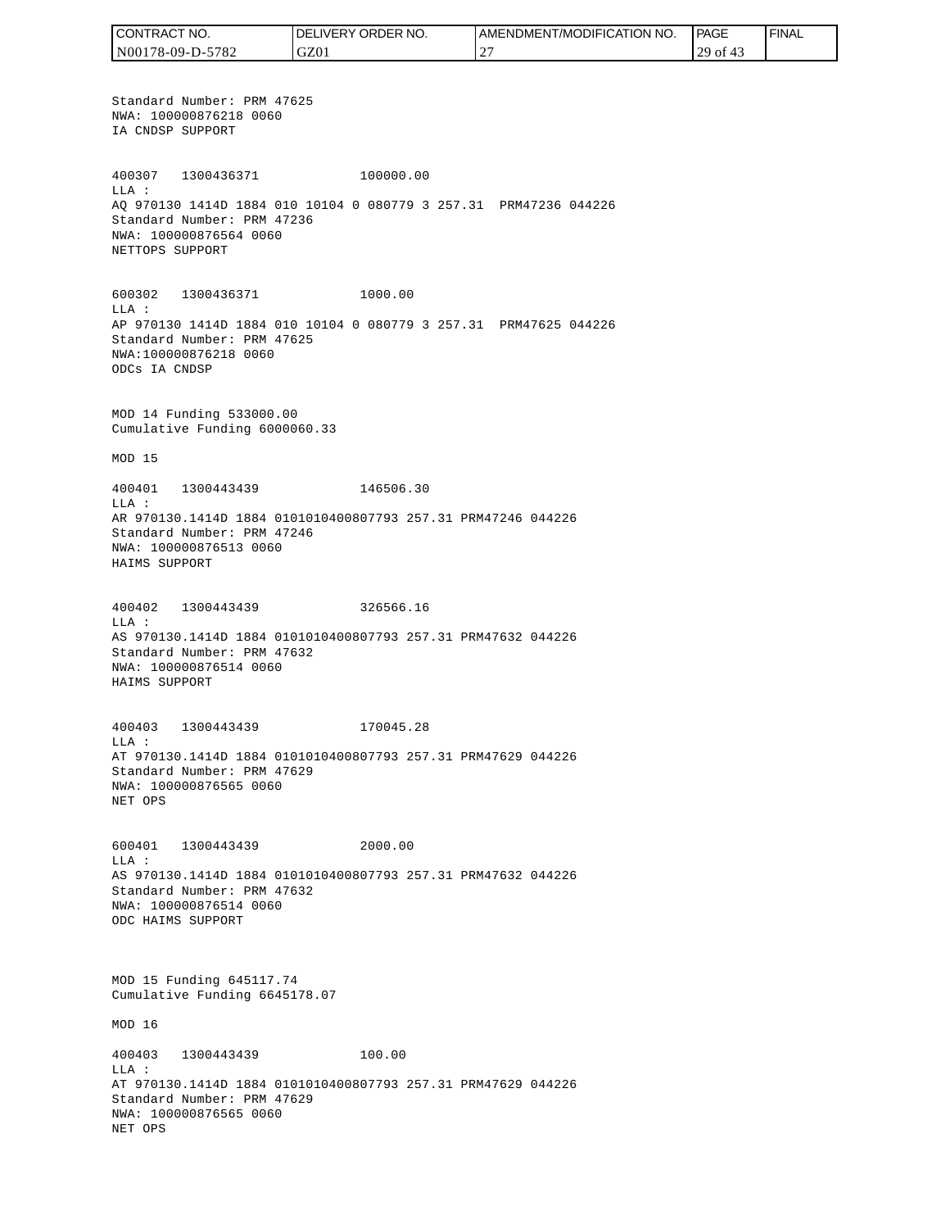CONTRACT NO. DELIVERY ORDER NO. AMENDMENT/MODIFICATION NO. PAGE FINALCONTRACT NO.<br>NO0178-09-D-5<br>Standard Numk<br>NWA: 1000087<br>IA CNDSP SUPP<br>400307 1300<br>400307 1300<br>400307 1300<br>400307 1300<br>NEA CNDSP SUPP<br>NET OPS SUPP<br>600302 1300<br>NET TOPS SUPP<br>600302 1300<br>LLA:<br>AP 970130 141<br>Cumulative Fu<br>MOD 15<br> N00178-09-D-5782 GZ01 27 29 of 43 Standard Number: PRM 47625 NWA: 100000876218 0060 IA CNDSP SUPPORT 400307 1300436371 100000.00 LLA : AQ 970130 1414D 1884 010 10104 0 080779 3 257.31 PRM47236 044226 Standard Number: PRM 47236 NWA: 100000876564 0060 NETTOPS SUPPORT 600302 1300436371 1000.00 LLA : AP 970130 1414D 1884 010 10104 0 080779 3 257.31 PRM47625 044226 Standard Number: PRM 47625 NWA:100000876218 0060 ODCs IA CNDSP MOD 14 Funding 533000.00 Cumulative Funding 6000060.33 MOD 15 400401 1300443439 146506.30 LLA : AR 970130.1414D 1884 0101010400807793 257.31 PRM47246 044226 Standard Number: PRM 47246 NWA: 100000876513 0060 HAIMS SUPPORT 400402 1300443439 326566.16 LLA : AS 970130.1414D 1884 0101010400807793 257.31 PRM47632 044226 Standard Number: PRM 47632 NWA: 100000876514 0060 HAIMS SUPPORT 400403 1300443439 170045.28 LLA : AT 970130.1414D 1884 0101010400807793 257.31 PRM47629 044226 Standard Number: PRM 47629 NWA: 100000876565 0060 NET OPS 600401 1300443439 2000.00 LLA : AS 970130.1414D 1884 0101010400807793 257.31 PRM47632 044226 Standard Number: PRM 47632 NWA: 100000876514 0060 ODC HAIMS SUPPORT MOD 15 Funding 645117.74 Cumulative Funding 6645178.07 MOD 16 400403 1300443439 100.00 LLA : AT 970130.1414D 1884 0101010400807793 257.31 PRM47629 044226 Standard Number: PRM 47629 NWA: 100000876565 0060 NET OPS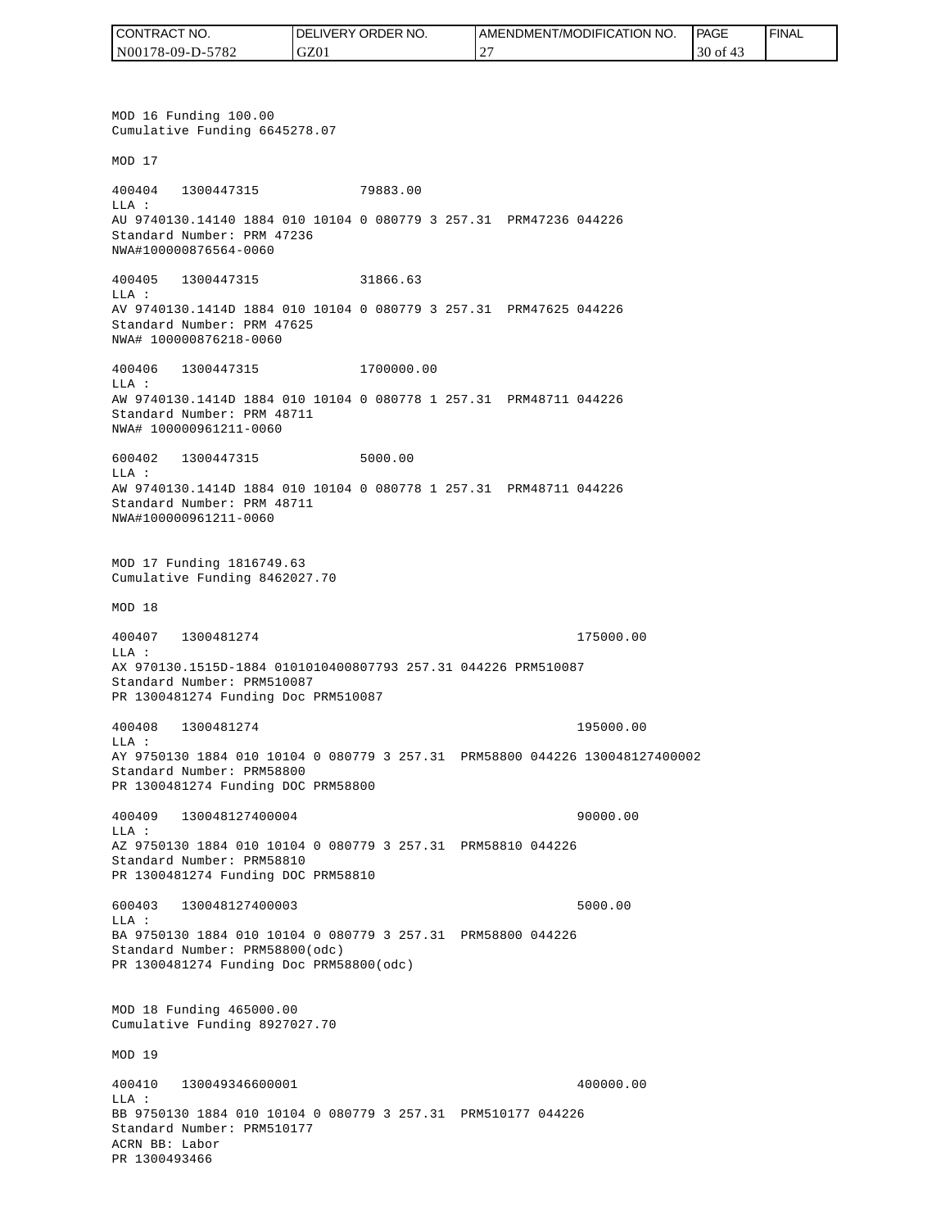| I CONTRACT NO.   | <b>IDELIVERY ORDER NO.</b> | AMENDMENT/MODIFICATION NO. | PAGE              | 'FINAL |
|------------------|----------------------------|----------------------------|-------------------|--------|
| N00178-09-D-5782 | GZ01                       |                            | 30<br>- of<br>-45 |        |

MOD 16 Funding 100.00 Cumulative Funding 6645278.07 MOD 17 400404 1300447315 79883.00 LLA : AU 9740130.14140 1884 010 10104 0 080779 3 257.31 PRM47236 044226 Standard Number: PRM 47236 NWA#100000876564-0060 400405 1300447315 31866.63 LLA : AV 9740130.1414D 1884 010 10104 0 080779 3 257.31 PRM47625 044226 Standard Number: PRM 47625 NWA# 100000876218-0060 400406 1300447315 1700000.00 LLA : AW 9740130.1414D 1884 010 10104 0 080778 1 257.31 PRM48711 044226 Standard Number: PRM 48711 NWA# 100000961211-0060 600402 1300447315 5000.00 LLA : AW 9740130.1414D 1884 010 10104 0 080778 1 257.31 PRM48711 044226 Standard Number: PRM 48711 NWA#100000961211-0060 MOD 17 Funding 1816749.63 Cumulative Funding 8462027.70 MOD 18 400407 1300481274 175000.00 LLA : AX 970130.1515D-1884 0101010400807793 257.31 044226 PRM510087 Standard Number: PRM510087 PR 1300481274 Funding Doc PRM510087 400408 1300481274 195000.00 LLA : AY 9750130 1884 010 10104 0 080779 3 257.31 PRM58800 044226 130048127400002 Standard Number: PRM58800 PR 1300481274 Funding DOC PRM58800 400409 130048127400004 90000.00 LLA : AZ 9750130 1884 010 10104 0 080779 3 257.31 PRM58810 044226 Standard Number: PRM58810 PR 1300481274 Funding DOC PRM58810 600403 130048127400003 5000.00 LLA : BA 9750130 1884 010 10104 0 080779 3 257.31 PRM58800 044226 Standard Number: PRM58800(odc) PR 1300481274 Funding Doc PRM58800(odc) MOD 18 Funding 465000.00 Cumulative Funding 8927027.70 MOD 19 400410 130049346600001 400000.00  $L.L.A$  : BB 9750130 1884 010 10104 0 080779 3 257.31 PRM510177 044226 Standard Number: PRM510177 ACRN BB: Labor PR 1300493466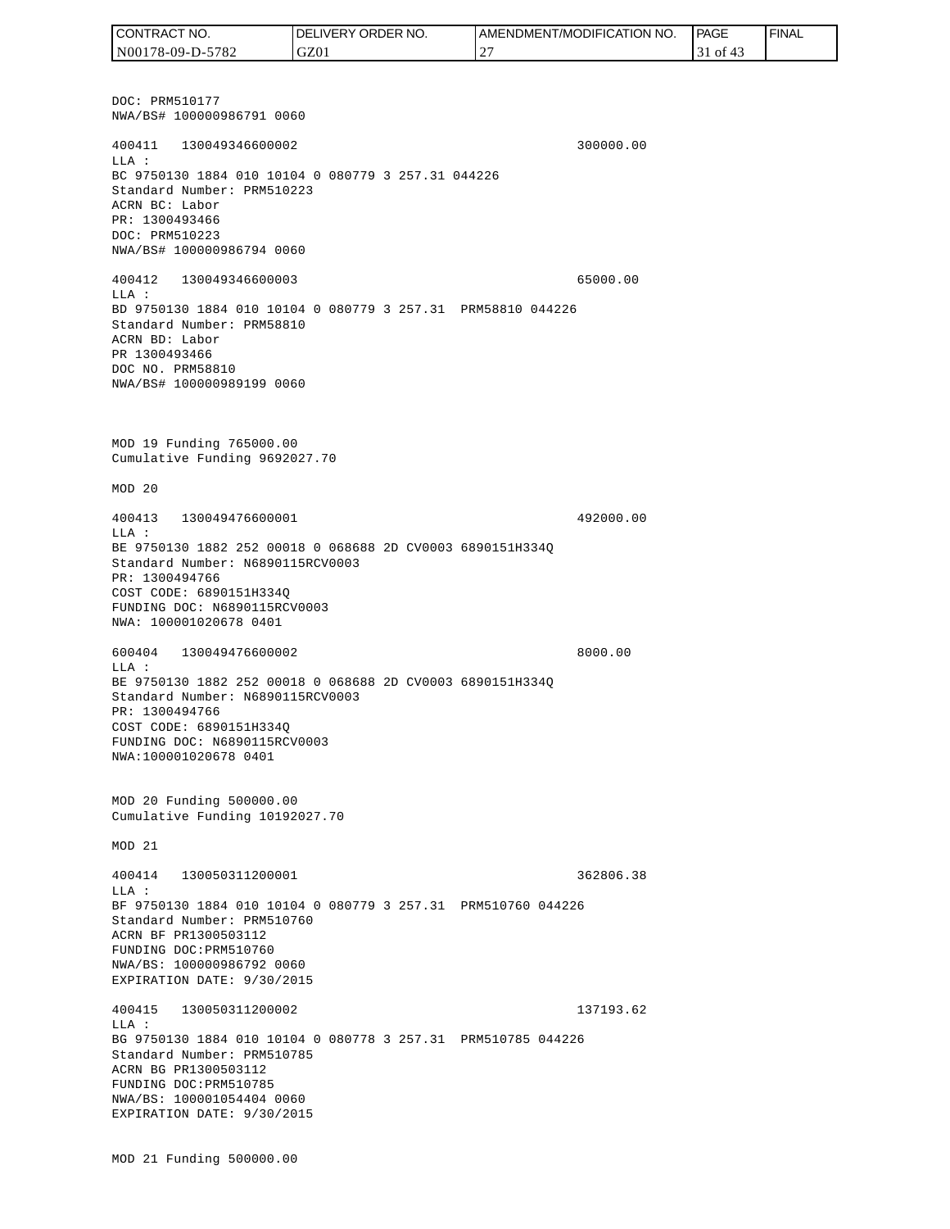DOC: PRM510177 NWA/BS# 100000986791 0060 400411 130049346600002 300000.00 LLA : BC 9750130 1884 010 10104 0 080779 3 257.31 044226 Standard Number: PRM510223 ACRN BC: Labor PR: 1300493466 DOC: PRM510223 NWA/BS# 100000986794 0060 400412 130049346600003 65000.00 LLA : BD 9750130 1884 010 10104 0 080779 3 257.31 PRM58810 044226 Standard Number: PRM58810 ACRN BD: Labor PR 1300493466 DOC NO. PRM58810 NWA/BS# 100000989199 0060 MOD 19 Funding 765000.00 Cumulative Funding 9692027.70 MOD 20 400413 130049476600001 492000.00 LLA : BE 9750130 1882 252 00018 0 068688 2D CV0003 6890151H334Q Standard Number: N6890115RCV0003 PR: 1300494766 COST CODE: 6890151H334Q FUNDING DOC: N6890115RCV0003 NWA: 100001020678 0401 600404 130049476600002 8000.00 LLA : BE 9750130 1882 252 00018 0 068688 2D CV0003 6890151H334Q Standard Number: N6890115RCV0003 PR: 1300494766 COST CODE: 6890151H334Q FUNDING DOC: N6890115RCV0003 NWA:100001020678 0401 MOD 20 Funding 500000.00 Cumulative Funding 10192027.70 MOD 21 400414 130050311200001 362806.38  $T.T.A$  : BF 9750130 1884 010 10104 0 080779 3 257.31 PRM510760 044226 Standard Number: PRM510760 ACRN BF PR1300503112 FUNDING DOC:PRM510760 NWA/BS: 100000986792 0060 EXPIRATION DATE: 9/30/2015 400415 130050311200002 137193.62 LLA : BG 9750130 1884 010 10104 0 080778 3 257.31 PRM510785 044226 Standard Number: PRM510785 ACRN BG PR1300503112 FUNDING DOC:PRM510785 NWA/BS: 100001054404 0060 EXPIRATION DATE: 9/30/2015 MOD 21 Funding 500000.00 CONTRACT NO. N00178-09-D-5782 DELIVERY ORDER NO. GZ01 AMENDMENT/MODIFICATION NO. 27 **PAGE**  31 of 43 FINAL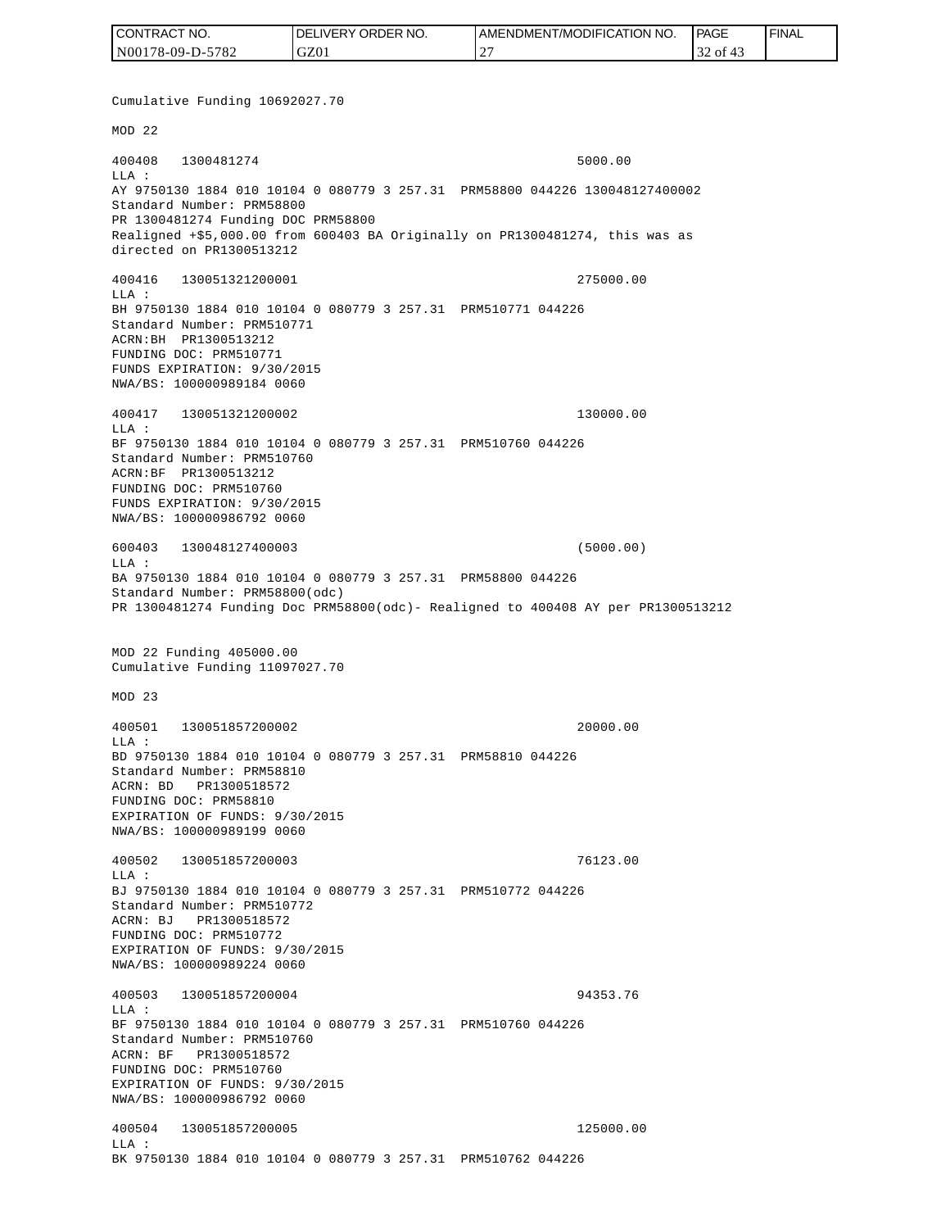| CONTRACT NO.     | <b>IDELIVERY ORDER NO.</b> | <b>I AMENDMENT/MODIFICATION NO.</b> | <b>PAGE</b> | ' FINAL |
|------------------|----------------------------|-------------------------------------|-------------|---------|
| N00178-09-D-5782 | GZ01                       | $\sim$                              | 32 of 43    |         |

Cumulative Funding 10692027.70 MOD 22 400408 1300481274 5000.00 LLA : AY 9750130 1884 010 10104 0 080779 3 257.31 PRM58800 044226 130048127400002 Standard Number: PRM58800 PR 1300481274 Funding DOC PRM58800 Realigned +\$5,000.00 from 600403 BA Originally on PR1300481274, this was as directed on PR1300513212 400416 130051321200001 275000.00 LLA : BH 9750130 1884 010 10104 0 080779 3 257.31 PRM510771 044226 Standard Number: PRM510771 ACRN:BH PR1300513212 FUNDING DOC: PRM510771 FUNDS EXPIRATION: 9/30/2015 NWA/BS: 100000989184 0060 400417 130051321200002 130000.00 LLA : BF 9750130 1884 010 10104 0 080779 3 257.31 PRM510760 044226 Standard Number: PRM510760 ACRN:BF PR1300513212 FUNDING DOC: PRM510760 FUNDS EXPIRATION: 9/30/2015 NWA/BS: 100000986792 0060 600403 130048127400003 (5000.00)  $L.L.A$  : BA 9750130 1884 010 10104 0 080779 3 257.31 PRM58800 044226 Standard Number: PRM58800(odc) PR 1300481274 Funding Doc PRM58800(odc)- Realigned to 400408 AY per PR1300513212 MOD 22 Funding 405000.00 Cumulative Funding 11097027.70 MOD 23 400501 130051857200002 20000.00  $L.L.A$  : BD 9750130 1884 010 10104 0 080779 3 257.31 PRM58810 044226 Standard Number: PRM58810 ACRN: BD PR1300518572 FUNDING DOC: PRM58810 EXPIRATION OF FUNDS: 9/30/2015 NWA/BS: 100000989199 0060 400502 130051857200003 76123.00 LLA : BJ 9750130 1884 010 10104 0 080779 3 257.31 PRM510772 044226 Standard Number: PRM510772 ACRN: BJ PR1300518572 FUNDING DOC: PRM510772 EXPIRATION OF FUNDS: 9/30/2015 NWA/BS: 100000989224 0060 400503 130051857200004 94353.76  $T.T.A$  : BF 9750130 1884 010 10104 0 080779 3 257.31 PRM510760 044226 Standard Number: PRM510760 ACRN: BF PR1300518572 FUNDING DOC: PRM510760 EXPIRATION OF FUNDS: 9/30/2015 NWA/BS: 100000986792 0060 400504 130051857200005 125000.00 LLA : BK 9750130 1884 010 10104 0 080779 3 257.31 PRM510762 044226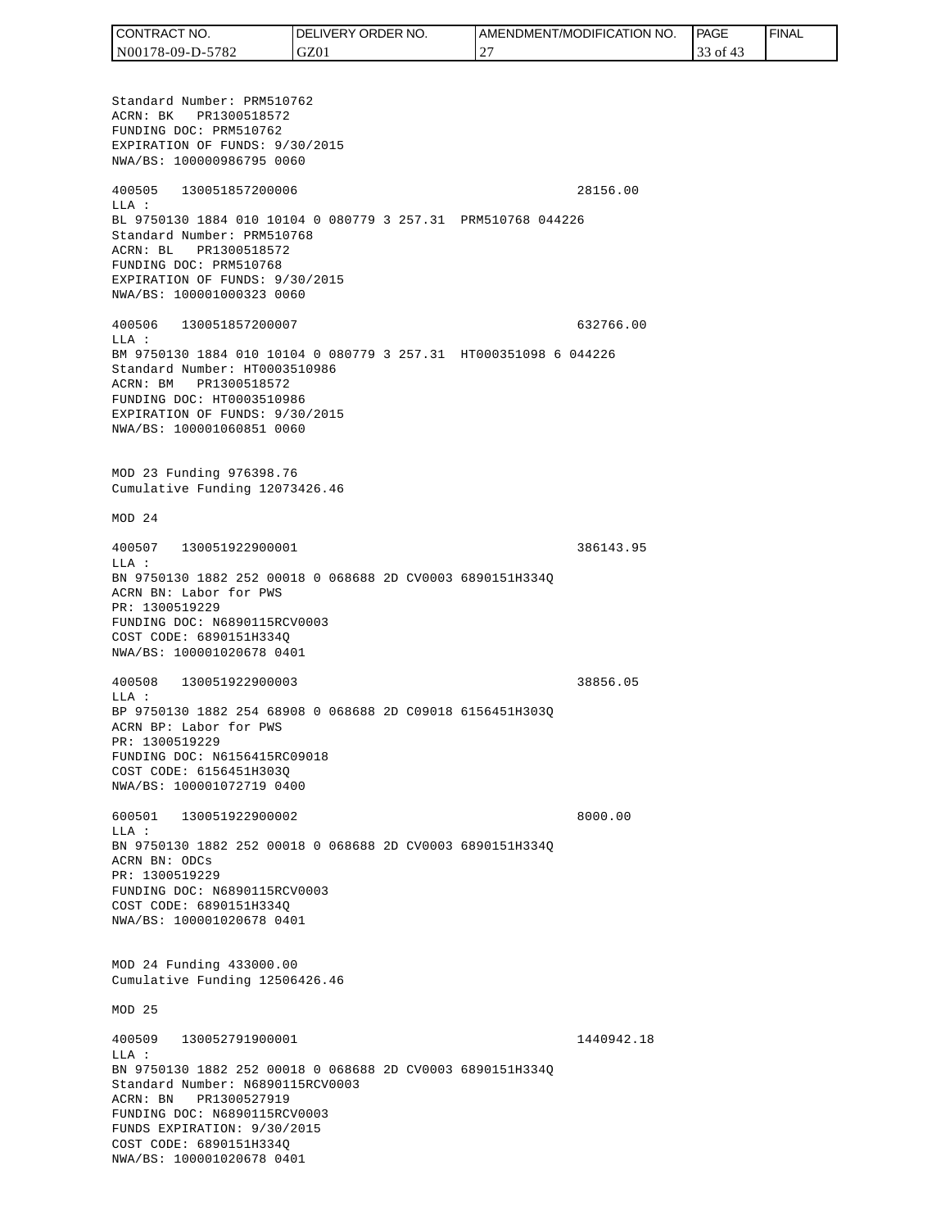| CONTRACT NO.     | DELIVERY ORDER NO. | I AMENDMENT/MODIFICATION NO. | PAGE      | 'FINAL |
|------------------|--------------------|------------------------------|-----------|--------|
| N00178-09-D-5782 | GZ01               |                              | 0Ť<br>ر ر |        |

Standard Number: PRM510762 ACRN: BK PR1300518572 FUNDING DOC: PRM510762 EXPIRATION OF FUNDS: 9/30/2015 NWA/BS: 100000986795 0060 400505 130051857200006 28156.00 LLA : BL 9750130 1884 010 10104 0 080779 3 257.31 PRM510768 044226 Standard Number: PRM510768 ACRN: BL PR1300518572 FUNDING DOC: PRM510768 EXPIRATION OF FUNDS: 9/30/2015 NWA/BS: 100001000323 0060 400506 130051857200007 632766.00 LLA : BM 9750130 1884 010 10104 0 080779 3 257.31 HT000351098 6 044226 Standard Number: HT0003510986 ACRN: BM PR1300518572 FUNDING DOC: HT0003510986 EXPIRATION OF FUNDS: 9/30/2015 NWA/BS: 100001060851 0060 MOD 23 Funding 976398.76 Cumulative Funding 12073426.46 MOD 24 400507 130051922900001 386143.95  $T.T.A$  : BN 9750130 1882 252 00018 0 068688 2D CV0003 6890151H334Q ACRN BN: Labor for PWS PR: 1300519229 FUNDING DOC: N6890115RCV0003 COST CODE: 6890151H334Q NWA/BS: 100001020678 0401 400508 130051922900003 38856.05 LLA : BP 9750130 1882 254 68908 0 068688 2D C09018 6156451H303Q ACRN BP: Labor for PWS PR: 1300519229 FUNDING DOC: N6156415RC09018 COST CODE: 6156451H303Q NWA/BS: 100001072719 0400 600501 130051922900002 8000.00 LLA : BN 9750130 1882 252 00018 0 068688 2D CV0003 6890151H334Q ACRN BN: ODCs PR: 1300519229 FUNDING DOC: N6890115RCV0003 COST CODE: 6890151H334Q NWA/BS: 100001020678 0401 MOD 24 Funding 433000.00 Cumulative Funding 12506426.46 MOD 25 400509 130052791900001 1440942.18 LLA : BN 9750130 1882 252 00018 0 068688 2D CV0003 6890151H334Q Standard Number: N6890115RCV0003 ACRN: BN PR1300527919 FUNDING DOC: N6890115RCV0003 FUNDS EXPIRATION: 9/30/2015 COST CODE: 6890151H334Q NWA/BS: 100001020678 0401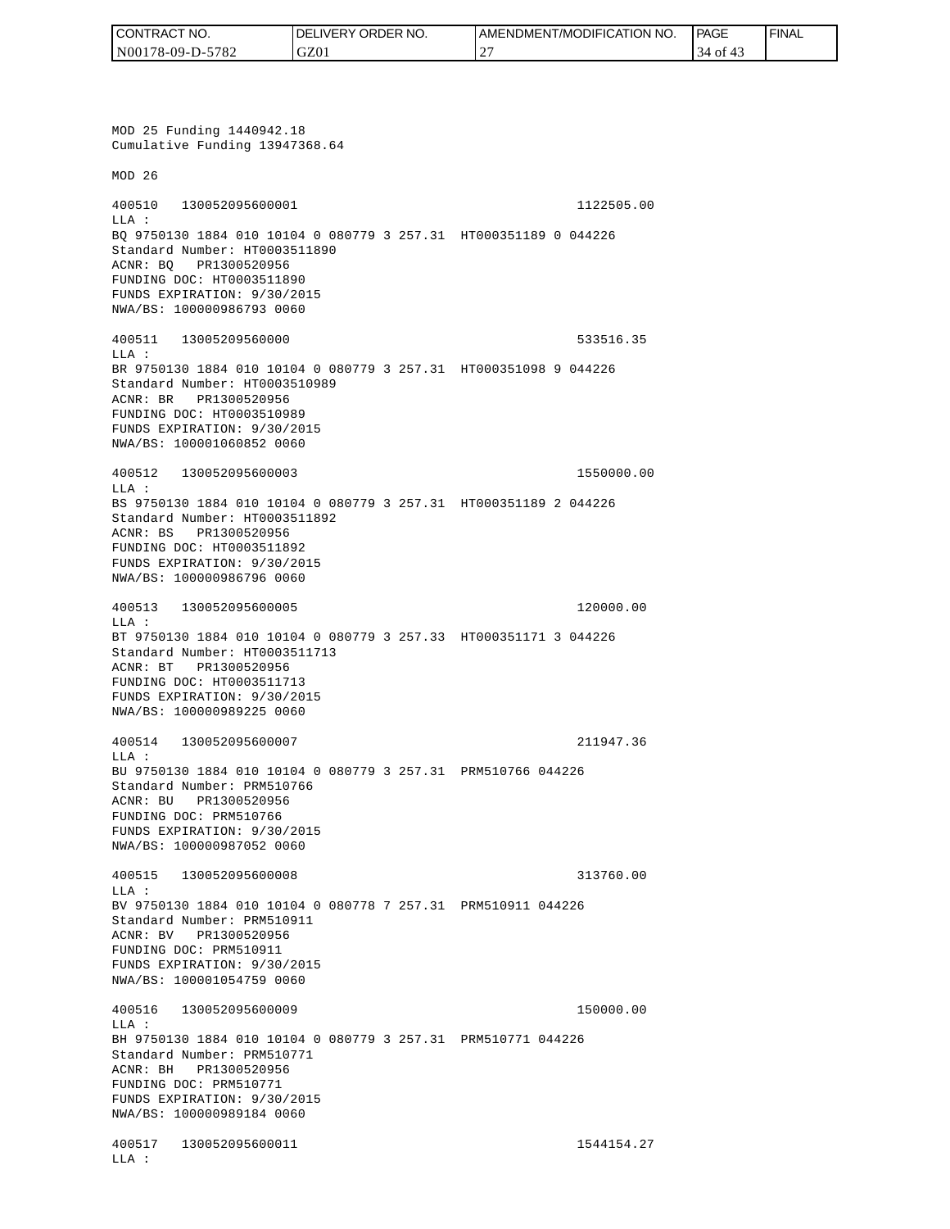| I CONTRACT NO.   | DELIVERY ORDER NO. | <b>I AMENDMENT/MODIFICATION NO.</b>  | <b>PAGE</b> | <b>FINAL</b> |
|------------------|--------------------|--------------------------------------|-------------|--------------|
| N00178-09-D-5782 | GZ01               | $\cdot$ $\cap$ $\cdot$<br>. <u>.</u> | 4 of        |              |

MOD 25 Funding 1440942.18 Cumulative Funding 13947368.64 MOD 26 400510 130052095600001 1122505.00 LLA : BQ 9750130 1884 010 10104 0 080779 3 257.31 HT000351189 0 044226 Standard Number: HT0003511890 ACNR: BQ PR1300520956 FUNDING DOC: HT0003511890 FUNDS EXPIRATION: 9/30/2015 NWA/BS: 100000986793 0060 400511 13005209560000 533516.35 LLA : BR 9750130 1884 010 10104 0 080779 3 257.31 HT000351098 9 044226 Standard Number: HT0003510989 ACNR: BR PR1300520956 FUNDING DOC: HT0003510989 FUNDS EXPIRATION: 9/30/2015 NWA/BS: 100001060852 0060 400512 130052095600003 1550000.00 LLA : BS 9750130 1884 010 10104 0 080779 3 257.31 HT000351189 2 044226 Standard Number: HT0003511892 ACNR: BS PR1300520956 FUNDING DOC: HT0003511892 FUNDS EXPIRATION: 9/30/2015 NWA/BS: 100000986796 0060 400513 130052095600005 120000.00 LLA : BT 9750130 1884 010 10104 0 080779 3 257.33 HT000351171 3 044226 Standard Number: HT0003511713 ACNR: BT PR1300520956 FUNDING DOC: HT0003511713 FUNDS EXPIRATION: 9/30/2015 NWA/BS: 100000989225 0060 400514 130052095600007 211947.36 LLA : BU 9750130 1884 010 10104 0 080779 3 257.31 PRM510766 044226 Standard Number: PRM510766 ACNR: BU PR1300520956 FUNDING DOC: PRM510766 FUNDS EXPIRATION: 9/30/2015 NWA/BS: 100000987052 0060 400515 130052095600008 313760.00  $T.T.A$  : BV 9750130 1884 010 10104 0 080778 7 257.31 PRM510911 044226 Standard Number: PRM510911 ACNR: BV PR1300520956 FUNDING DOC: PRM510911 FUNDS EXPIRATION: 9/30/2015 NWA/BS: 100001054759 0060 400516 130052095600009 150000.00 LLA : BH 9750130 1884 010 10104 0 080779 3 257.31 PRM510771 044226 Standard Number: PRM510771 ACNR: BH PR1300520956 FUNDING DOC: PRM510771 FUNDS EXPIRATION: 9/30/2015 NWA/BS: 100000989184 0060 400517 130052095600011 1544154.27 LLA :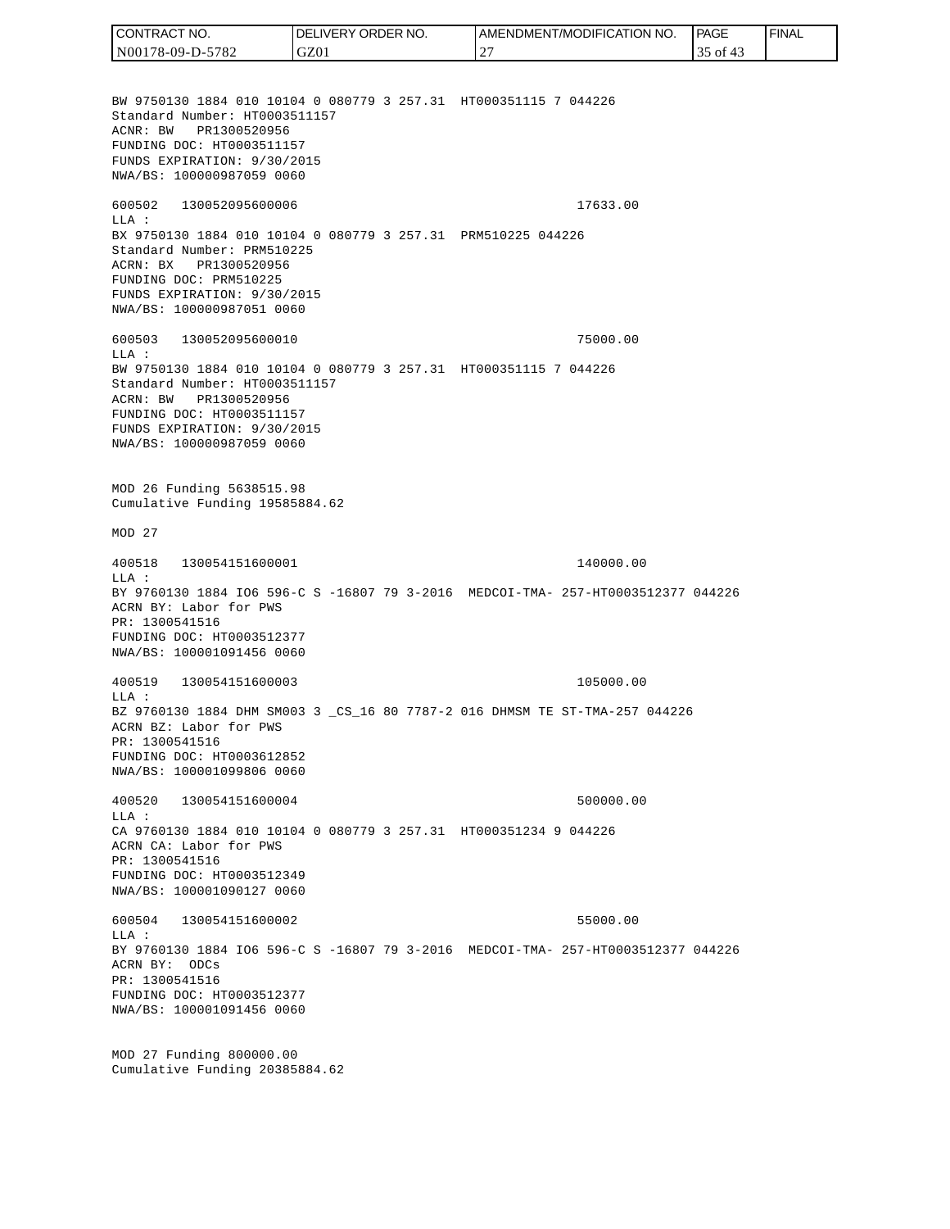BW 9750130 1884 010 10104 0 080779 3 257.31 HT000351115 7 044226 Standard Number: HT0003511157 ACNR: BW PR1300520956 FUNDING DOC: HT0003511157 FUNDS EXPIRATION: 9/30/2015 NWA/BS: 100000987059 0060 600502 130052095600006 17633.00 LLA : BX 9750130 1884 010 10104 0 080779 3 257.31 PRM510225 044226 Standard Number: PRM510225 ACRN: BX PR1300520956 FUNDING DOC: PRM510225 FUNDS EXPIRATION: 9/30/2015 NWA/BS: 100000987051 0060 600503 130052095600010 75000.00  $T.T.A$  : BW 9750130 1884 010 10104 0 080779 3 257.31 HT000351115 7 044226 Standard Number: HT0003511157 ACRN: BW PR1300520956 FUNDING DOC: HT0003511157 FUNDS EXPIRATION: 9/30/2015 NWA/BS: 100000987059 0060 MOD 26 Funding 5638515.98 Cumulative Funding 19585884.62 MOD 27 400518 130054151600001 140000.00 LLA : BY 9760130 1884 IO6 596-C S -16807 79 3-2016 MEDCOI-TMA- 257-HT0003512377 044226 ACRN BY: Labor for PWS PR: 1300541516 FUNDING DOC: HT0003512377 NWA/BS: 100001091456 0060 400519 130054151600003 105000.00 LLA : BZ 9760130 1884 DHM SM003 3 \_CS\_16 80 7787-2 016 DHMSM TE ST-TMA-257 044226 ACRN BZ: Labor for PWS PR: 1300541516 FUNDING DOC: HT0003612852 NWA/BS: 100001099806 0060 400520 130054151600004 500000.00  $L.L.A$  : CA 9760130 1884 010 10104 0 080779 3 257.31 HT000351234 9 044226 ACRN CA: Labor for PWS PR: 1300541516 FUNDING DOC: HT0003512349 NWA/BS: 100001090127 0060 600504 130054151600002 55000.00  $L.L.A$  : BY 9760130 1884 IO6 596-C S -16807 79 3-2016 MEDCOI-TMA- 257-HT0003512377 044226 ACRN BY: ODCs PR: 1300541516 FUNDING DOC: HT0003512377 NWA/BS: 100001091456 0060 MOD 27 Funding 800000.00 Cumulative Funding 20385884.62 CONTRACT NO. N00178-09-D-5782 DELIVERY ORDER NO. GZ01 AMENDMENT/MODIFICATION NO. 27 **PAGE**  35 of 43 FINAL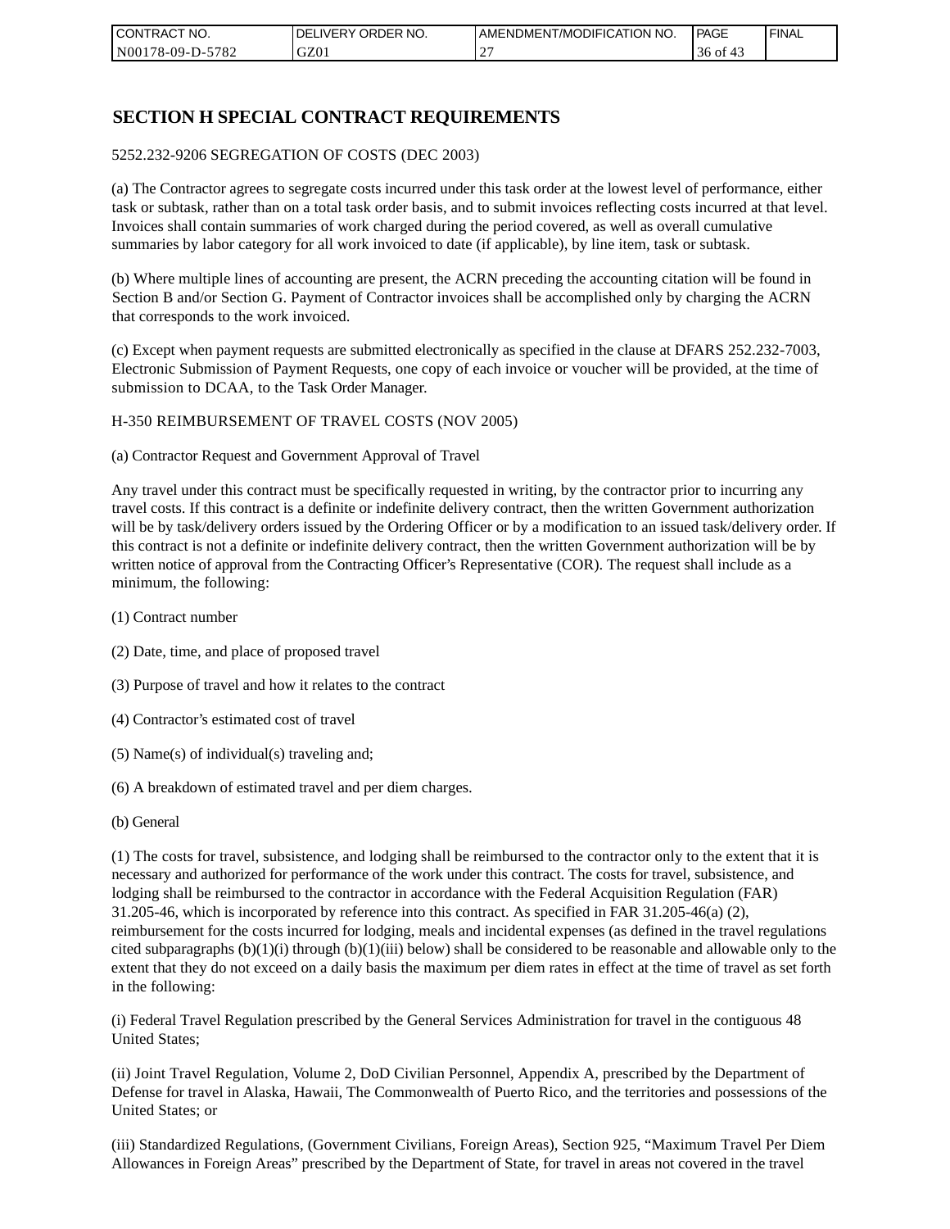| I CONTRACT NO.   | NO.<br>DELIVERY ORDER | AMENDMENT/MODIFICATION NO. | PAGE         | ' FINAL |
|------------------|-----------------------|----------------------------|--------------|---------|
| N00178-09-D-5782 | GZ01                  |                            | 36 of<br>-43 |         |

## **SECTION H SPECIAL CONTRACT REQUIREMENTS**

#### 5252.232-9206 SEGREGATION OF COSTS (DEC 2003)

(a) The Contractor agrees to segregate costs incurred under this task order at the lowest level of performance, either task or subtask, rather than on a total task order basis, and to submit invoices reflecting costs incurred at that level. Invoices shall contain summaries of work charged during the period covered, as well as overall cumulative summaries by labor category for all work invoiced to date (if applicable), by line item, task or subtask.

(b) Where multiple lines of accounting are present, the ACRN preceding the accounting citation will be found in Section B and/or Section G. Payment of Contractor invoices shall be accomplished only by charging the ACRN that corresponds to the work invoiced.

(c) Except when payment requests are submitted electronically as specified in the clause at DFARS 252.232-7003, Electronic Submission of Payment Requests, one copy of each invoice or voucher will be provided, at the time of submission to DCAA, to the Task Order Manager.

#### H-350 REIMBURSEMENT OF TRAVEL COSTS (NOV 2005)

(a) Contractor Request and Government Approval of Travel

Any travel under this contract must be specifically requested in writing, by the contractor prior to incurring any travel costs. If this contract is a definite or indefinite delivery contract, then the written Government authorization will be by task/delivery orders issued by the Ordering Officer or by a modification to an issued task/delivery order. If this contract is not a definite or indefinite delivery contract, then the written Government authorization will be by written notice of approval from the Contracting Officer's Representative (COR). The request shall include as a minimum, the following:

- (1) Contract number
- (2) Date, time, and place of proposed travel
- (3) Purpose of travel and how it relates to the contract
- (4) Contractor's estimated cost of travel
- (5) Name(s) of individual(s) traveling and;
- (6) A breakdown of estimated travel and per diem charges.
- (b) General

(1) The costs for travel, subsistence, and lodging shall be reimbursed to the contractor only to the extent that it is necessary and authorized for performance of the work under this contract. The costs for travel, subsistence, and lodging shall be reimbursed to the contractor in accordance with the Federal Acquisition Regulation (FAR) 31.205-46, which is incorporated by reference into this contract. As specified in FAR 31.205-46(a) (2), reimbursement for the costs incurred for lodging, meals and incidental expenses (as defined in the travel regulations cited subparagraphs  $(b)(1)(i)$  through  $(b)(1)(iii)$  below) shall be considered to be reasonable and allowable only to the extent that they do not exceed on a daily basis the maximum per diem rates in effect at the time of travel as set forth in the following:

(i) Federal Travel Regulation prescribed by the General Services Administration for travel in the contiguous 48 United States;

(ii) Joint Travel Regulation, Volume 2, DoD Civilian Personnel, Appendix A, prescribed by the Department of Defense for travel in Alaska, Hawaii, The Commonwealth of Puerto Rico, and the territories and possessions of the United States; or

(iii) Standardized Regulations, (Government Civilians, Foreign Areas), Section 925, "Maximum Travel Per Diem Allowances in Foreign Areas" prescribed by the Department of State, for travel in areas not covered in the travel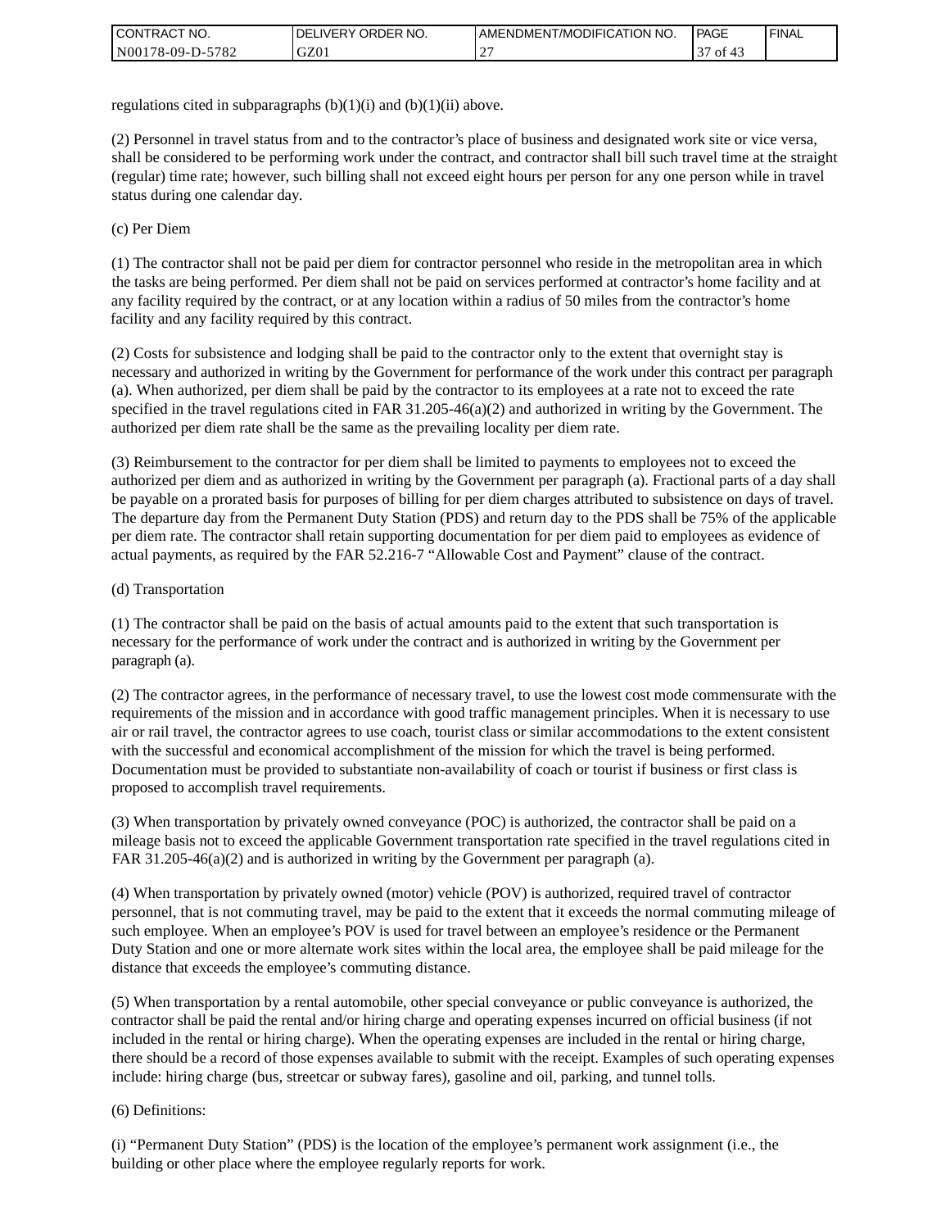| <b>I CONTRACT NO.</b> | ' ORDER NO.<br><b>DELIVERY</b> | I AMENDMENT/MODIFICATION NO. | <b>PAGE</b>  | <b>I FINAL</b> |
|-----------------------|--------------------------------|------------------------------|--------------|----------------|
| N00178-09-D-5782      | GZ0 <sub>1</sub>               | -                            | $\sim$<br>ΟĪ |                |

regulations cited in subparagraphs  $(b)(1)(i)$  and  $(b)(1)(ii)$  above.

(2) Personnel in travel status from and to the contractor's place of business and designated work site or vice versa, shall be considered to be performing work under the contract, and contractor shall bill such travel time at the straight (regular) time rate; however, such billing shall not exceed eight hours per person for any one person while in travel status during one calendar day.

(c) Per Diem

(1) The contractor shall not be paid per diem for contractor personnel who reside in the metropolitan area in which the tasks are being performed. Per diem shall not be paid on services performed at contractor's home facility and at any facility required by the contract, or at any location within a radius of 50 miles from the contractor's home facility and any facility required by this contract.

(2) Costs for subsistence and lodging shall be paid to the contractor only to the extent that overnight stay is necessary and authorized in writing by the Government for performance of the work under this contract per paragraph (a). When authorized, per diem shall be paid by the contractor to its employees at a rate not to exceed the rate specified in the travel regulations cited in FAR 31.205-46(a)(2) and authorized in writing by the Government. The authorized per diem rate shall be the same as the prevailing locality per diem rate.

(3) Reimbursement to the contractor for per diem shall be limited to payments to employees not to exceed the authorized per diem and as authorized in writing by the Government per paragraph (a). Fractional parts of a day shall be payable on a prorated basis for purposes of billing for per diem charges attributed to subsistence on days of travel. The departure day from the Permanent Duty Station (PDS) and return day to the PDS shall be 75% of the applicable per diem rate. The contractor shall retain supporting documentation for per diem paid to employees as evidence of actual payments, as required by the FAR 52.216-7 "Allowable Cost and Payment" clause of the contract.

### (d) Transportation

(1) The contractor shall be paid on the basis of actual amounts paid to the extent that such transportation is necessary for the performance of work under the contract and is authorized in writing by the Government per paragraph (a).

(2) The contractor agrees, in the performance of necessary travel, to use the lowest cost mode commensurate with the requirements of the mission and in accordance with good traffic management principles. When it is necessary to use air or rail travel, the contractor agrees to use coach, tourist class or similar accommodations to the extent consistent with the successful and economical accomplishment of the mission for which the travel is being performed. Documentation must be provided to substantiate non-availability of coach or tourist if business or first class is proposed to accomplish travel requirements.

(3) When transportation by privately owned conveyance (POC) is authorized, the contractor shall be paid on a mileage basis not to exceed the applicable Government transportation rate specified in the travel regulations cited in FAR 31.205-46(a)(2) and is authorized in writing by the Government per paragraph (a).

(4) When transportation by privately owned (motor) vehicle (POV) is authorized, required travel of contractor personnel, that is not commuting travel, may be paid to the extent that it exceeds the normal commuting mileage of such employee. When an employee's POV is used for travel between an employee's residence or the Permanent Duty Station and one or more alternate work sites within the local area, the employee shall be paid mileage for the distance that exceeds the employee's commuting distance.

(5) When transportation by a rental automobile, other special conveyance or public conveyance is authorized, the contractor shall be paid the rental and/or hiring charge and operating expenses incurred on official business (if not included in the rental or hiring charge). When the operating expenses are included in the rental or hiring charge, there should be a record of those expenses available to submit with the receipt. Examples of such operating expenses include: hiring charge (bus, streetcar or subway fares), gasoline and oil, parking, and tunnel tolls.

### (6) Definitions:

(i) "Permanent Duty Station" (PDS) is the location of the employee's permanent work assignment (i.e., the building or other place where the employee regularly reports for work.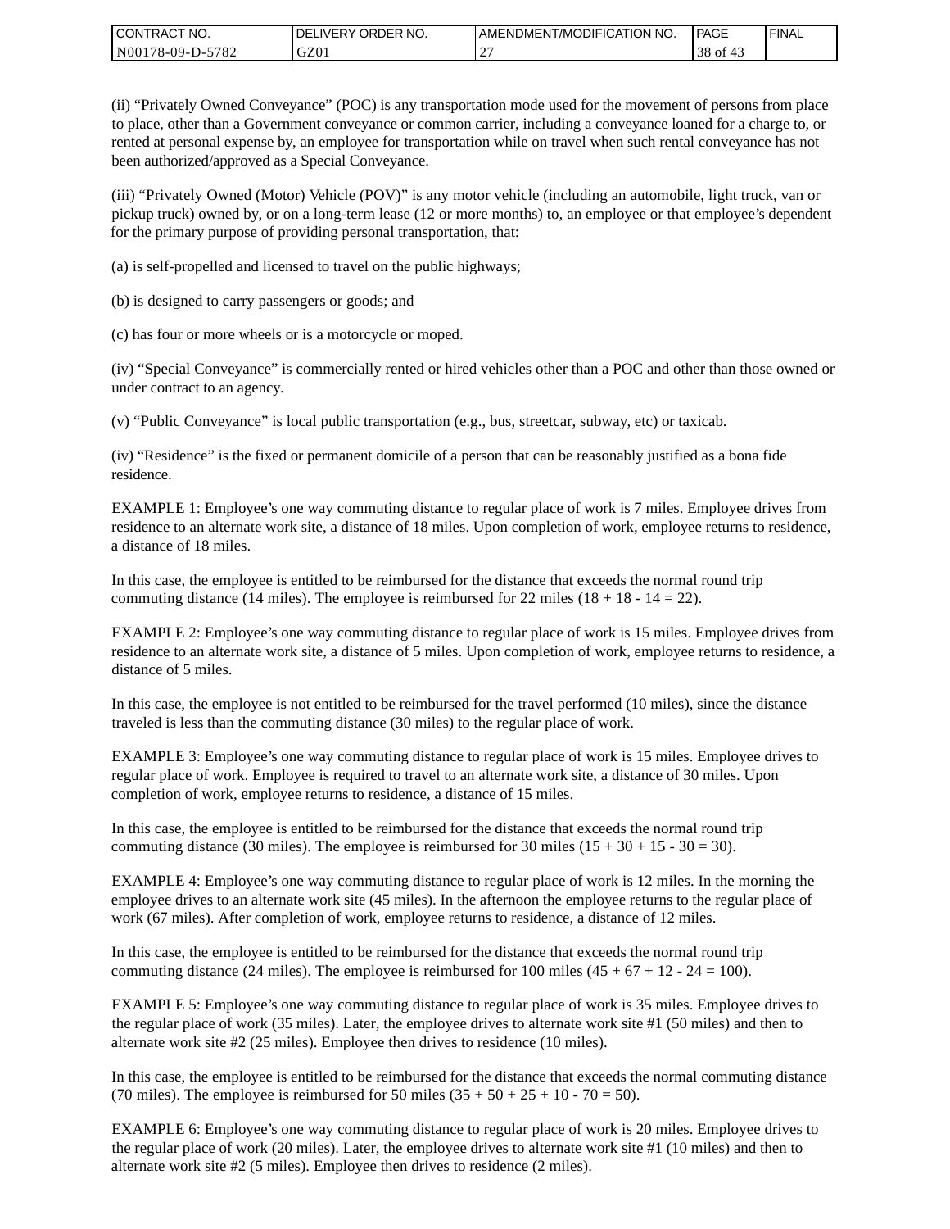| CONTRACT<br>°CT NO.      | NO.<br>' ORDER<br><b>DELIVERY</b> | AMENDMENT/MODIFICATION NO. | <b>PAGE</b> | ' FINAL |
|--------------------------|-----------------------------------|----------------------------|-------------|---------|
| $-5782$<br>N00178-09-D-5 | GZ01                              |                            | $38$ of     |         |

(ii) "Privately Owned Conveyance" (POC) is any transportation mode used for the movement of persons from place to place, other than a Government conveyance or common carrier, including a conveyance loaned for a charge to, or rented at personal expense by, an employee for transportation while on travel when such rental conveyance has not been authorized/approved as a Special Conveyance.

(iii) "Privately Owned (Motor) Vehicle (POV)" is any motor vehicle (including an automobile, light truck, van or pickup truck) owned by, or on a long-term lease (12 or more months) to, an employee or that employee's dependent for the primary purpose of providing personal transportation, that:

(a) is self-propelled and licensed to travel on the public highways;

(b) is designed to carry passengers or goods; and

(c) has four or more wheels or is a motorcycle or moped.

(iv) "Special Conveyance" is commercially rented or hired vehicles other than a POC and other than those owned or under contract to an agency.

(v) "Public Conveyance" is local public transportation (e.g., bus, streetcar, subway, etc) or taxicab.

(iv) "Residence" is the fixed or permanent domicile of a person that can be reasonably justified as a bona fide residence.

EXAMPLE 1: Employee's one way commuting distance to regular place of work is 7 miles. Employee drives from residence to an alternate work site, a distance of 18 miles. Upon completion of work, employee returns to residence, a distance of 18 miles.

In this case, the employee is entitled to be reimbursed for the distance that exceeds the normal round trip commuting distance (14 miles). The employee is reimbursed for 22 miles (18 + 18 - 14 = 22).

EXAMPLE 2: Employee's one way commuting distance to regular place of work is 15 miles. Employee drives from residence to an alternate work site, a distance of 5 miles. Upon completion of work, employee returns to residence, a distance of 5 miles.

In this case, the employee is not entitled to be reimbursed for the travel performed (10 miles), since the distance traveled is less than the commuting distance (30 miles) to the regular place of work.

EXAMPLE 3: Employee's one way commuting distance to regular place of work is 15 miles. Employee drives to regular place of work. Employee is required to travel to an alternate work site, a distance of 30 miles. Upon completion of work, employee returns to residence, a distance of 15 miles.

In this case, the employee is entitled to be reimbursed for the distance that exceeds the normal round trip commuting distance (30 miles). The employee is reimbursed for 30 miles  $(15 + 30 + 15 - 30 = 30)$ .

EXAMPLE 4: Employee's one way commuting distance to regular place of work is 12 miles. In the morning the employee drives to an alternate work site (45 miles). In the afternoon the employee returns to the regular place of work (67 miles). After completion of work, employee returns to residence, a distance of 12 miles.

In this case, the employee is entitled to be reimbursed for the distance that exceeds the normal round trip commuting distance (24 miles). The employee is reimbursed for 100 miles  $(45 + 67 + 12 - 24 = 100)$ .

EXAMPLE 5: Employee's one way commuting distance to regular place of work is 35 miles. Employee drives to the regular place of work (35 miles). Later, the employee drives to alternate work site #1 (50 miles) and then to alternate work site #2 (25 miles). Employee then drives to residence (10 miles).

In this case, the employee is entitled to be reimbursed for the distance that exceeds the normal commuting distance (70 miles). The employee is reimbursed for 50 miles  $(35 + 50 + 25 + 10 - 70 = 50)$ .

EXAMPLE 6: Employee's one way commuting distance to regular place of work is 20 miles. Employee drives to the regular place of work (20 miles). Later, the employee drives to alternate work site #1 (10 miles) and then to alternate work site #2 (5 miles). Employee then drives to residence (2 miles).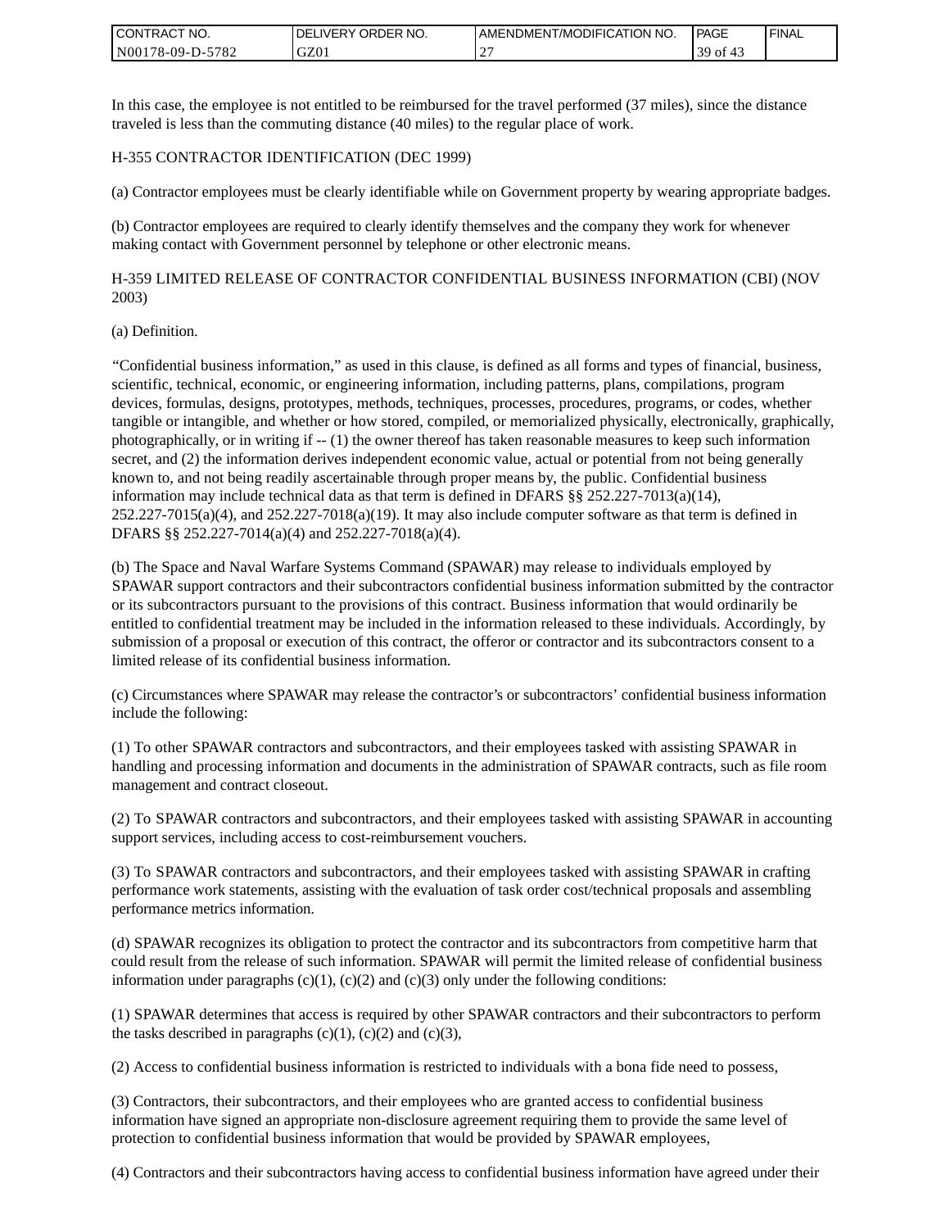| <b>I CONTRACT NO.</b>               | NO.<br>DELIVERY ORDER | AMENDMENT/MODIFICATION NO. | PAGE      | <b>I FINAL</b> |
|-------------------------------------|-----------------------|----------------------------|-----------|----------------|
| 5782<br>N001<br>78-09-Г<br>$D^{-r}$ | GZ01                  |                            | 39.<br>0Ť |                |

In this case, the employee is not entitled to be reimbursed for the travel performed (37 miles), since the distance traveled is less than the commuting distance (40 miles) to the regular place of work.

### H-355 CONTRACTOR IDENTIFICATION (DEC 1999)

(a) Contractor employees must be clearly identifiable while on Government property by wearing appropriate badges.

(b) Contractor employees are required to clearly identify themselves and the company they work for whenever making contact with Government personnel by telephone or other electronic means.

H-359 LIMITED RELEASE OF CONTRACTOR CONFIDENTIAL BUSINESS INFORMATION (CBI) (NOV 2003)

#### (a) Definition.

"Confidential business information," as used in this clause, is defined as all forms and types of financial, business, scientific, technical, economic, or engineering information, including patterns, plans, compilations, program devices, formulas, designs, prototypes, methods, techniques, processes, procedures, programs, or codes, whether tangible or intangible, and whether or how stored, compiled, or memorialized physically, electronically, graphically, photographically, or in writing if -- (1) the owner thereof has taken reasonable measures to keep such information secret, and (2) the information derives independent economic value, actual or potential from not being generally known to, and not being readily ascertainable through proper means by, the public. Confidential business information may include technical data as that term is defined in DFARS  $\S$ § 252.227-7013(a)(14),  $252.227-7015(a)(4)$ , and  $252.227-7018(a)(19)$ . It may also include computer software as that term is defined in DFARS §§ 252.227-7014(a)(4) and 252.227-7018(a)(4).

(b) The Space and Naval Warfare Systems Command (SPAWAR) may release to individuals employed by SPAWAR support contractors and their subcontractors confidential business information submitted by the contractor or its subcontractors pursuant to the provisions of this contract. Business information that would ordinarily be entitled to confidential treatment may be included in the information released to these individuals. Accordingly, by submission of a proposal or execution of this contract, the offeror or contractor and its subcontractors consent to a limited release of its confidential business information.

(c) Circumstances where SPAWAR may release the contractor's or subcontractors' confidential business information include the following:

(1) To other SPAWAR contractors and subcontractors, and their employees tasked with assisting SPAWAR in handling and processing information and documents in the administration of SPAWAR contracts, such as file room management and contract closeout.

(2) To SPAWAR contractors and subcontractors, and their employees tasked with assisting SPAWAR in accounting support services, including access to cost-reimbursement vouchers.

(3) To SPAWAR contractors and subcontractors, and their employees tasked with assisting SPAWAR in crafting performance work statements, assisting with the evaluation of task order cost/technical proposals and assembling performance metrics information.

(d) SPAWAR recognizes its obligation to protect the contractor and its subcontractors from competitive harm that could result from the release of such information. SPAWAR will permit the limited release of confidential business information under paragraphs  $(c)(1)$ ,  $(c)(2)$  and  $(c)(3)$  only under the following conditions:

(1) SPAWAR determines that access is required by other SPAWAR contractors and their subcontractors to perform the tasks described in paragraphs  $(c)(1)$ ,  $(c)(2)$  and  $(c)(3)$ ,

(2) Access to confidential business information is restricted to individuals with a bona fide need to possess,

(3) Contractors, their subcontractors, and their employees who are granted access to confidential business information have signed an appropriate non-disclosure agreement requiring them to provide the same level of protection to confidential business information that would be provided by SPAWAR employees,

(4) Contractors and their subcontractors having access to confidential business information have agreed under their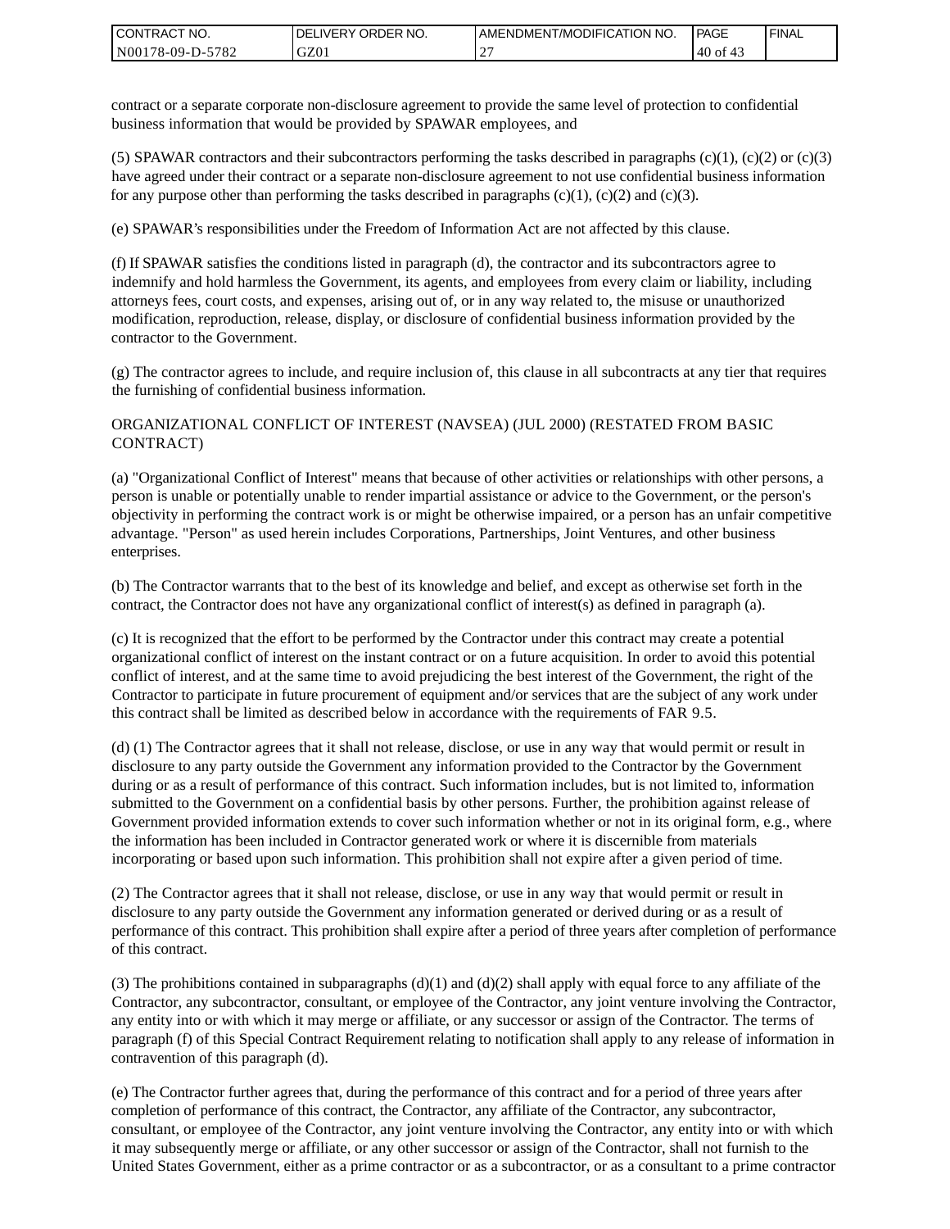| I CONTRACT NO.   | DELIVERY ORDER NO. | AMENDMENT/MODIFICATION NO. | PAGE   | ' FINAL |
|------------------|--------------------|----------------------------|--------|---------|
| N00178-09-D-5782 | GZ01               |                            | .40 of |         |

contract or a separate corporate non-disclosure agreement to provide the same level of protection to confidential business information that would be provided by SPAWAR employees, and

(5) SPAWAR contractors and their subcontractors performing the tasks described in paragraphs  $(c)(1)$ ,  $(c)(2)$  or  $(c)(3)$ have agreed under their contract or a separate non-disclosure agreement to not use confidential business information for any purpose other than performing the tasks described in paragraphs  $(c)(1)$ ,  $(c)(2)$  and  $(c)(3)$ .

(e) SPAWAR's responsibilities under the Freedom of Information Act are not affected by this clause.

(f) If SPAWAR satisfies the conditions listed in paragraph (d), the contractor and its subcontractors agree to indemnify and hold harmless the Government, its agents, and employees from every claim or liability, including attorneys fees, court costs, and expenses, arising out of, or in any way related to, the misuse or unauthorized modification, reproduction, release, display, or disclosure of confidential business information provided by the contractor to the Government.

(g) The contractor agrees to include, and require inclusion of, this clause in all subcontracts at any tier that requires the furnishing of confidential business information.

### ORGANIZATIONAL CONFLICT OF INTEREST (NAVSEA) (JUL 2000) (RESTATED FROM BASIC CONTRACT)

(a) "Organizational Conflict of Interest" means that because of other activities or relationships with other persons, a person is unable or potentially unable to render impartial assistance or advice to the Government, or the person's objectivity in performing the contract work is or might be otherwise impaired, or a person has an unfair competitive advantage. "Person" as used herein includes Corporations, Partnerships, Joint Ventures, and other business enterprises.

(b) The Contractor warrants that to the best of its knowledge and belief, and except as otherwise set forth in the contract, the Contractor does not have any organizational conflict of interest(s) as defined in paragraph (a).

(c) It is recognized that the effort to be performed by the Contractor under this contract may create a potential organizational conflict of interest on the instant contract or on a future acquisition. In order to avoid this potential conflict of interest, and at the same time to avoid prejudicing the best interest of the Government, the right of the Contractor to participate in future procurement of equipment and/or services that are the subject of any work under this contract shall be limited as described below in accordance with the requirements of FAR 9.5.

(d) (1) The Contractor agrees that it shall not release, disclose, or use in any way that would permit or result in disclosure to any party outside the Government any information provided to the Contractor by the Government during or as a result of performance of this contract. Such information includes, but is not limited to, information submitted to the Government on a confidential basis by other persons. Further, the prohibition against release of Government provided information extends to cover such information whether or not in its original form, e.g., where the information has been included in Contractor generated work or where it is discernible from materials incorporating or based upon such information. This prohibition shall not expire after a given period of time.

(2) The Contractor agrees that it shall not release, disclose, or use in any way that would permit or result in disclosure to any party outside the Government any information generated or derived during or as a result of performance of this contract. This prohibition shall expire after a period of three years after completion of performance of this contract.

(3) The prohibitions contained in subparagraphs  $(d)(1)$  and  $(d)(2)$  shall apply with equal force to any affiliate of the Contractor, any subcontractor, consultant, or employee of the Contractor, any joint venture involving the Contractor, any entity into or with which it may merge or affiliate, or any successor or assign of the Contractor. The terms of paragraph (f) of this Special Contract Requirement relating to notification shall apply to any release of information in contravention of this paragraph (d).

(e) The Contractor further agrees that, during the performance of this contract and for a period of three years after completion of performance of this contract, the Contractor, any affiliate of the Contractor, any subcontractor, consultant, or employee of the Contractor, any joint venture involving the Contractor, any entity into or with which it may subsequently merge or affiliate, or any other successor or assign of the Contractor, shall not furnish to the United States Government, either as a prime contractor or as a subcontractor, or as a consultant to a prime contractor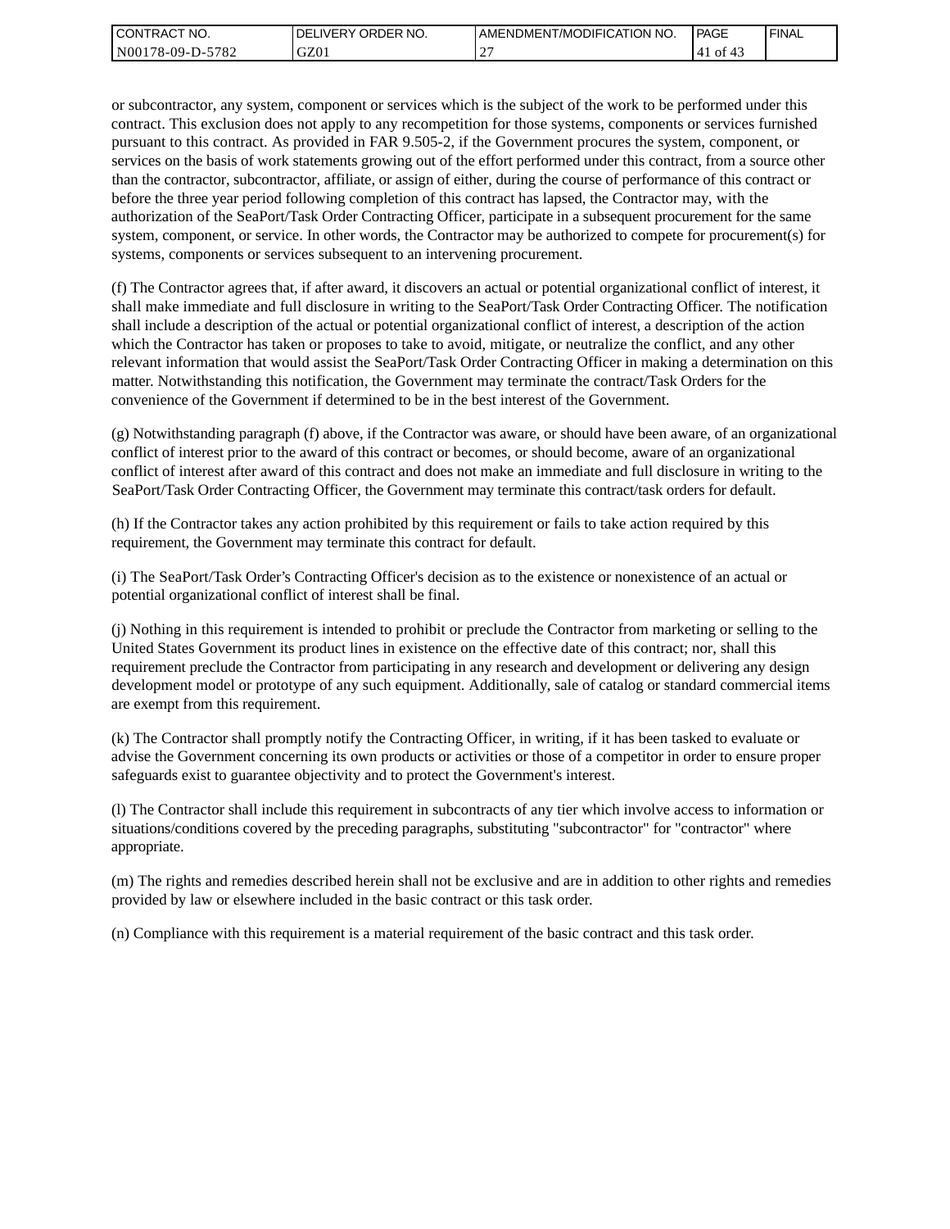| <b>I CONTRACT NO.</b> | <b>IDELIVERY ORDER NO.</b> | AMENDMENT/MODIFICATION NO. | PAGE      | 'FINAL |
|-----------------------|----------------------------|----------------------------|-----------|--------|
| N00178-09-D-5782      | GZ01                       |                            | of<br>'41 |        |

or subcontractor, any system, component or services which is the subject of the work to be performed under this contract. This exclusion does not apply to any recompetition for those systems, components or services furnished pursuant to this contract. As provided in FAR 9.505-2, if the Government procures the system, component, or services on the basis of work statements growing out of the effort performed under this contract, from a source other than the contractor, subcontractor, affiliate, or assign of either, during the course of performance of this contract or before the three year period following completion of this contract has lapsed, the Contractor may, with the authorization of the SeaPort/Task Order Contracting Officer, participate in a subsequent procurement for the same system, component, or service. In other words, the Contractor may be authorized to compete for procurement(s) for systems, components or services subsequent to an intervening procurement.

(f) The Contractor agrees that, if after award, it discovers an actual or potential organizational conflict of interest, it shall make immediate and full disclosure in writing to the SeaPort/Task Order Contracting Officer. The notification shall include a description of the actual or potential organizational conflict of interest, a description of the action which the Contractor has taken or proposes to take to avoid, mitigate, or neutralize the conflict, and any other relevant information that would assist the SeaPort/Task Order Contracting Officer in making a determination on this matter. Notwithstanding this notification, the Government may terminate the contract/Task Orders for the convenience of the Government if determined to be in the best interest of the Government.

(g) Notwithstanding paragraph (f) above, if the Contractor was aware, or should have been aware, of an organizational conflict of interest prior to the award of this contract or becomes, or should become, aware of an organizational conflict of interest after award of this contract and does not make an immediate and full disclosure in writing to the SeaPort/Task Order Contracting Officer, the Government may terminate this contract/task orders for default.

(h) If the Contractor takes any action prohibited by this requirement or fails to take action required by this requirement, the Government may terminate this contract for default.

(i) The SeaPort/Task Order's Contracting Officer's decision as to the existence or nonexistence of an actual or potential organizational conflict of interest shall be final.

(j) Nothing in this requirement is intended to prohibit or preclude the Contractor from marketing or selling to the United States Government its product lines in existence on the effective date of this contract; nor, shall this requirement preclude the Contractor from participating in any research and development or delivering any design development model or prototype of any such equipment. Additionally, sale of catalog or standard commercial items are exempt from this requirement.

(k) The Contractor shall promptly notify the Contracting Officer, in writing, if it has been tasked to evaluate or advise the Government concerning its own products or activities or those of a competitor in order to ensure proper safeguards exist to guarantee objectivity and to protect the Government's interest.

(l) The Contractor shall include this requirement in subcontracts of any tier which involve access to information or situations/conditions covered by the preceding paragraphs, substituting "subcontractor" for "contractor" where appropriate.

(m) The rights and remedies described herein shall not be exclusive and are in addition to other rights and remedies provided by law or elsewhere included in the basic contract or this task order.

(n) Compliance with this requirement is a material requirement of the basic contract and this task order.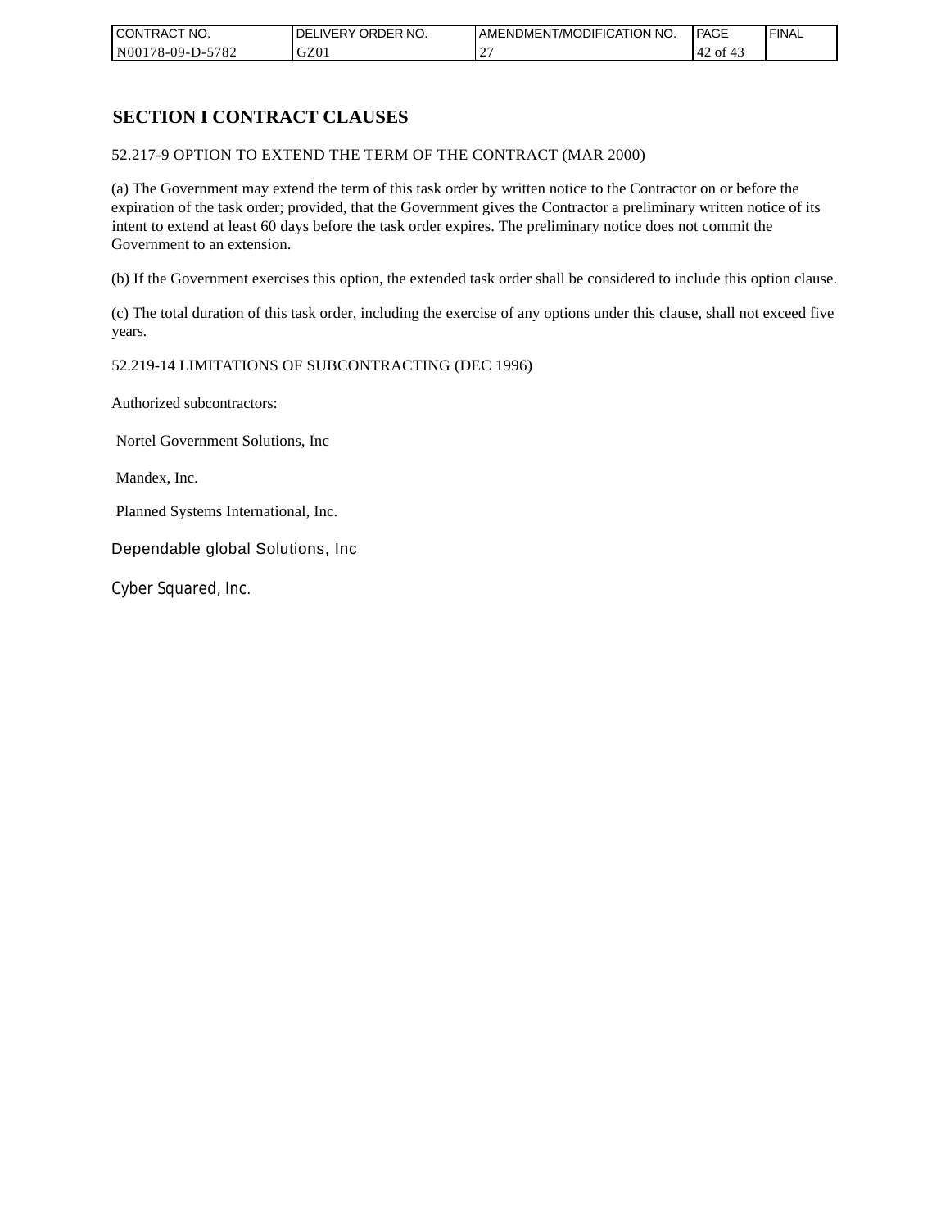| CONTRACT NO.     | `NO.<br><b>DELIVERY ORDER</b> | AMENDMENT/MODIFICATION<br>' NO. | PAGE          | 'FINAL |
|------------------|-------------------------------|---------------------------------|---------------|--------|
| N00178-09-D-5782 | GZ01                          |                                 | .42 of<br>-45 |        |

## **SECTION I CONTRACT CLAUSES**

52.217-9 OPTION TO EXTEND THE TERM OF THE CONTRACT (MAR 2000)

(a) The Government may extend the term of this task order by written notice to the Contractor on or before the expiration of the task order; provided, that the Government gives the Contractor a preliminary written notice of its intent to extend at least 60 days before the task order expires. The preliminary notice does not commit the Government to an extension.

(b) If the Government exercises this option, the extended task order shall be considered to include this option clause.

(c) The total duration of this task order, including the exercise of any options under this clause, shall not exceed five years.

#### 52.219-14 LIMITATIONS OF SUBCONTRACTING (DEC 1996)

Authorized subcontractors:

Nortel Government Solutions, Inc

Mandex, Inc.

Planned Systems International, Inc.

Dependable global Solutions, Inc

Cyber Squared, Inc.